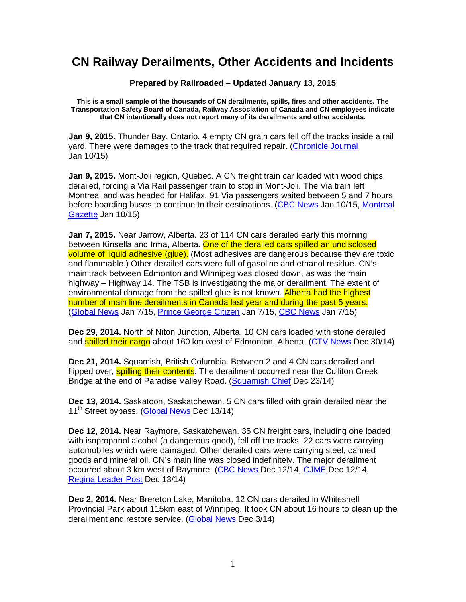## **CN Railway Derailments, Other Accidents and Incidents**

**Prepared by Railroaded – Updated January 13, 2015** 

**This is a small sample of the thousands of CN derailments, spills, fires and other accidents. The Transportation Safety Board of Canada, Railway Association of Canada and CN employees indicate that CN intentionally does not report many of its derailments and other accidents.** 

**Jan 9, 2015.** Thunder Bay, Ontario. 4 empty CN grain cars fell off the tracks inside a rail yard. There were damages to the track that required repair. (Chronicle Journal Jan 10/15)

**Jan 9, 2015.** Mont-Joli region, Quebec. A CN freight train car loaded with wood chips derailed, forcing a Via Rail passenger train to stop in Mont-Joli. The Via train left Montreal and was headed for Halifax. 91 Via passengers waited between 5 and 7 hours before boarding buses to continue to their destinations. (CBC News Jan 10/15, Montreal Gazette Jan 10/15)

**Jan 7, 2015.** Near Jarrow, Alberta. 23 of 114 CN cars derailed early this morning between Kinsella and Irma, Alberta. One of the derailed cars spilled an undisclosed volume of liquid adhesive (glue). (Most adhesives are dangerous because they are toxic and flammable.) Other derailed cars were full of gasoline and ethanol residue. CN's main track between Edmonton and Winnipeg was closed down, as was the main highway – Highway 14. The TSB is investigating the major derailment. The extent of environmental damage from the spilled glue is not known. Alberta had the highest number of main line derailments in Canada last year and during the past 5 years. (Global News Jan 7/15, Prince George Citizen Jan 7/15, CBC News Jan 7/15)

**Dec 29, 2014.** North of Niton Junction, Alberta. 10 CN cars loaded with stone derailed and **spilled their cargo** about 160 km west of Edmonton, Alberta. (CTV News Dec 30/14)

**Dec 21, 2014.** Squamish, British Columbia. Between 2 and 4 CN cars derailed and flipped over, **spilling their contents**. The derailment occurred near the Culliton Creek Bridge at the end of Paradise Valley Road. (Squamish Chief Dec 23/14)

**Dec 13, 2014.** Saskatoon, Saskatchewan. 5 CN cars filled with grain derailed near the 11<sup>th</sup> Street bypass. (Global News Dec 13/14)

**Dec 12, 2014.** Near Raymore, Saskatchewan. 35 CN freight cars, including one loaded with isopropanol alcohol (a dangerous good), fell off the tracks. 22 cars were carrying automobiles which were damaged. Other derailed cars were carrying steel, canned goods and mineral oil. CN's main line was closed indefinitely. The major derailment occurred about 3 km west of Raymore. (CBC News Dec 12/14, CJME Dec 12/14, Regina Leader Post Dec 13/14)

**Dec 2, 2014.** Near Brereton Lake, Manitoba. 12 CN cars derailed in Whiteshell Provincial Park about 115km east of Winnipeg. It took CN about 16 hours to clean up the derailment and restore service. (Global News Dec 3/14)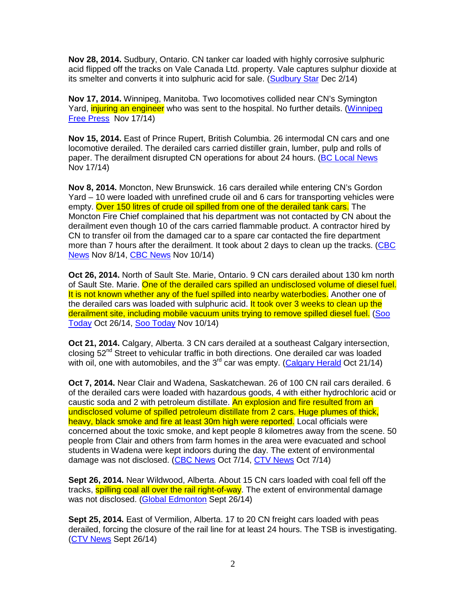**Nov 28, 2014.** Sudbury, Ontario. CN tanker car loaded with highly corrosive sulphuric acid flipped off the tracks on Vale Canada Ltd. property. Vale captures sulphur dioxide at its smelter and converts it into sulphuric acid for sale. (Sudbury Star Dec 2/14)

**Nov 17, 2014.** Winnipeg, Manitoba. Two locomotives collided near CN's Symington Yard, *injuring an engineer* who was sent to the hospital. No further details. (Winnipeg Free Press Nov 17/14)

**Nov 15, 2014.** East of Prince Rupert, British Columbia. 26 intermodal CN cars and one locomotive derailed. The derailed cars carried distiller grain, lumber, pulp and rolls of paper. The derailment disrupted CN operations for about 24 hours. (BC Local News Nov 17/14)

**Nov 8, 2014.** Moncton, New Brunswick. 16 cars derailed while entering CN's Gordon Yard – 10 were loaded with unrefined crude oil and 6 cars for transporting vehicles were empty. Over 150 litres of crude oil spilled from one of the derailed tank cars. The Moncton Fire Chief complained that his department was not contacted by CN about the derailment even though 10 of the cars carried flammable product. A contractor hired by CN to transfer oil from the damaged car to a spare car contacted the fire department more than 7 hours after the derailment. It took about 2 days to clean up the tracks. (CBC News Nov 8/14, CBC News Nov 10/14)

**Oct 26, 2014.** North of Sault Ste. Marie, Ontario. 9 CN cars derailed about 130 km north of Sault Ste. Marie. One of the derailed cars spilled an undisclosed volume of diesel fuel. It is not known whether any of the fuel spilled into nearby waterbodies. Another one of the derailed cars was loaded with sulphuric acid. It took over 3 weeks to clean up the derailment site, including mobile vacuum units trying to remove spilled diesel fuel. (Soo Today Oct 26/14, Soo Today Nov 10/14)

**Oct 21, 2014.** Calgary, Alberta. 3 CN cars derailed at a southeast Calgary intersection, closing  $52<sup>nd</sup>$  Street to vehicular traffic in both directions. One derailed car was loaded with oil, one with automobiles, and the  $3<sup>rd</sup>$  car was empty. (Calgary Herald Oct 21/14)

**Oct 7, 2014.** Near Clair and Wadena, Saskatchewan. 26 of 100 CN rail cars derailed. 6 of the derailed cars were loaded with hazardous goods, 4 with either hydrochloric acid or caustic soda and 2 with petroleum distillate. An explosion and fire resulted from an undisclosed volume of spilled petroleum distillate from 2 cars. Huge plumes of thick, heavy, black smoke and fire at least 30m high were reported. Local officials were concerned about the toxic smoke, and kept people 8 kilometres away from the scene. 50 people from Clair and others from farm homes in the area were evacuated and school students in Wadena were kept indoors during the day. The extent of environmental damage was not disclosed. (CBC News Oct 7/14, CTV News Oct 7/14)

**Sept 26, 2014.** Near Wildwood, Alberta. About 15 CN cars loaded with coal fell off the tracks, **spilling coal all over the rail right-of-way**. The extent of environmental damage was not disclosed. (Global Edmonton Sept 26/14)

**Sept 25, 2014.** East of Vermilion, Alberta. 17 to 20 CN freight cars loaded with peas derailed, forcing the closure of the rail line for at least 24 hours. The TSB is investigating. (CTV News Sept 26/14)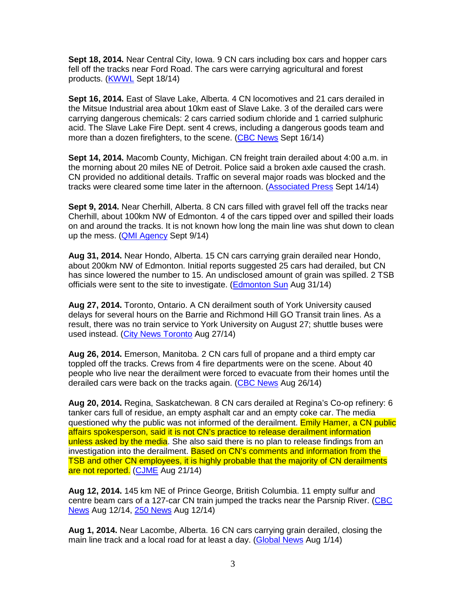**Sept 18, 2014.** Near Central City, Iowa. 9 CN cars including box cars and hopper cars fell off the tracks near Ford Road. The cars were carrying agricultural and forest products. (KWWL Sept 18/14)

**Sept 16, 2014.** East of Slave Lake, Alberta. 4 CN locomotives and 21 cars derailed in the Mitsue Industrial area about 10km east of Slave Lake. 3 of the derailed cars were carrying dangerous chemicals: 2 cars carried sodium chloride and 1 carried sulphuric acid. The Slave Lake Fire Dept. sent 4 crews, including a dangerous goods team and more than a dozen firefighters, to the scene. (CBC News Sept 16/14)

**Sept 14, 2014.** Macomb County, Michigan. CN freight train derailed about 4:00 a.m. in the morning about 20 miles NE of Detroit. Police said a broken axle caused the crash. CN provided no additional details. Traffic on several major roads was blocked and the tracks were cleared some time later in the afternoon. (Associated Press Sept 14/14)

**Sept 9, 2014.** Near Cherhill, Alberta. 8 CN cars filled with gravel fell off the tracks near Cherhill, about 100km NW of Edmonton. 4 of the cars tipped over and spilled their loads on and around the tracks. It is not known how long the main line was shut down to clean up the mess. (QMI Agency Sept 9/14)

**Aug 31, 2014.** Near Hondo, Alberta. 15 CN cars carrying grain derailed near Hondo, about 200km NW of Edmonton. Initial reports suggested 25 cars had derailed, but CN has since lowered the number to 15. An undisclosed amount of grain was spilled. 2 TSB officials were sent to the site to investigate. (Edmonton Sun Aug 31/14)

**Aug 27, 2014.** Toronto, Ontario. A CN derailment south of York University caused delays for several hours on the Barrie and Richmond Hill GO Transit train lines. As a result, there was no train service to York University on August 27; shuttle buses were used instead. (City News Toronto Aug 27/14)

**Aug 26, 2014.** Emerson, Manitoba. 2 CN cars full of propane and a third empty car toppled off the tracks. Crews from 4 fire departments were on the scene. About 40 people who live near the derailment were forced to evacuate from their homes until the derailed cars were back on the tracks again. (CBC News Aug 26/14)

**Aug 20, 2014.** Regina, Saskatchewan. 8 CN cars derailed at Regina's Co-op refinery: 6 tanker cars full of residue, an empty asphalt car and an empty coke car. The media questioned why the public was not informed of the derailment. Emily Hamer, a CN public affairs spokesperson, said it is not CN's practice to release derailment information unless asked by the media. She also said there is no plan to release findings from an investigation into the derailment. Based on CN's comments and information from the TSB and other CN employees, it is highly probable that the majority of CN derailments are not reported. (CJME Aug 21/14)

**Aug 12, 2014.** 145 km NE of Prince George, British Columbia. 11 empty sulfur and centre beam cars of a 127-car CN train jumped the tracks near the Parsnip River. (CBC News Aug 12/14, 250 News Aug 12/14)

**Aug 1, 2014.** Near Lacombe, Alberta. 16 CN cars carrying grain derailed, closing the main line track and a local road for at least a day. (Global News Aug 1/14)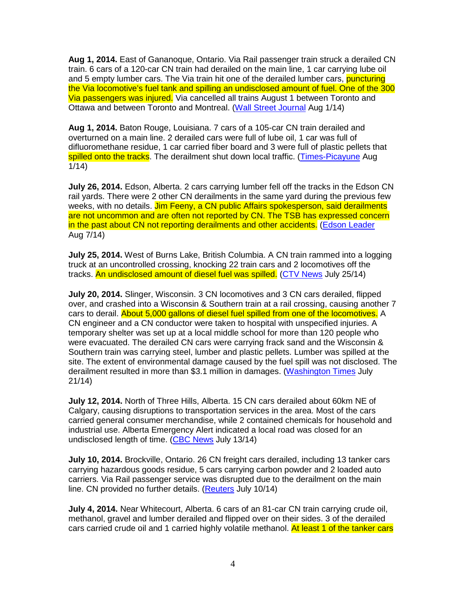**Aug 1, 2014.** East of Gananoque, Ontario. Via Rail passenger train struck a derailed CN train. 6 cars of a 120-car CN train had derailed on the main line, 1 car carrying lube oil and 5 empty lumber cars. The Via train hit one of the derailed lumber cars, **puncturing** the Via locomotive's fuel tank and spilling an undisclosed amount of fuel. One of the 300 Via passengers was injured. Via cancelled all trains August 1 between Toronto and Ottawa and between Toronto and Montreal. (Wall Street Journal Aug 1/14)

**Aug 1, 2014.** Baton Rouge, Louisiana. 7 cars of a 105-car CN train derailed and overturned on a main line. 2 derailed cars were full of lube oil, 1 car was full of difluoromethane residue, 1 car carried fiber board and 3 were full of plastic pellets that spilled onto the tracks. The derailment shut down local traffic. (Times-Picayune Aug 1/14)

**July 26, 2014.** Edson, Alberta. 2 cars carrying lumber fell off the tracks in the Edson CN rail yards. There were 2 other CN derailments in the same yard during the previous few weeks, with no details. Jim Feeny, a CN public Affairs spokesperson, said derailments are not uncommon and are often not reported by CN. The TSB has expressed concern in the past about CN not reporting derailments and other accidents. (Edson Leader Aug 7/14)

**July 25, 2014.** West of Burns Lake, British Columbia. A CN train rammed into a logging truck at an uncontrolled crossing, knocking 22 train cars and 2 locomotives off the tracks. An undisclosed amount of diesel fuel was spilled. (CTV News July 25/14)

**July 20, 2014.** Slinger, Wisconsin. 3 CN locomotives and 3 CN cars derailed, flipped over, and crashed into a Wisconsin & Southern train at a rail crossing, causing another 7 cars to derail. About 5,000 gallons of diesel fuel spilled from one of the locomotives. A CN engineer and a CN conductor were taken to hospital with unspecified injuries. A temporary shelter was set up at a local middle school for more than 120 people who were evacuated. The derailed CN cars were carrying frack sand and the Wisconsin & Southern train was carrying steel, lumber and plastic pellets. Lumber was spilled at the site. The extent of environmental damage caused by the fuel spill was not disclosed. The derailment resulted in more than \$3.1 million in damages. (Washington Times July 21/14)

**July 12, 2014.** North of Three Hills, Alberta. 15 CN cars derailed about 60km NE of Calgary, causing disruptions to transportation services in the area. Most of the cars carried general consumer merchandise, while 2 contained chemicals for household and industrial use. Alberta Emergency Alert indicated a local road was closed for an undisclosed length of time. (CBC News July 13/14)

**July 10, 2014.** Brockville, Ontario. 26 CN freight cars derailed, including 13 tanker cars carrying hazardous goods residue, 5 cars carrying carbon powder and 2 loaded auto carriers. Via Rail passenger service was disrupted due to the derailment on the main line. CN provided no further details. (Reuters July 10/14)

**July 4, 2014.** Near Whitecourt, Alberta. 6 cars of an 81-car CN train carrying crude oil, methanol, gravel and lumber derailed and flipped over on their sides. 3 of the derailed cars carried crude oil and 1 carried highly volatile methanol. At least 1 of the tanker cars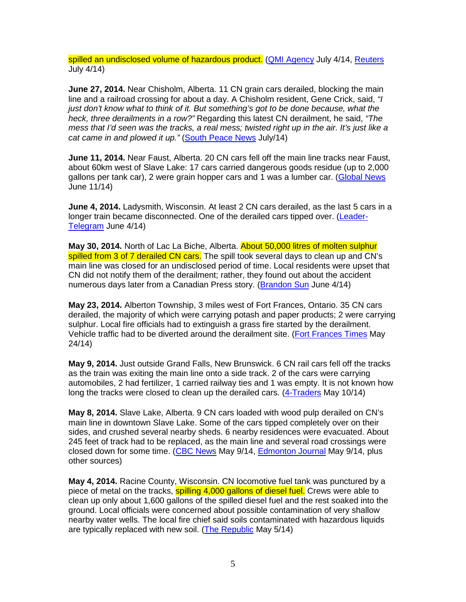spilled an undisclosed volume of hazardous product. (QMI Agency July 4/14, Reuters July 4/14)

**June 27, 2014.** Near Chisholm, Alberta. 11 CN grain cars derailed, blocking the main line and a railroad crossing for about a day. A Chisholm resident, Gene Crick, said, "I just don't know what to think of it. But something's got to be done because, what the heck, three derailments in a row?" Regarding this latest CN derailment, he said, "The mess that I'd seen was the tracks, a real mess; twisted right up in the air. It's just like a cat came in and plowed it up." (South Peace News July/14)

**June 11, 2014.** Near Faust, Alberta. 20 CN cars fell off the main line tracks near Faust, about 60km west of Slave Lake: 17 cars carried dangerous goods residue (up to 2,000 gallons per tank car), 2 were grain hopper cars and 1 was a lumber car. (Global News June 11/14)

**June 4, 2014.** Ladysmith, Wisconsin. At least 2 CN cars derailed, as the last 5 cars in a longer train became disconnected. One of the derailed cars tipped over. (Leader-Telegram June 4/14)

**May 30, 2014.** North of Lac La Biche, Alberta. About 50,000 litres of molten sulphur spilled from 3 of 7 derailed CN cars. The spill took several days to clean up and CN's main line was closed for an undisclosed period of time. Local residents were upset that CN did not notify them of the derailment; rather, they found out about the accident numerous days later from a Canadian Press story. (Brandon Sun June 4/14)

**May 23, 2014.** Alberton Township, 3 miles west of Fort Frances, Ontario. 35 CN cars derailed, the majority of which were carrying potash and paper products; 2 were carrying sulphur. Local fire officials had to extinguish a grass fire started by the derailment. Vehicle traffic had to be diverted around the derailment site. (Fort Frances Times May 24/14)

**May 9, 2014.** Just outside Grand Falls, New Brunswick. 6 CN rail cars fell off the tracks as the train was exiting the main line onto a side track. 2 of the cars were carrying automobiles, 2 had fertilizer, 1 carried railway ties and 1 was empty. It is not known how long the tracks were closed to clean up the derailed cars. (4-Traders May 10/14)

**May 8, 2014.** Slave Lake, Alberta. 9 CN cars loaded with wood pulp derailed on CN's main line in downtown Slave Lake. Some of the cars tipped completely over on their sides, and crushed several nearby sheds. 6 nearby residences were evacuated. About 245 feet of track had to be replaced, as the main line and several road crossings were closed down for some time. (CBC News May 9/14, Edmonton Journal May 9/14, plus other sources)

**May 4, 2014.** Racine County, Wisconsin. CN locomotive fuel tank was punctured by a piece of metal on the tracks, spilling 4,000 gallons of diesel fuel. Crews were able to clean up only about 1,600 gallons of the spilled diesel fuel and the rest soaked into the ground. Local officials were concerned about possible contamination of very shallow nearby water wells. The local fire chief said soils contaminated with hazardous liquids are typically replaced with new soil. (The Republic May 5/14)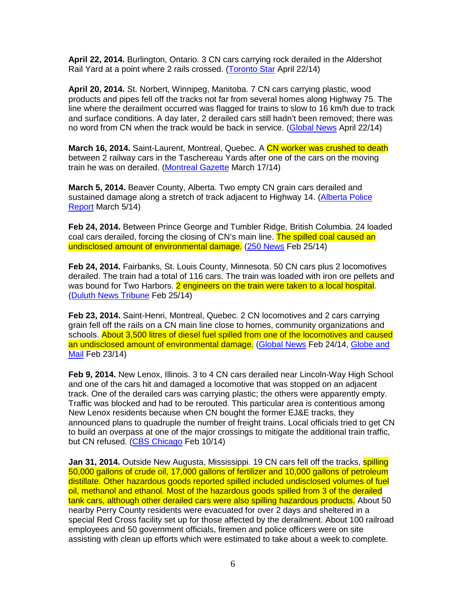**April 22, 2014.** Burlington, Ontario. 3 CN cars carrying rock derailed in the Aldershot Rail Yard at a point where 2 rails crossed. (Toronto Star April 22/14)

**April 20, 2014.** St. Norbert, Winnipeg, Manitoba. 7 CN cars carrying plastic, wood products and pipes fell off the tracks not far from several homes along Highway 75. The line where the derailment occurred was flagged for trains to slow to 16 km/h due to track and surface conditions. A day later, 2 derailed cars still hadn't been removed; there was no word from CN when the track would be back in service. (Global News April 22/14)

**March 16, 2014.** Saint-Laurent, Montreal, Quebec. A CN worker was crushed to death between 2 railway cars in the Taschereau Yards after one of the cars on the moving train he was on derailed. (Montreal Gazette March 17/14)

**March 5, 2014.** Beaver County, Alberta. Two empty CN grain cars derailed and sustained damage along a stretch of track adjacent to Highway 14. (Alberta Police Report March 5/14)

**Feb 24, 2014.** Between Prince George and Tumbler Ridge, British Columbia. 24 loaded coal cars derailed, forcing the closing of CN's main line. The spilled coal caused an undisclosed amount of environmental damage. (250 News Feb 25/14)

**Feb 24, 2014.** Fairbanks, St. Louis County, Minnesota. 50 CN cars plus 2 locomotives derailed. The train had a total of 116 cars. The train was loaded with iron ore pellets and was bound for Two Harbors. **2 engineers on the train were taken to a local hospital**. (Duluth News Tribune Feb 25/14)

**Feb 23, 2014.** Saint-Henri, Montreal, Quebec. 2 CN locomotives and 2 cars carrying grain fell off the rails on a CN main line close to homes, community organizations and schools. About 3,500 litres of diesel fuel spilled from one of the locomotives and caused an undisclosed amount of environmental damage. (Global News Feb 24/14, Globe and Mail Feb 23/14)

**Feb 9, 2014.** New Lenox, Illinois. 3 to 4 CN cars derailed near Lincoln-Way High School and one of the cars hit and damaged a locomotive that was stopped on an adjacent track. One of the derailed cars was carrying plastic; the others were apparently empty. Traffic was blocked and had to be rerouted. This particular area is contentious among New Lenox residents because when CN bought the former EJ&E tracks, they announced plans to quadruple the number of freight trains. Local officials tried to get CN to build an overpass at one of the major crossings to mitigate the additional train traffic, but CN refused. (CBS Chicago Feb 10/14)

**Jan 31, 2014.** Outside New Augusta, Mississippi. 19 CN cars fell off the tracks, **spilling** 50,000 gallons of crude oil, 17,000 gallons of fertilizer and 10,000 gallons of petroleum distillate. Other hazardous goods reported spilled included undisclosed volumes of fuel oil, methanol and ethanol. Most of the hazardous goods spilled from 3 of the derailed tank cars, although other derailed cars were also spilling hazardous products. About 50 nearby Perry County residents were evacuated for over 2 days and sheltered in a special Red Cross facility set up for those affected by the derailment. About 100 railroad employees and 50 government officials, firemen and police officers were on site assisting with clean up efforts which were estimated to take about a week to complete.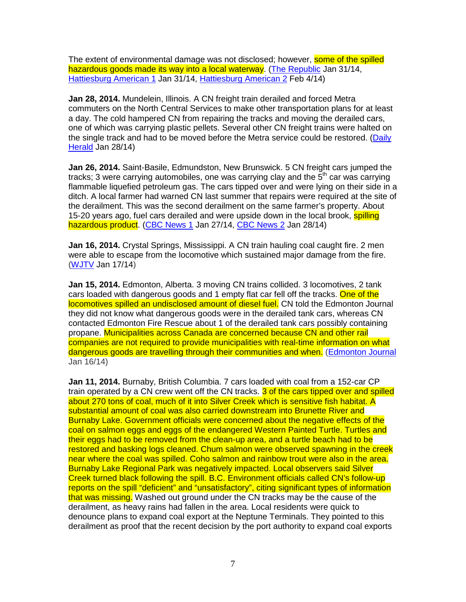The extent of environmental damage was not disclosed; however, **some of the spilled** hazardous goods made its way into a local waterway. (The Republic Jan 31/14, Hattiesburg American 1 Jan 31/14, Hattiesburg American 2 Feb 4/14)

**Jan 28, 2014.** Mundelein, Illinois. A CN freight train derailed and forced Metra commuters on the North Central Services to make other transportation plans for at least a day. The cold hampered CN from repairing the tracks and moving the derailed cars, one of which was carrying plastic pellets. Several other CN freight trains were halted on the single track and had to be moved before the Metra service could be restored. (Daily Herald Jan 28/14)

**Jan 26, 2014.** Saint-Basile, Edmundston, New Brunswick. 5 CN freight cars jumped the tracks; 3 were carrying automobiles, one was carrying clay and the  $5<sup>th</sup>$  car was carrying flammable liquefied petroleum gas. The cars tipped over and were lying on their side in a ditch. A local farmer had warned CN last summer that repairs were required at the site of the derailment. This was the second derailment on the same farmer's property. About 15-20 years ago, fuel cars derailed and were upside down in the local brook, spilling hazardous product. (CBC News 1 Jan 27/14, CBC News 2 Jan 28/14)

**Jan 16, 2014.** Crystal Springs, Mississippi. A CN train hauling coal caught fire. 2 men were able to escape from the locomotive which sustained major damage from the fire. (WJTV Jan 17/14)

**Jan 15, 2014.** Edmonton, Alberta. 3 moving CN trains collided. 3 locomotives, 2 tank cars loaded with dangerous goods and 1 empty flat car fell off the tracks. One of the locomotives spilled an undisclosed amount of diesel fuel. CN told the Edmonton Journal they did not know what dangerous goods were in the derailed tank cars, whereas CN contacted Edmonton Fire Rescue about 1 of the derailed tank cars possibly containing propane. Municipalities across Canada are concerned because CN and other rail companies are not required to provide municipalities with real-time information on what dangerous goods are travelling through their communities and when. (Edmonton Journal Jan 16/14)

**Jan 11, 2014.** Burnaby, British Columbia. 7 cars loaded with coal from a 152-car CP train operated by a CN crew went off the CN tracks. 3 of the cars tipped over and spilled about 270 tons of coal, much of it into Silver Creek which is sensitive fish habitat. A substantial amount of coal was also carried downstream into Brunette River and Burnaby Lake. Government officials were concerned about the negative effects of the coal on salmon eggs and eggs of the endangered Western Painted Turtle. Turtles and their eggs had to be removed from the clean-up area, and a turtle beach had to be restored and basking logs cleaned. Chum salmon were observed spawning in the creek near where the coal was spilled. Coho salmon and rainbow trout were also in the area. Burnaby Lake Regional Park was negatively impacted. Local observers said Silver Creek turned black following the spill. B.C. Environment officials called CN's follow-up reports on the spill "deficient" and "unsatisfactory", citing significant types of information that was missing. Washed out ground under the CN tracks may be the cause of the derailment, as heavy rains had fallen in the area. Local residents were quick to denounce plans to expand coal export at the Neptune Terminals. They pointed to this derailment as proof that the recent decision by the port authority to expand coal exports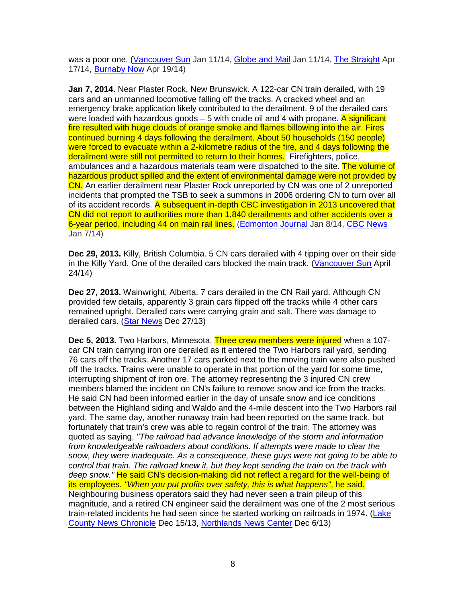was a poor one. (Vancouver Sun Jan 11/14, Globe and Mail Jan 11/14, The Straight Apr 17/14, Burnaby Now Apr 19/14)

**Jan 7, 2014.** Near Plaster Rock, New Brunswick. A 122-car CN train derailed, with 19 cars and an unmanned locomotive falling off the tracks. A cracked wheel and an emergency brake application likely contributed to the derailment. 9 of the derailed cars were loaded with hazardous goods  $-5$  with crude oil and 4 with propane. A significant fire resulted with huge clouds of orange smoke and flames billowing into the air. Fires continued burning 4 days following the derailment. About 50 households (150 people) were forced to evacuate within a 2-kilometre radius of the fire, and 4 days following the derailment were still not permitted to return to their homes. Firefighters, police, ambulances and a hazardous materials team were dispatched to the site. The volume of hazardous product spilled and the extent of environmental damage were not provided by CN. An earlier derailment near Plaster Rock unreported by CN was one of 2 unreported incidents that prompted the TSB to seek a summons in 2006 ordering CN to turn over all of its accident records. A subsequent in-depth CBC investigation in 2013 uncovered that CN did not report to authorities more than 1,840 derailments and other accidents over a 6-year period, including 44 on main rail lines. (Edmonton Journal Jan 8/14, CBC News Jan 7/14)

**Dec 29, 2013.** Killy, British Columbia. 5 CN cars derailed with 4 tipping over on their side in the Killy Yard. One of the derailed cars blocked the main track. (Vancouver Sun April 24/14)

**Dec 27, 2013.** Wainwright, Alberta. 7 cars derailed in the CN Rail yard. Although CN provided few details, apparently 3 grain cars flipped off the tracks while 4 other cars remained upright. Derailed cars were carrying grain and salt. There was damage to derailed cars. (Star News Dec 27/13)

**Dec 5, 2013.** Two Harbors, Minnesota. Three crew members were injured when a 107 car CN train carrying iron ore derailed as it entered the Two Harbors rail yard, sending 76 cars off the tracks. Another 17 cars parked next to the moving train were also pushed off the tracks. Trains were unable to operate in that portion of the yard for some time, interrupting shipment of iron ore. The attorney representing the 3 injured CN crew members blamed the incident on CN's failure to remove snow and ice from the tracks. He said CN had been informed earlier in the day of unsafe snow and ice conditions between the Highland siding and Waldo and the 4-mile descent into the Two Harbors rail yard. The same day, another runaway train had been reported on the same track, but fortunately that train's crew was able to regain control of the train. The attorney was quoted as saying, "The railroad had advance knowledge of the storm and information from knowledgeable railroaders about conditions. If attempts were made to clear the snow, they were inadequate. As a consequence, these guys were not going to be able to control that train. The railroad knew it, but they kept sending the train on the track with deep snow." He said CN's decision-making did not reflect a regard for the well-being of its employees. "When you put profits over safety, this is what happens", he said. Neighbouring business operators said they had never seen a train pileup of this magnitude, and a retired CN engineer said the derailment was one of the 2 most serious train-related incidents he had seen since he started working on railroads in 1974. (Lake County News Chronicle Dec 15/13, Northlands News Center Dec 6/13)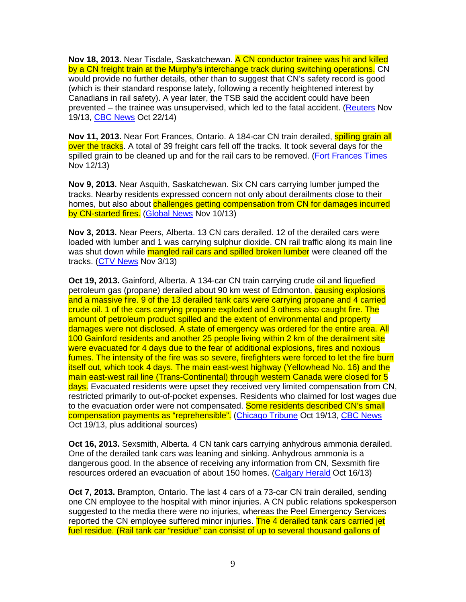**Nov 18, 2013.** Near Tisdale, Saskatchewan. A CN conductor trainee was hit and killed by a CN freight train at the Murphy's interchange track during switching operations. CN would provide no further details, other than to suggest that CN's safety record is good (which is their standard response lately, following a recently heightened interest by Canadians in rail safety). A year later, the TSB said the accident could have been prevented – the trainee was unsupervised, which led to the fatal accident. (Reuters Nov 19/13, CBC News Oct 22/14)

**Nov 11, 2013.** Near Fort Frances, Ontario. A 184-car CN train derailed, **spilling grain all** over the tracks. A total of 39 freight cars fell off the tracks. It took several days for the spilled grain to be cleaned up and for the rail cars to be removed. (Fort Frances Times Nov 12/13)

**Nov 9, 2013.** Near Asquith, Saskatchewan. Six CN cars carrying lumber jumped the tracks. Nearby residents expressed concern not only about derailments close to their homes, but also about challenges getting compensation from CN for damages incurred by CN-started fires. (Global News Nov 10/13)

**Nov 3, 2013.** Near Peers, Alberta. 13 CN cars derailed. 12 of the derailed cars were loaded with lumber and 1 was carrying sulphur dioxide. CN rail traffic along its main line was shut down while mangled rail cars and spilled broken lumber were cleaned off the tracks. (CTV News Nov 3/13)

**Oct 19, 2013.** Gainford, Alberta. A 134-car CN train carrying crude oil and liquefied petroleum gas (propane) derailed about 90 km west of Edmonton, **causing explosions** and a massive fire. 9 of the 13 derailed tank cars were carrying propane and 4 carried crude oil. 1 of the cars carrying propane exploded and 3 others also caught fire. The amount of petroleum product spilled and the extent of environmental and property damages were not disclosed. A state of emergency was ordered for the entire area. All 100 Gainford residents and another 25 people living within 2 km of the derailment site were evacuated for 4 days due to the fear of additional explosions, fires and noxious fumes. The intensity of the fire was so severe, firefighters were forced to let the fire burn itself out, which took 4 days. The main east-west highway (Yellowhead No. 16) and the main east-west rail line (Trans-Continental) through western Canada were closed for 5 days. Evacuated residents were upset they received very limited compensation from CN, restricted primarily to out-of-pocket expenses. Residents who claimed for lost wages due to the evacuation order were not compensated. Some residents described CN's small compensation payments as "reprehensible". (Chicago Tribune Oct 19/13, CBC News Oct 19/13, plus additional sources)

**Oct 16, 2013.** Sexsmith, Alberta. 4 CN tank cars carrying anhydrous ammonia derailed. One of the derailed tank cars was leaning and sinking. Anhydrous ammonia is a dangerous good. In the absence of receiving any information from CN, Sexsmith fire resources ordered an evacuation of about 150 homes. (Calgary Herald Oct 16/13)

**Oct 7, 2013.** Brampton, Ontario. The last 4 cars of a 73-car CN train derailed, sending one CN employee to the hospital with minor injuries. A CN public relations spokesperson suggested to the media there were no injuries, whereas the Peel Emergency Services reported the CN employee suffered minor injuries. The 4 derailed tank cars carried jet fuel residue. (Rail tank car "residue" can consist of up to several thousand gallons of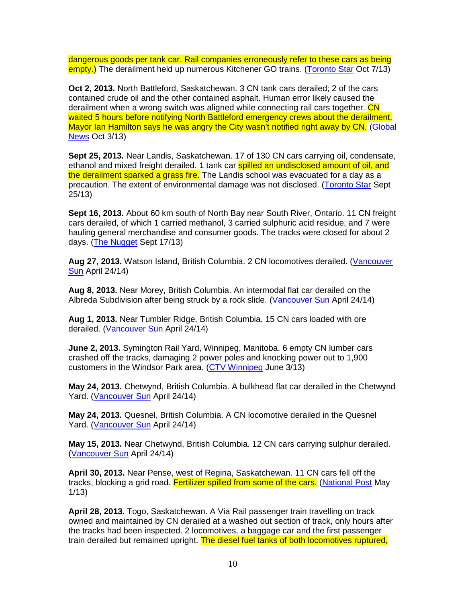dangerous goods per tank car. Rail companies erroneously refer to these cars as being empty.) The derailment held up numerous Kitchener GO trains. (Toronto Star Oct 7/13)

**Oct 2, 2013.** North Battleford, Saskatchewan. 3 CN tank cars derailed; 2 of the cars contained crude oil and the other contained asphalt. Human error likely caused the derailment when a wrong switch was aligned while connecting rail cars together. CN waited 5 hours before notifying North Battleford emergency crews about the derailment. Mayor Ian Hamilton says he was angry the City wasn't notified right away by CN. (Global News Oct 3/13)

**Sept 25, 2013.** Near Landis, Saskatchewan. 17 of 130 CN cars carrying oil, condensate, ethanol and mixed freight derailed. 1 tank car **spilled an undisclosed amount of oil, and** the derailment sparked a grass fire. The Landis school was evacuated for a day as a precaution. The extent of environmental damage was not disclosed. (Toronto Star Sept 25/13)

**Sept 16, 2013.** About 60 km south of North Bay near South River, Ontario. 11 CN freight cars derailed, of which 1 carried methanol, 3 carried sulphuric acid residue, and 7 were hauling general merchandise and consumer goods. The tracks were closed for about 2 days. (The Nugget Sept 17/13)

**Aug 27, 2013.** Watson Island, British Columbia. 2 CN locomotives derailed. (Vancouver **Sun** April 24/14)

**Aug 8, 2013.** Near Morey, British Columbia. An intermodal flat car derailed on the Albreda Subdivision after being struck by a rock slide. (Vancouver Sun April 24/14)

**Aug 1, 2013.** Near Tumbler Ridge, British Columbia. 15 CN cars loaded with ore derailed. (Vancouver Sun April 24/14)

**June 2, 2013.** Symington Rail Yard, Winnipeg, Manitoba. 6 empty CN lumber cars crashed off the tracks, damaging 2 power poles and knocking power out to 1,900 customers in the Windsor Park area. (CTV Winnipeg June 3/13)

**May 24, 2013.** Chetwynd, British Columbia. A bulkhead flat car derailed in the Chetwynd Yard. (Vancouver Sun April 24/14)

**May 24, 2013.** Quesnel, British Columbia. A CN locomotive derailed in the Quesnel Yard. (Vancouver Sun April 24/14)

**May 15, 2013.** Near Chetwynd, British Columbia. 12 CN cars carrying sulphur derailed. (Vancouver Sun April 24/14)

**April 30, 2013.** Near Pense, west of Regina, Saskatchewan. 11 CN cars fell off the tracks, blocking a grid road. Fertilizer spilled from some of the cars. (National Post May 1/13)

**April 28, 2013.** Togo, Saskatchewan. A Via Rail passenger train travelling on track owned and maintained by CN derailed at a washed out section of track, only hours after the tracks had been inspected. 2 locomotives, a baggage car and the first passenger train derailed but remained upright. The diesel fuel tanks of both locomotives ruptured,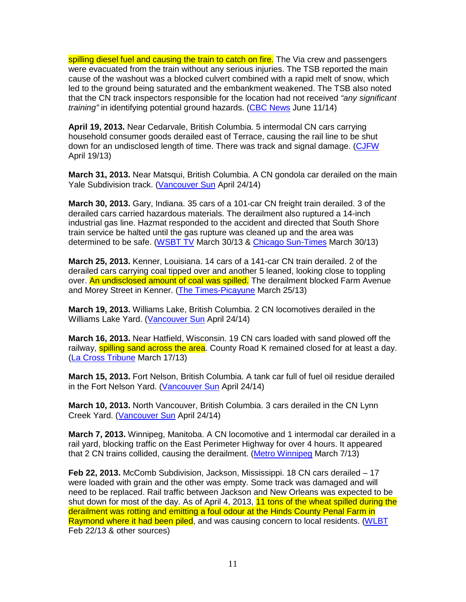spilling diesel fuel and causing the train to catch on fire. The Via crew and passengers were evacuated from the train without any serious injuries. The TSB reported the main cause of the washout was a blocked culvert combined with a rapid melt of snow, which led to the ground being saturated and the embankment weakened. The TSB also noted that the CN track inspectors responsible for the location had not received "any significant" training" in identifying potential ground hazards. (CBC News June 11/14)

**April 19, 2013.** Near Cedarvale, British Columbia. 5 intermodal CN cars carrying household consumer goods derailed east of Terrace, causing the rail line to be shut down for an undisclosed length of time. There was track and signal damage. (CJFW April 19/13)

**March 31, 2013.** Near Matsqui, British Columbia. A CN gondola car derailed on the main Yale Subdivision track. (Vancouver Sun April 24/14)

**March 30, 2013.** Gary, Indiana. 35 cars of a 101-car CN freight train derailed. 3 of the derailed cars carried hazardous materials. The derailment also ruptured a 14-inch industrial gas line. Hazmat responded to the accident and directed that South Shore train service be halted until the gas rupture was cleaned up and the area was determined to be safe. (WSBT TV March 30/13 & Chicago Sun-Times March 30/13)

**March 25, 2013.** Kenner, Louisiana. 14 cars of a 141-car CN train derailed. 2 of the derailed cars carrying coal tipped over and another 5 leaned, looking close to toppling over. An undisclosed amount of coal was spilled. The derailment blocked Farm Avenue and Morey Street in Kenner. (The Times-Picayune March 25/13)

**March 19, 2013.** Williams Lake, British Columbia. 2 CN locomotives derailed in the Williams Lake Yard. (Vancouver Sun April 24/14)

**March 16, 2013.** Near Hatfield, Wisconsin. 19 CN cars loaded with sand plowed off the railway, **spilling sand across the area**. County Road K remained closed for at least a day. (La Cross Tribune March 17/13)

**March 15, 2013.** Fort Nelson, British Columbia. A tank car full of fuel oil residue derailed in the Fort Nelson Yard. (Vancouver Sun April 24/14)

**March 10, 2013.** North Vancouver, British Columbia. 3 cars derailed in the CN Lynn Creek Yard. (Vancouver Sun April 24/14)

**March 7, 2013.** Winnipeg, Manitoba. A CN locomotive and 1 intermodal car derailed in a rail yard, blocking traffic on the East Perimeter Highway for over 4 hours. It appeared that 2 CN trains collided, causing the derailment. (Metro Winnipeg March 7/13)

**Feb 22, 2013.** McComb Subdivision, Jackson, Mississippi. 18 CN cars derailed – 17 were loaded with grain and the other was empty. Some track was damaged and will need to be replaced. Rail traffic between Jackson and New Orleans was expected to be shut down for most of the day. As of April 4, 2013, 11 tons of the wheat spilled during the derailment was rotting and emitting a foul odour at the Hinds County Penal Farm in Raymond where it had been piled, and was causing concern to local residents. (WLBT Feb 22/13 & other sources)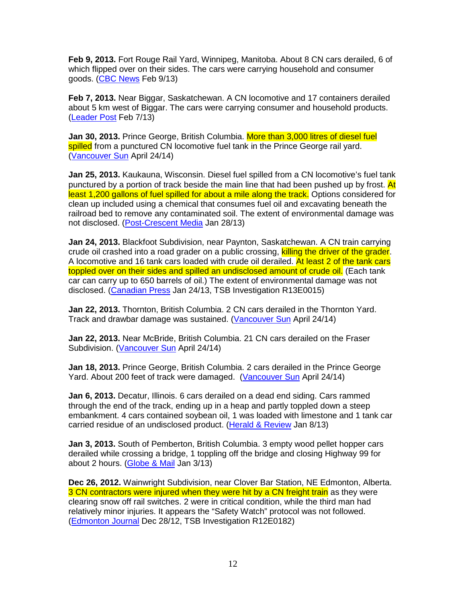**Feb 9, 2013.** Fort Rouge Rail Yard, Winnipeg, Manitoba. About 8 CN cars derailed, 6 of which flipped over on their sides. The cars were carrying household and consumer goods. (CBC News Feb 9/13)

**Feb 7, 2013.** Near Biggar, Saskatchewan. A CN locomotive and 17 containers derailed about 5 km west of Biggar. The cars were carrying consumer and household products. (Leader Post Feb 7/13)

**Jan 30, 2013.** Prince George, British Columbia. More than 3,000 litres of diesel fuel spilled from a punctured CN locomotive fuel tank in the Prince George rail yard. (Vancouver Sun April 24/14)

**Jan 25, 2013.** Kaukauna, Wisconsin. Diesel fuel spilled from a CN locomotive's fuel tank punctured by a portion of track beside the main line that had been pushed up by frost. At least 1,200 gallons of fuel spilled for about a mile along the track. Options considered for clean up included using a chemical that consumes fuel oil and excavating beneath the railroad bed to remove any contaminated soil. The extent of environmental damage was not disclosed. (Post-Crescent Media Jan 28/13)

**Jan 24, 2013.** Blackfoot Subdivision, near Paynton, Saskatchewan. A CN train carrying crude oil crashed into a road grader on a public crossing, killing the driver of the grader. A locomotive and 16 tank cars loaded with crude oil derailed. At least 2 of the tank cars toppled over on their sides and spilled an undisclosed amount of crude oil. (Each tank car can carry up to 650 barrels of oil.) The extent of environmental damage was not disclosed. (Canadian Press Jan 24/13, TSB Investigation R13E0015)

**Jan 22, 2013.** Thornton, British Columbia. 2 CN cars derailed in the Thornton Yard. Track and drawbar damage was sustained. (Vancouver Sun April 24/14)

**Jan 22, 2013.** Near McBride, British Columbia. 21 CN cars derailed on the Fraser Subdivision. (Vancouver Sun April 24/14)

**Jan 18, 2013.** Prince George, British Columbia. 2 cars derailed in the Prince George Yard. About 200 feet of track were damaged. (Vancouver Sun April 24/14)

**Jan 6, 2013.** Decatur, Illinois. 6 cars derailed on a dead end siding. Cars rammed through the end of the track, ending up in a heap and partly toppled down a steep embankment. 4 cars contained soybean oil, 1 was loaded with limestone and 1 tank car carried residue of an undisclosed product. (Herald & Review Jan 8/13)

**Jan 3, 2013.** South of Pemberton, British Columbia. 3 empty wood pellet hopper cars derailed while crossing a bridge, 1 toppling off the bridge and closing Highway 99 for about 2 hours. (Globe & Mail Jan 3/13)

**Dec 26, 2012.** Wainwright Subdivision, near Clover Bar Station, NE Edmonton, Alberta. 3 CN contractors were injured when they were hit by a CN freight train as they were clearing snow off rail switches. 2 were in critical condition, while the third man had relatively minor injuries. It appears the "Safety Watch" protocol was not followed. (Edmonton Journal Dec 28/12, TSB Investigation R12E0182)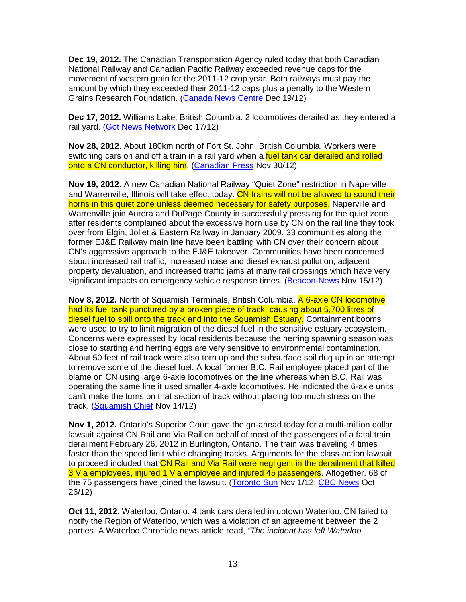**Dec 19, 2012.** The Canadian Transportation Agency ruled today that both Canadian National Railway and Canadian Pacific Railway exceeded revenue caps for the movement of western grain for the 2011-12 crop year. Both railways must pay the amount by which they exceeded their 2011-12 caps plus a penalty to the Western Grains Research Foundation. (Canada News Centre Dec 19/12)

**Dec 17, 2012.** Williams Lake, British Columbia. 2 locomotives derailed as they entered a rail yard. (Got News Network Dec 17/12)

**Nov 28, 2012.** About 180km north of Fort St. John, British Columbia. Workers were switching cars on and off a train in a rail yard when a fuel tank car derailed and rolled onto a CN conductor, killing him. (Canadian Press Nov 30/12)

**Nov 19, 2012.** A new Canadian National Railway "Quiet Zone" restriction in Naperville and Warrenville, Illinois will take effect today. CN trains will not be allowed to sound their horns in this quiet zone unless deemed necessary for safety purposes. Naperville and Warrenville join Aurora and DuPage County in successfully pressing for the quiet zone after residents complained about the excessive horn use by CN on the rail line they took over from Elgin, Joliet & Eastern Railway in January 2009. 33 communities along the former EJ&E Railway main line have been battling with CN over their concern about CN's aggressive approach to the EJ&E takeover. Communities have been concerned about increased rail traffic, increased noise and diesel exhaust pollution, adjacent property devaluation, and increased traffic jams at many rail crossings which have very significant impacts on emergency vehicle response times. (Beacon-News Nov 15/12)

**Nov 8, 2012.** North of Squamish Terminals, British Columbia. A 6-axle CN locomotive had its fuel tank punctured by a broken piece of track, causing about 5,700 litres of diesel fuel to spill onto the track and into the Squamish Estuary. Containment booms were used to try to limit migration of the diesel fuel in the sensitive estuary ecosystem. Concerns were expressed by local residents because the herring spawning season was close to starting and herring eggs are very sensitive to environmental contamination. About 50 feet of rail track were also torn up and the subsurface soil dug up in an attempt to remove some of the diesel fuel. A local former B.C. Rail employee placed part of the blame on CN using large 6-axle locomotives on the line whereas when B.C. Rail was operating the same line it used smaller 4-axle locomotives. He indicated the 6-axle units can't make the turns on that section of track without placing too much stress on the track. (Squamish Chief Nov 14/12)

**Nov 1, 2012.** Ontario's Superior Court gave the go-ahead today for a multi-million dollar lawsuit against CN Rail and Via Rail on behalf of most of the passengers of a fatal train derailment February 26, 2012 in Burlington, Ontario. The train was traveling 4 times faster than the speed limit while changing tracks. Arguments for the class-action lawsuit to proceed included that CN Rail and Via Rail were negligent in the derailment that killed 3 Via employees, injured 1 Via employee and injured 45 passengers. Altogether, 68 of the 75 passengers have joined the lawsuit. (Toronto Sun Nov 1/12, CBC News Oct 26/12)

**Oct 11, 2012.** Waterloo, Ontario. 4 tank cars derailed in uptown Waterloo. CN failed to notify the Region of Waterloo, which was a violation of an agreement between the 2 parties. A Waterloo Chronicle news article read, "The incident has left Waterloo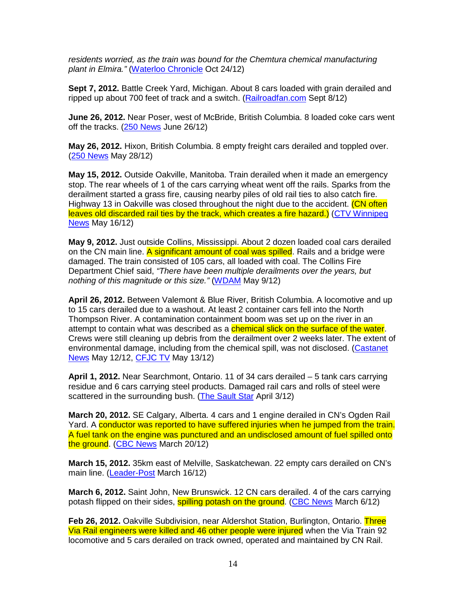residents worried, as the train was bound for the Chemtura chemical manufacturing plant in Elmira." (Waterloo Chronicle Oct 24/12)

**Sept 7, 2012.** Battle Creek Yard, Michigan. About 8 cars loaded with grain derailed and ripped up about 700 feet of track and a switch. (Railroadfan.com Sept 8/12)

**June 26, 2012.** Near Poser, west of McBride, British Columbia. 8 loaded coke cars went off the tracks. (250 News June 26/12)

**May 26, 2012.** Hixon, British Columbia. 8 empty freight cars derailed and toppled over. (250 News May 28/12)

**May 15, 2012.** Outside Oakville, Manitoba. Train derailed when it made an emergency stop. The rear wheels of 1 of the cars carrying wheat went off the rails. Sparks from the derailment started a grass fire, causing nearby piles of old rail ties to also catch fire. Highway 13 in Oakville was closed throughout the night due to the accident. (CN often leaves old discarded rail ties by the track, which creates a fire hazard.) (CTV Winnipeg News May 16/12)

**May 9, 2012.** Just outside Collins, Mississippi. About 2 dozen loaded coal cars derailed on the CN main line. A significant amount of coal was spilled. Rails and a bridge were damaged. The train consisted of 105 cars, all loaded with coal. The Collins Fire Department Chief said, "There have been multiple derailments over the years, but nothing of this magnitude or this size." (WDAM May 9/12)

**April 26, 2012.** Between Valemont & Blue River, British Columbia. A locomotive and up to 15 cars derailed due to a washout. At least 2 container cars fell into the North Thompson River. A contamination containment boom was set up on the river in an attempt to contain what was described as a chemical slick on the surface of the water. Crews were still cleaning up debris from the derailment over 2 weeks later. The extent of environmental damage, including from the chemical spill, was not disclosed. (Castanet News May 12/12, CFJC TV May 13/12)

**April 1, 2012.** Near Searchmont, Ontario. 11 of 34 cars derailed – 5 tank cars carrying residue and 6 cars carrying steel products. Damaged rail cars and rolls of steel were scattered in the surrounding bush. (The Sault Star April 3/12)

**March 20, 2012.** SE Calgary, Alberta. 4 cars and 1 engine derailed in CN's Ogden Rail Yard. A conductor was reported to have suffered injuries when he jumped from the train. A fuel tank on the engine was punctured and an undisclosed amount of fuel spilled onto the ground. (CBC News March 20/12)

**March 15, 2012.** 35km east of Melville, Saskatchewan. 22 empty cars derailed on CN's main line. (Leader-Post March 16/12)

**March 6, 2012.** Saint John, New Brunswick. 12 CN cars derailed. 4 of the cars carrying potash flipped on their sides, **spilling potash on the ground.** (CBC News March 6/12)

**Feb 26, 2012.** Oakville Subdivision, near Aldershot Station, Burlington, Ontario. Three Via Rail engineers were killed and 46 other people were injured when the Via Train 92 locomotive and 5 cars derailed on track owned, operated and maintained by CN Rail.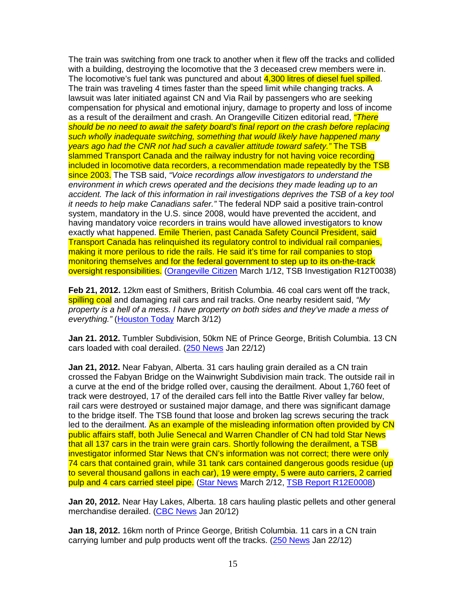The train was switching from one track to another when it flew off the tracks and collided with a building, destroying the locomotive that the 3 deceased crew members were in. The locomotive's fuel tank was punctured and about 4,300 litres of diesel fuel spilled. The train was traveling 4 times faster than the speed limit while changing tracks. A lawsuit was later initiated against CN and Via Rail by passengers who are seeking compensation for physical and emotional injury, damage to property and loss of income as a result of the derailment and crash. An Orangeville Citizen editorial read, *"There* should be no need to await the safety board's final report on the crash before replacing such wholly inadequate switching, something that would likely have happened many years ago had the CNR not had such a cavalier attitude toward safety." The TSB slammed Transport Canada and the railway industry for not having voice recording included in locomotive data recorders, a recommendation made repeatedly by the TSB since 2003. The TSB said, "Voice recordings allow investigators to understand the environment in which crews operated and the decisions they made leading up to an accident. The lack of this information in rail investigations deprives the TSB of a key tool it needs to help make Canadians safer." The federal NDP said a positive train-control system, mandatory in the U.S. since 2008, would have prevented the accident, and having mandatory voice recorders in trains would have allowed investigators to know exactly what happened. Emile Therien, past Canada Safety Council President, said Transport Canada has relinquished its regulatory control to individual rail companies, making it more perilous to ride the rails. He said it's time for rail companies to stop monitoring themselves and for the federal government to step up to its on-the-track oversight responsibilities. (Orangeville Citizen March 1/12, TSB Investigation R12T0038)

**Feb 21, 2012.** 12km east of Smithers, British Columbia. 46 coal cars went off the track, spilling coal and damaging rail cars and rail tracks. One nearby resident said, "My property is a hell of a mess. I have property on both sides and they've made a mess of everything." (Houston Today March 3/12)

**Jan 21. 2012.** Tumbler Subdivision, 50km NE of Prince George, British Columbia. 13 CN cars loaded with coal derailed. (250 News Jan 22/12)

**Jan 21, 2012.** Near Fabyan, Alberta. 31 cars hauling grain derailed as a CN train crossed the Fabyan Bridge on the Wainwright Subdivision main track. The outside rail in a curve at the end of the bridge rolled over, causing the derailment. About 1,760 feet of track were destroyed, 17 of the derailed cars fell into the Battle River valley far below, rail cars were destroyed or sustained major damage, and there was significant damage to the bridge itself. The TSB found that loose and broken lag screws securing the track led to the derailment. As an example of the misleading information often provided by CN public affairs staff, both Julie Senecal and Warren Chandler of CN had told Star News that all 137 cars in the train were grain cars. Shortly following the derailment, a TSB investigator informed Star News that CN's information was not correct; there were only 74 cars that contained grain, while 31 tank cars contained dangerous goods residue (up to several thousand gallons in each car), 19 were empty, 5 were auto carriers, 2 carried pulp and 4 cars carried steel pipe. (Star News March 2/12, TSB Report R12E0008)

**Jan 20, 2012.** Near Hay Lakes, Alberta. 18 cars hauling plastic pellets and other general merchandise derailed. (CBC News Jan 20/12)

**Jan 18, 2012.** 16km north of Prince George, British Columbia. 11 cars in a CN train carrying lumber and pulp products went off the tracks. (250 News Jan 22/12)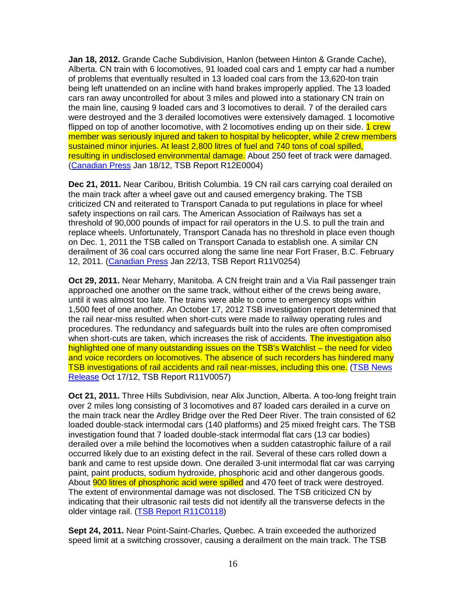**Jan 18, 2012.** Grande Cache Subdivision, Hanlon (between Hinton & Grande Cache), Alberta. CN train with 6 locomotives, 91 loaded coal cars and 1 empty car had a number of problems that eventually resulted in 13 loaded coal cars from the 13,620-ton train being left unattended on an incline with hand brakes improperly applied. The 13 loaded cars ran away uncontrolled for about 3 miles and plowed into a stationary CN train on the main line, causing 9 loaded cars and 3 locomotives to derail. 7 of the derailed cars were destroyed and the 3 derailed locomotives were extensively damaged. 1 locomotive flipped on top of another locomotive, with 2 locomotives ending up on their side. 1 crew member was seriously injured and taken to hospital by helicopter, while 2 crew members sustained minor injuries. At least 2,800 litres of fuel and 740 tons of coal spilled, resulting in undisclosed environmental damage. About 250 feet of track were damaged. (Canadian Press Jan 18/12, TSB Report R12E0004)

**Dec 21, 2011.** Near Caribou, British Columbia. 19 CN rail cars carrying coal derailed on the main track after a wheel gave out and caused emergency braking. The TSB criticized CN and reiterated to Transport Canada to put regulations in place for wheel safety inspections on rail cars. The American Association of Railways has set a threshold of 90,000 pounds of impact for rail operators in the U.S. to pull the train and replace wheels. Unfortunately, Transport Canada has no threshold in place even though on Dec. 1, 2011 the TSB called on Transport Canada to establish one. A similar CN derailment of 36 coal cars occurred along the same line near Fort Fraser, B.C. February 12, 2011. (Canadian Press Jan 22/13, TSB Report R11V0254)

**Oct 29, 2011.** Near Meharry, Manitoba. A CN freight train and a Via Rail passenger train approached one another on the same track, without either of the crews being aware, until it was almost too late. The trains were able to come to emergency stops within 1,500 feet of one another. An October 17, 2012 TSB investigation report determined that the rail near-miss resulted when short-cuts were made to railway operating rules and procedures. The redundancy and safeguards built into the rules are often compromised when short-cuts are taken, which increases the risk of accidents. The investigation also highlighted one of many outstanding issues on the TSB's Watchlist – the need for video and voice recorders on locomotives. The absence of such recorders has hindered many TSB investigations of rail accidents and rail near-misses, including this one. (TSB News Release Oct 17/12, TSB Report R11V0057)

**Oct 21, 2011.** Three Hills Subdivision, near Alix Junction, Alberta. A too-long freight train over 2 miles long consisting of 3 locomotives and 87 loaded cars derailed in a curve on the main track near the Ardley Bridge over the Red Deer River. The train consisted of 62 loaded double-stack intermodal cars (140 platforms) and 25 mixed freight cars. The TSB investigation found that 7 loaded double-stack intermodal flat cars (13 car bodies) derailed over a mile behind the locomotives when a sudden catastrophic failure of a rail occurred likely due to an existing defect in the rail. Several of these cars rolled down a bank and came to rest upside down. One derailed 3-unit intermodal flat car was carrying paint, paint products, sodium hydroxide, phosphoric acid and other dangerous goods. About **900 litres of phosphoric acid were spilled** and 470 feet of track were destroyed. The extent of environmental damage was not disclosed. The TSB criticized CN by indicating that their ultrasonic rail tests did not identify all the transverse defects in the older vintage rail. (TSB Report R11C0118)

**Sept 24, 2011.** Near Point-Saint-Charles, Quebec. A train exceeded the authorized speed limit at a switching crossover, causing a derailment on the main track. The TSB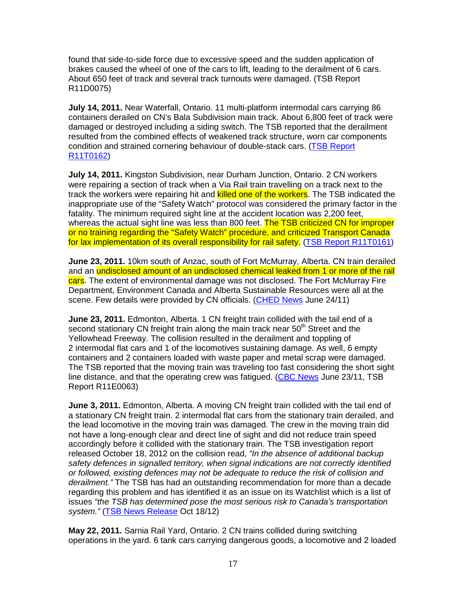found that side-to-side force due to excessive speed and the sudden application of brakes caused the wheel of one of the cars to lift, leading to the derailment of 6 cars. About 650 feet of track and several track turnouts were damaged. (TSB Report R11D0075)

**July 14, 2011.** Near Waterfall, Ontario. 11 multi-platform intermodal cars carrying 86 containers derailed on CN's Bala Subdivision main track. About 6,800 feet of track were damaged or destroyed including a siding switch. The TSB reported that the derailment resulted from the combined effects of weakened track structure, worn car components condition and strained cornering behaviour of double-stack cars. (TSB Report R11T0162)

**July 14, 2011.** Kingston Subdivision, near Durham Junction, Ontario. 2 CN workers were repairing a section of track when a Via Rail train travelling on a track next to the track the workers were repairing hit and killed one of the workers. The TSB indicated the inappropriate use of the "Safety Watch" protocol was considered the primary factor in the fatality. The minimum required sight line at the accident location was 2,200 feet, whereas the actual sight line was less than 800 feet. The TSB criticized CN for improper or no training regarding the "Safety Watch" procedure, and criticized Transport Canada for lax implementation of its overall responsibility for rail safety. (TSB Report R11T0161)

**June 23, 2011.** 10km south of Anzac, south of Fort McMurray, Alberta. CN train derailed and an undisclosed amount of an undisclosed chemical leaked from 1 or more of the rail cars. The extent of environmental damage was not disclosed. The Fort McMurray Fire Department, Environment Canada and Alberta Sustainable Resources were all at the scene. Few details were provided by CN officials. (CHED News June 24/11)

**June 23, 2011.** Edmonton, Alberta. 1 CN freight train collided with the tail end of a second stationary CN freight train along the main track near  $50<sup>th</sup>$  Street and the Yellowhead Freeway. The collision resulted in the derailment and toppling of 2 intermodal flat cars and 1 of the locomotives sustaining damage. As well, 6 empty containers and 2 containers loaded with waste paper and metal scrap were damaged. The TSB reported that the moving train was traveling too fast considering the short sight line distance, and that the operating crew was fatigued. (CBC News June 23/11, TSB Report R11E0063)

**June 3, 2011.** Edmonton, Alberta. A moving CN freight train collided with the tail end of a stationary CN freight train. 2 intermodal flat cars from the stationary train derailed, and the lead locomotive in the moving train was damaged. The crew in the moving train did not have a long-enough clear and direct line of sight and did not reduce train speed accordingly before it collided with the stationary train. The TSB investigation report released October 18, 2012 on the collision read, "In the absence of additional backup safety defences in signalled territory, when signal indications are not correctly identified or followed, existing defences may not be adequate to reduce the risk of collision and derailment." The TSB has had an outstanding recommendation for more than a decade regarding this problem and has identified it as an issue on its Watchlist which is a list of issues "the TSB has determined pose the most serious risk to Canada's transportation system." (TSB News Release Oct 18/12)

**May 22, 2011.** Sarnia Rail Yard, Ontario. 2 CN trains collided during switching operations in the yard. 6 tank cars carrying dangerous goods, a locomotive and 2 loaded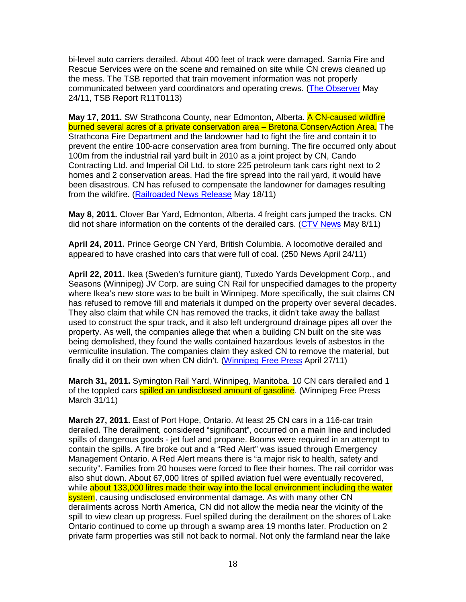bi-level auto carriers derailed. About 400 feet of track were damaged. Sarnia Fire and Rescue Services were on the scene and remained on site while CN crews cleaned up the mess. The TSB reported that train movement information was not properly communicated between yard coordinators and operating crews. (The Observer May 24/11, TSB Report R11T0113)

**May 17, 2011.** SW Strathcona County, near Edmonton, Alberta. A CN-caused wildfire burned several acres of a private conservation area – Bretona ConservAction Area. The Strathcona Fire Department and the landowner had to fight the fire and contain it to prevent the entire 100-acre conservation area from burning. The fire occurred only about 100m from the industrial rail yard built in 2010 as a joint project by CN, Cando Contracting Ltd. and Imperial Oil Ltd. to store 225 petroleum tank cars right next to 2 homes and 2 conservation areas. Had the fire spread into the rail yard, it would have been disastrous. CN has refused to compensate the landowner for damages resulting from the wildfire. (Railroaded News Release May 18/11)

**May 8, 2011.** Clover Bar Yard, Edmonton, Alberta. 4 freight cars jumped the tracks. CN did not share information on the contents of the derailed cars. (CTV News May 8/11)

**April 24, 2011.** Prince George CN Yard, British Columbia. A locomotive derailed and appeared to have crashed into cars that were full of coal. (250 News April 24/11)

**April 22, 2011.** Ikea (Sweden's furniture giant), Tuxedo Yards Development Corp., and Seasons (Winnipeg) JV Corp. are suing CN Rail for unspecified damages to the property where Ikea's new store was to be built in Winnipeg. More specifically, the suit claims CN has refused to remove fill and materials it dumped on the property over several decades. They also claim that while CN has removed the tracks, it didn't take away the ballast used to construct the spur track, and it also left underground drainage pipes all over the property. As well, the companies allege that when a building CN built on the site was being demolished, they found the walls contained hazardous levels of asbestos in the vermiculite insulation. The companies claim they asked CN to remove the material, but finally did it on their own when CN didn't. (Winnipeg Free Press April 27/11)

**March 31, 2011.** Symington Rail Yard, Winnipeg, Manitoba. 10 CN cars derailed and 1 of the toppled cars spilled an undisclosed amount of gasoline. (Winnipeg Free Press March 31/11)

**March 27, 2011.** East of Port Hope, Ontario. At least 25 CN cars in a 116-car train derailed. The derailment, considered "significant", occurred on a main line and included spills of dangerous goods - jet fuel and propane. Booms were required in an attempt to contain the spills. A fire broke out and a "Red Alert" was issued through Emergency Management Ontario. A Red Alert means there is "a major risk to health, safety and security". Families from 20 houses were forced to flee their homes. The rail corridor was also shut down. About 67,000 litres of spilled aviation fuel were eventually recovered, while about 133,000 litres made their way into the local environment including the water system, causing undisclosed environmental damage. As with many other CN derailments across North America, CN did not allow the media near the vicinity of the spill to view clean up progress. Fuel spilled during the derailment on the shores of Lake Ontario continued to come up through a swamp area 19 months later. Production on 2 private farm properties was still not back to normal. Not only the farmland near the lake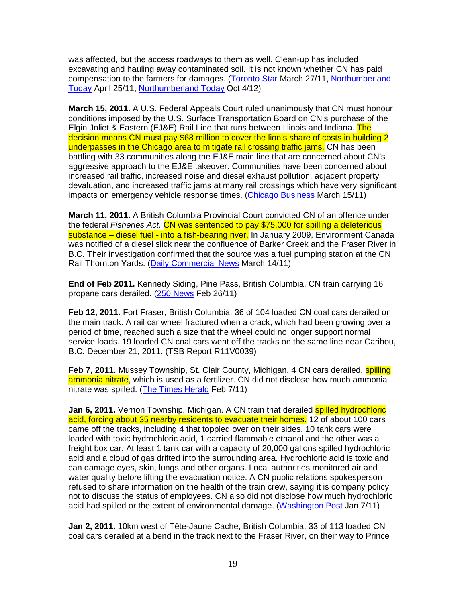was affected, but the access roadways to them as well. Clean-up has included excavating and hauling away contaminated soil. It is not known whether CN has paid compensation to the farmers for damages. (Toronto Star March 27/11, Northumberland Today April 25/11, Northumberland Today Oct 4/12)

**March 15, 2011.** A U.S. Federal Appeals Court ruled unanimously that CN must honour conditions imposed by the U.S. Surface Transportation Board on CN's purchase of the Elgin Joliet & Eastern (EJ&E) Rail Line that runs between Illinois and Indiana. The decision means CN must pay \$68 million to cover the lion's share of costs in building 2 underpasses in the Chicago area to mitigate rail crossing traffic jams. CN has been battling with 33 communities along the EJ&E main line that are concerned about CN's aggressive approach to the EJ&E takeover. Communities have been concerned about increased rail traffic, increased noise and diesel exhaust pollution, adjacent property devaluation, and increased traffic jams at many rail crossings which have very significant impacts on emergency vehicle response times. (Chicago Business March 15/11)

**March 11, 2011.** A British Columbia Provincial Court convicted CN of an offence under the federal Fisheries Act. CN was sentenced to pay \$75,000 for spilling a deleterious substance – diesel fuel - into a fish-bearing river. In January 2009, Environment Canada was notified of a diesel slick near the confluence of Barker Creek and the Fraser River in B.C. Their investigation confirmed that the source was a fuel pumping station at the CN Rail Thornton Yards. (Daily Commercial News March 14/11)

**End of Feb 2011.** Kennedy Siding, Pine Pass, British Columbia. CN train carrying 16 propane cars derailed. (250 News Feb 26/11)

**Feb 12, 2011.** Fort Fraser, British Columbia. 36 of 104 loaded CN coal cars derailed on the main track. A rail car wheel fractured when a crack, which had been growing over a period of time, reached such a size that the wheel could no longer support normal service loads. 19 loaded CN coal cars went off the tracks on the same line near Caribou, B.C. December 21, 2011. (TSB Report R11V0039)

**Feb 7, 2011.** Mussey Township, St. Clair County, Michigan. 4 CN cars derailed, **spilling** ammonia nitrate, which is used as a fertilizer. CN did not disclose how much ammonia nitrate was spilled. (The Times Herald Feb 7/11)

Jan 6, 2011. Vernon Township, Michigan. A CN train that derailed **spilled hydrochloric** acid, forcing about 35 nearby residents to evacuate their homes. 12 of about 100 cars came off the tracks, including 4 that toppled over on their sides. 10 tank cars were loaded with toxic hydrochloric acid, 1 carried flammable ethanol and the other was a freight box car. At least 1 tank car with a capacity of 20,000 gallons spilled hydrochloric acid and a cloud of gas drifted into the surrounding area. Hydrochloric acid is toxic and can damage eyes, skin, lungs and other organs. Local authorities monitored air and water quality before lifting the evacuation notice. A CN public relations spokesperson refused to share information on the health of the train crew, saying it is company policy not to discuss the status of employees. CN also did not disclose how much hydrochloric acid had spilled or the extent of environmental damage. (Washington Post Jan 7/11)

**Jan 2, 2011.** 10km west of Tête-Jaune Cache, British Columbia. 33 of 113 loaded CN coal cars derailed at a bend in the track next to the Fraser River, on their way to Prince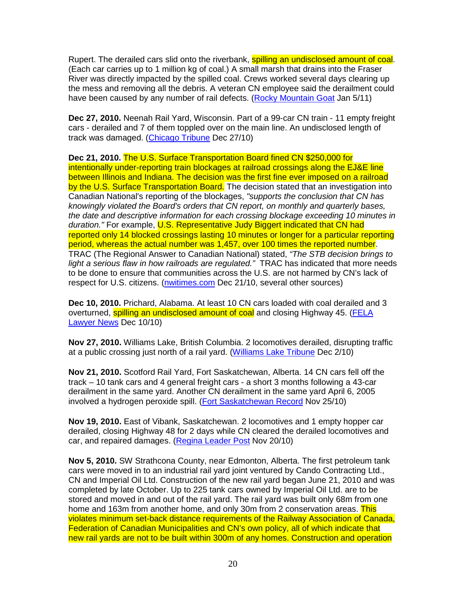Rupert. The derailed cars slid onto the riverbank, **spilling an undisclosed amount of coal**. (Each car carries up to 1 million kg of coal.) A small marsh that drains into the Fraser River was directly impacted by the spilled coal. Crews worked several days clearing up the mess and removing all the debris. A veteran CN employee said the derailment could have been caused by any number of rail defects. (Rocky Mountain Goat Jan 5/11)

**Dec 27, 2010.** Neenah Rail Yard, Wisconsin. Part of a 99-car CN train - 11 empty freight cars - derailed and 7 of them toppled over on the main line. An undisclosed length of track was damaged. (Chicago Tribune Dec 27/10)

**Dec 21, 2010.** The U.S. Surface Transportation Board fined CN \$250,000 for intentionally under-reporting train blockages at railroad crossings along the EJ&E line between Illinois and Indiana. The decision was the first fine ever imposed on a railroad by the U.S. Surface Transportation Board. The decision stated that an investigation into Canadian National's reporting of the blockages, "supports the conclusion that CN has knowingly violated the Board's orders that CN report, on monthly and quarterly bases, the date and descriptive information for each crossing blockage exceeding 10 minutes in duration." For example, U.S. Representative Judy Biggert indicated that CN had reported only 14 blocked crossings lasting 10 minutes or longer for a particular reporting period, whereas the actual number was 1,457, over 100 times the reported number. TRAC (The Regional Answer to Canadian National) stated, "The STB decision brings to light a serious flaw in how railroads are regulated." TRAC has indicated that more needs to be done to ensure that communities across the U.S. are not harmed by CN's lack of respect for U.S. citizens. (nwitimes.com Dec 21/10, several other sources)

**Dec 10, 2010.** Prichard, Alabama. At least 10 CN cars loaded with coal derailed and 3 overturned, **spilling an undisclosed amount of coal** and closing Highway 45. (FELA Lawyer News Dec 10/10)

**Nov 27, 2010.** Williams Lake, British Columbia. 2 locomotives derailed, disrupting traffic at a public crossing just north of a rail yard. (Williams Lake Tribune Dec 2/10)

**Nov 21, 2010.** Scotford Rail Yard, Fort Saskatchewan, Alberta. 14 CN cars fell off the track – 10 tank cars and 4 general freight cars - a short 3 months following a 43-car derailment in the same yard. Another CN derailment in the same yard April 6, 2005 involved a hydrogen peroxide spill. (Fort Saskatchewan Record Nov 25/10)

**Nov 19, 2010.** East of Vibank, Saskatchewan. 2 locomotives and 1 empty hopper car derailed, closing Highway 48 for 2 days while CN cleared the derailed locomotives and car, and repaired damages. (Regina Leader Post Nov 20/10)

**Nov 5, 2010.** SW Strathcona County, near Edmonton, Alberta. The first petroleum tank cars were moved in to an industrial rail yard joint ventured by Cando Contracting Ltd., CN and Imperial Oil Ltd. Construction of the new rail yard began June 21, 2010 and was completed by late October. Up to 225 tank cars owned by Imperial Oil Ltd. are to be stored and moved in and out of the rail yard. The rail yard was built only 68m from one home and 163m from another home, and only 30m from 2 conservation areas. This violates minimum set-back distance requirements of the Railway Association of Canada, Federation of Canadian Municipalities and CN's own policy, all of which indicate that new rail yards are not to be built within 300m of any homes. Construction and operation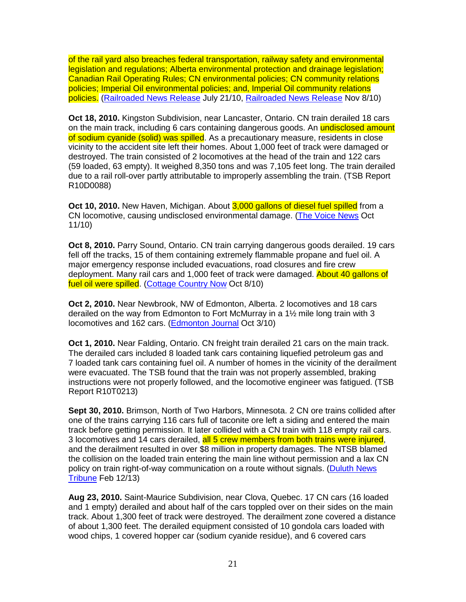of the rail yard also breaches federal transportation, railway safety and environmental legislation and regulations; Alberta environmental protection and drainage legislation; Canadian Rail Operating Rules; CN environmental policies; CN community relations policies; Imperial Oil environmental policies; and, Imperial Oil community relations policies. (Railroaded News Release July 21/10, Railroaded News Release Nov 8/10)

**Oct 18, 2010.** Kingston Subdivision, near Lancaster, Ontario. CN train derailed 18 cars on the main track, including 6 cars containing dangerous goods. An **undisclosed amount** of sodium cyanide (solid) was spilled. As a precautionary measure, residents in close vicinity to the accident site left their homes. About 1,000 feet of track were damaged or destroyed. The train consisted of 2 locomotives at the head of the train and 122 cars (59 loaded, 63 empty). It weighed 8,350 tons and was 7,105 feet long. The train derailed due to a rail roll-over partly attributable to improperly assembling the train. (TSB Report R10D0088)

**Oct 10, 2010.** New Haven, Michigan. About 3,000 gallons of diesel fuel spilled from a CN locomotive, causing undisclosed environmental damage. (The Voice News Oct 11/10)

**Oct 8, 2010.** Parry Sound, Ontario. CN train carrying dangerous goods derailed. 19 cars fell off the tracks, 15 of them containing extremely flammable propane and fuel oil. A major emergency response included evacuations, road closures and fire crew deployment. Many rail cars and 1,000 feet of track were damaged. About 40 gallons of fuel oil were spilled. (Cottage Country Now Oct 8/10)

**Oct 2, 2010.** Near Newbrook, NW of Edmonton, Alberta. 2 locomotives and 18 cars derailed on the way from Edmonton to Fort McMurray in a 1½ mile long train with 3 locomotives and 162 cars. (Edmonton Journal Oct 3/10)

**Oct 1, 2010.** Near Falding, Ontario. CN freight train derailed 21 cars on the main track. The derailed cars included 8 loaded tank cars containing liquefied petroleum gas and 7 loaded tank cars containing fuel oil. A number of homes in the vicinity of the derailment were evacuated. The TSB found that the train was not properly assembled, braking instructions were not properly followed, and the locomotive engineer was fatigued. (TSB Report R10T0213)

**Sept 30, 2010.** Brimson, North of Two Harbors, Minnesota. 2 CN ore trains collided after one of the trains carrying 116 cars full of taconite ore left a siding and entered the main track before getting permission. It later collided with a CN train with 118 empty rail cars. 3 locomotives and 14 cars derailed, all 5 crew members from both trains were injured, and the derailment resulted in over \$8 million in property damages. The NTSB blamed the collision on the loaded train entering the main line without permission and a lax CN policy on train right-of-way communication on a route without signals. (Duluth News Tribune Feb 12/13)

**Aug 23, 2010.** Saint-Maurice Subdivision, near Clova, Quebec. 17 CN cars (16 loaded and 1 empty) derailed and about half of the cars toppled over on their sides on the main track. About 1,300 feet of track were destroyed. The derailment zone covered a distance of about 1,300 feet. The derailed equipment consisted of 10 gondola cars loaded with wood chips, 1 covered hopper car (sodium cyanide residue), and 6 covered cars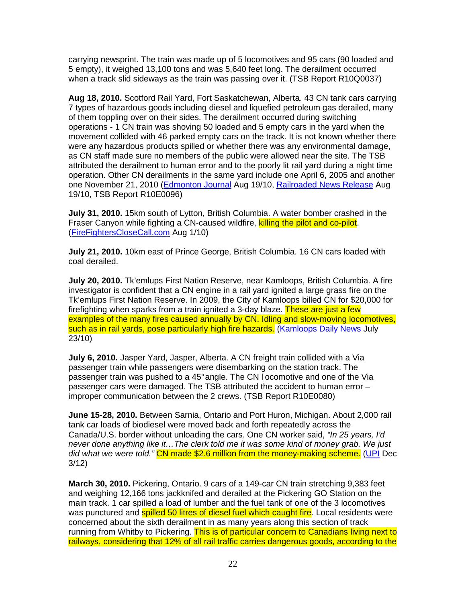carrying newsprint. The train was made up of 5 locomotives and 95 cars (90 loaded and 5 empty), it weighed 13,100 tons and was 5,640 feet long. The derailment occurred when a track slid sideways as the train was passing over it. (TSB Report R10Q0037)

**Aug 18, 2010.** Scotford Rail Yard, Fort Saskatchewan, Alberta. 43 CN tank cars carrying 7 types of hazardous goods including diesel and liquefied petroleum gas derailed, many of them toppling over on their sides. The derailment occurred during switching operations - 1 CN train was shoving 50 loaded and 5 empty cars in the yard when the movement collided with 46 parked empty cars on the track. It is not known whether there were any hazardous products spilled or whether there was any environmental damage, as CN staff made sure no members of the public were allowed near the site. The TSB attributed the derailment to human error and to the poorly lit rail yard during a night time operation. Other CN derailments in the same yard include one April 6, 2005 and another one November 21, 2010 (Edmonton Journal Aug 19/10, Railroaded News Release Aug 19/10, TSB Report R10E0096)

**July 31, 2010.** 15km south of Lytton, British Columbia. A water bomber crashed in the Fraser Canyon while fighting a CN-caused wildfire, killing the pilot and co-pilot. (FireFightersCloseCall.com Aug 1/10)

**July 21, 2010.** 10km east of Prince George, British Columbia. 16 CN cars loaded with coal derailed.

**July 20, 2010.** Tk'emlups First Nation Reserve, near Kamloops, British Columbia. A fire investigator is confident that a CN engine in a rail yard ignited a large grass fire on the Tk'emlups First Nation Reserve. In 2009, the City of Kamloops billed CN for \$20,000 for firefighting when sparks from a train ignited a 3-day blaze. These are just a few examples of the many fires caused annually by CN. Idling and slow-moving locomotives, such as in rail yards, pose particularly high fire hazards. (Kamloops Daily News July 23/10)

**July 6, 2010.** Jasper Yard, Jasper, Alberta. A CN freight train collided with a Via passenger train while passengers were disembarking on the station track. The passenger train was pushed to a 45° angle. The CN l ocomotive and one of the Via passenger cars were damaged. The TSB attributed the accident to human error – improper communication between the 2 crews. (TSB Report R10E0080)

**June 15-28, 2010.** Between Sarnia, Ontario and Port Huron, Michigan. About 2,000 rail tank car loads of biodiesel were moved back and forth repeatedly across the Canada/U.S. border without unloading the cars. One CN worker said, "In 25 years, I'd never done anything like it…The clerk told me it was some kind of money grab. We just did what we were told." CN made \$2.6 million from the money-making scheme. (UPI Dec 3/12)

**March 30, 2010.** Pickering, Ontario. 9 cars of a 149-car CN train stretching 9,383 feet and weighing 12,166 tons jackknifed and derailed at the Pickering GO Station on the main track. 1 car spilled a load of lumber and the fuel tank of one of the 3 locomotives was punctured and **spilled 50 litres of diesel fuel which caught fire**. Local residents were concerned about the sixth derailment in as many years along this section of track running from Whitby to Pickering. This is of particular concern to Canadians living next to railways, considering that 12% of all rail traffic carries dangerous goods, according to the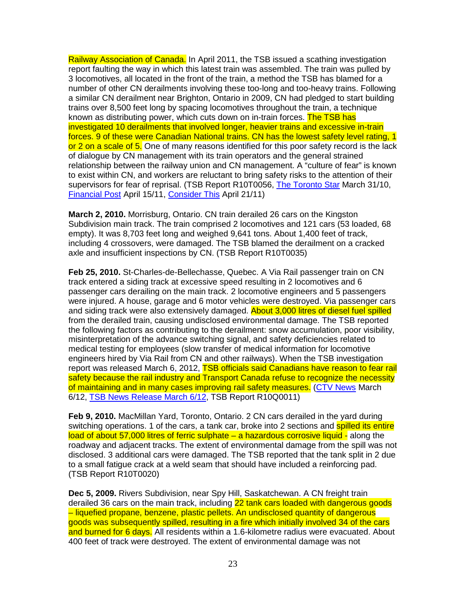Railway Association of Canada. In April 2011, the TSB issued a scathing investigation report faulting the way in which this latest train was assembled. The train was pulled by 3 locomotives, all located in the front of the train, a method the TSB has blamed for a number of other CN derailments involving these too-long and too-heavy trains. Following a similar CN derailment near Brighton, Ontario in 2009, CN had pledged to start building trains over 8,500 feet long by spacing locomotives throughout the train, a technique known as distributing power, which cuts down on in-train forces. The TSB has investigated 10 derailments that involved longer, heavier trains and excessive in-train forces. 9 of these were Canadian National trains. CN has the lowest safety level rating, 1 or 2 on a scale of 5. One of many reasons identified for this poor safety record is the lack of dialogue by CN management with its train operators and the general strained relationship between the railway union and CN management. A "culture of fear" is known to exist within CN, and workers are reluctant to bring safety risks to the attention of their supervisors for fear of reprisal. (TSB Report R10T0056, The Toronto Star March 31/10, Financial Post April 15/11, Consider This April 21/11)

**March 2, 2010.** Morrisburg, Ontario. CN train derailed 26 cars on the Kingston Subdivision main track. The train comprised 2 locomotives and 121 cars (53 loaded, 68 empty). It was 8,703 feet long and weighed 9,641 tons. About 1,400 feet of track, including 4 crossovers, were damaged. The TSB blamed the derailment on a cracked axle and insufficient inspections by CN. (TSB Report R10T0035)

**Feb 25, 2010.** St-Charles-de-Bellechasse, Quebec. A Via Rail passenger train on CN track entered a siding track at excessive speed resulting in 2 locomotives and 6 passenger cars derailing on the main track. 2 locomotive engineers and 5 passengers were injured. A house, garage and 6 motor vehicles were destroyed. Via passenger cars and siding track were also extensively damaged. **About 3,000 litres of diesel fuel spilled** from the derailed train, causing undisclosed environmental damage. The TSB reported the following factors as contributing to the derailment: snow accumulation, poor visibility, misinterpretation of the advance switching signal, and safety deficiencies related to medical testing for employees (slow transfer of medical information for locomotive engineers hired by Via Rail from CN and other railways). When the TSB investigation report was released March 6, 2012, TSB officials said Canadians have reason to fear rail safety because the rail industry and Transport Canada refuse to recognize the necessity of maintaining and in many cases improving rail safety measures. (CTV News March 6/12, TSB News Release March 6/12, TSB Report R10Q0011)

**Feb 9, 2010.** MacMillan Yard, Toronto, Ontario. 2 CN cars derailed in the yard during switching operations. 1 of the cars, a tank car, broke into 2 sections and **spilled its entire** load of about 57,000 litres of ferric sulphate – a hazardous corrosive liquid - along the roadway and adjacent tracks. The extent of environmental damage from the spill was not disclosed. 3 additional cars were damaged. The TSB reported that the tank split in 2 due to a small fatigue crack at a weld seam that should have included a reinforcing pad. (TSB Report R10T0020)

**Dec 5, 2009.** Rivers Subdivision, near Spy Hill, Saskatchewan. A CN freight train derailed 36 cars on the main track, including 22 tank cars loaded with dangerous goods – liquefied propane, benzene, plastic pellets. An undisclosed quantity of dangerous goods was subsequently spilled, resulting in a fire which initially involved 34 of the cars and burned for 6 days. All residents within a 1.6-kilometre radius were evacuated. About 400 feet of track were destroyed. The extent of environmental damage was not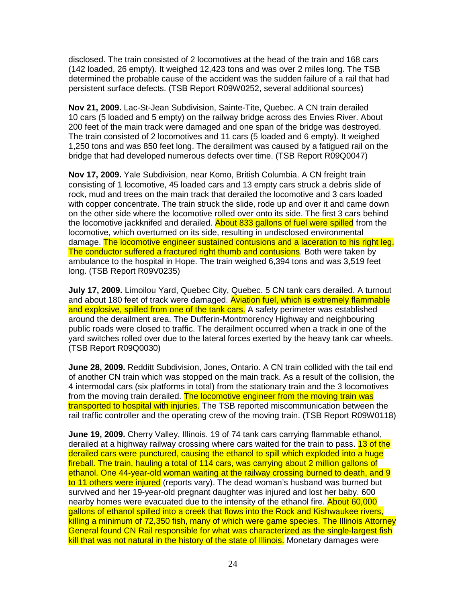disclosed. The train consisted of 2 locomotives at the head of the train and 168 cars (142 loaded, 26 empty). It weighed 12,423 tons and was over 2 miles long. The TSB determined the probable cause of the accident was the sudden failure of a rail that had persistent surface defects. (TSB Report R09W0252, several additional sources)

**Nov 21, 2009.** Lac-St-Jean Subdivision, Sainte-Tite, Quebec. A CN train derailed 10 cars (5 loaded and 5 empty) on the railway bridge across des Envies River. About 200 feet of the main track were damaged and one span of the bridge was destroyed. The train consisted of 2 locomotives and 11 cars (5 loaded and 6 empty). It weighed 1,250 tons and was 850 feet long. The derailment was caused by a fatigued rail on the bridge that had developed numerous defects over time. (TSB Report R09Q0047)

**Nov 17, 2009.** Yale Subdivision, near Komo, British Columbia. A CN freight train consisting of 1 locomotive, 45 loaded cars and 13 empty cars struck a debris slide of rock, mud and trees on the main track that derailed the locomotive and 3 cars loaded with copper concentrate. The train struck the slide, rode up and over it and came down on the other side where the locomotive rolled over onto its side. The first 3 cars behind the locomotive jackknifed and derailed. About 833 gallons of fuel were spilled from the locomotive, which overturned on its side, resulting in undisclosed environmental damage. The locomotive engineer sustained contusions and a laceration to his right leg. The conductor suffered a fractured right thumb and contusions. Both were taken by ambulance to the hospital in Hope. The train weighed 6,394 tons and was 3,519 feet long. (TSB Report R09V0235)

**July 17, 2009.** Limoilou Yard, Quebec City, Quebec. 5 CN tank cars derailed. A turnout and about 180 feet of track were damaged. Aviation fuel, which is extremely flammable and explosive, spilled from one of the tank cars. A safety perimeter was established around the derailment area. The Dufferin-Montmorency Highway and neighbouring public roads were closed to traffic. The derailment occurred when a track in one of the yard switches rolled over due to the lateral forces exerted by the heavy tank car wheels. (TSB Report R09Q0030)

**June 28, 2009.** Redditt Subdivision, Jones, Ontario. A CN train collided with the tail end of another CN train which was stopped on the main track. As a result of the collision, the 4 intermodal cars (six platforms in total) from the stationary train and the 3 locomotives from the moving train derailed. The locomotive engineer from the moving train was transported to hospital with injuries. The TSB reported miscommunication between the rail traffic controller and the operating crew of the moving train. (TSB Report R09W0118)

**June 19, 2009.** Cherry Valley, Illinois. 19 of 74 tank cars carrying flammable ethanol, derailed at a highway railway crossing where cars waited for the train to pass. 13 of the derailed cars were punctured, causing the ethanol to spill which exploded into a huge fireball. The train, hauling a total of 114 cars, was carrying about 2 million gallons of ethanol. One 44-year-old woman waiting at the railway crossing burned to death, and 9 to 11 others were injured (reports vary). The dead woman's husband was burned but survived and her 19-year-old pregnant daughter was injured and lost her baby. 600 nearby homes were evacuated due to the intensity of the ethanol fire. About 60,000 gallons of ethanol spilled into a creek that flows into the Rock and Kishwaukee rivers, killing a minimum of 72,350 fish, many of which were game species. The Illinois Attorney General found CN Rail responsible for what was characterized as the single-largest fish kill that was not natural in the history of the state of Illinois. Monetary damages were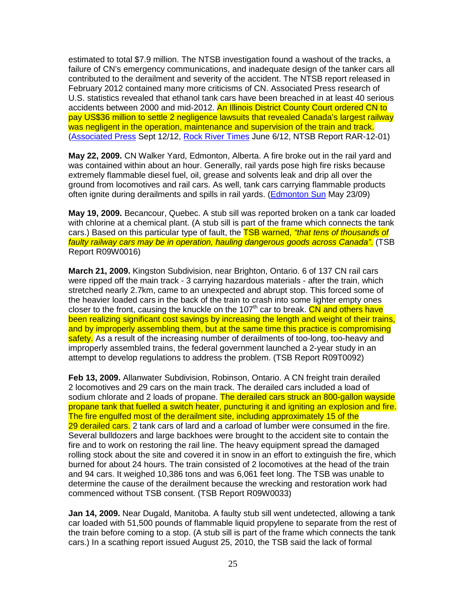estimated to total \$7.9 million. The NTSB investigation found a washout of the tracks, a failure of CN's emergency communications, and inadequate design of the tanker cars all contributed to the derailment and severity of the accident. The NTSB report released in February 2012 contained many more criticisms of CN. Associated Press research of U.S. statistics revealed that ethanol tank cars have been breached in at least 40 serious accidents between 2000 and mid-2012. An Illinois District County Court ordered CN to pay US\$36 million to settle 2 negligence lawsuits that revealed Canada's largest railway was negligent in the operation, maintenance and supervision of the train and track. (Associated Press Sept 12/12, Rock River Times June 6/12, NTSB Report RAR-12-01)

**May 22, 2009.** CN Walker Yard, Edmonton, Alberta. A fire broke out in the rail yard and was contained within about an hour. Generally, rail yards pose high fire risks because extremely flammable diesel fuel, oil, grease and solvents leak and drip all over the ground from locomotives and rail cars. As well, tank cars carrying flammable products often ignite during derailments and spills in rail yards. (Edmonton Sun May 23/09)

**May 19, 2009.** Becancour, Quebec. A stub sill was reported broken on a tank car loaded with chlorine at a chemical plant. (A stub sill is part of the frame which connects the tank cars.) Based on this particular type of fault, the TSB warned, "that tens of thousands of faulty railway cars may be in operation, hauling dangerous goods across Canada". (TSB Report R09W0016)

**March 21, 2009.** Kingston Subdivision, near Brighton, Ontario. 6 of 137 CN rail cars were ripped off the main track - 3 carrying hazardous materials - after the train, which stretched nearly 2.7km, came to an unexpected and abrupt stop. This forced some of the heavier loaded cars in the back of the train to crash into some lighter empty ones closer to the front, causing the knuckle on the 107<sup>th</sup> car to break. CN and others have been realizing significant cost savings by increasing the length and weight of their trains, and by improperly assembling them, but at the same time this practice is compromising safety. As a result of the increasing number of derailments of too-long, too-heavy and improperly assembled trains, the federal government launched a 2-year study in an attempt to develop regulations to address the problem. (TSB Report R09T0092)

**Feb 13, 2009.** Allanwater Subdivision, Robinson, Ontario. A CN freight train derailed 2 locomotives and 29 cars on the main track. The derailed cars included a load of sodium chlorate and 2 loads of propane. The derailed cars struck an 800-gallon wayside propane tank that fuelled a switch heater, puncturing it and igniting an explosion and fire. The fire engulfed most of the derailment site, including approximately 15 of the 29 derailed cars. 2 tank cars of lard and a carload of lumber were consumed in the fire. Several bulldozers and large backhoes were brought to the accident site to contain the fire and to work on restoring the rail line. The heavy equipment spread the damaged rolling stock about the site and covered it in snow in an effort to extinguish the fire, which burned for about 24 hours. The train consisted of 2 locomotives at the head of the train and 94 cars. It weighed 10,386 tons and was 6,061 feet long. The TSB was unable to determine the cause of the derailment because the wrecking and restoration work had commenced without TSB consent. (TSB Report R09W0033)

**Jan 14, 2009.** Near Dugald, Manitoba. A faulty stub sill went undetected, allowing a tank car loaded with 51,500 pounds of flammable liquid propylene to separate from the rest of the train before coming to a stop. (A stub sill is part of the frame which connects the tank cars.) In a scathing report issued August 25, 2010, the TSB said the lack of formal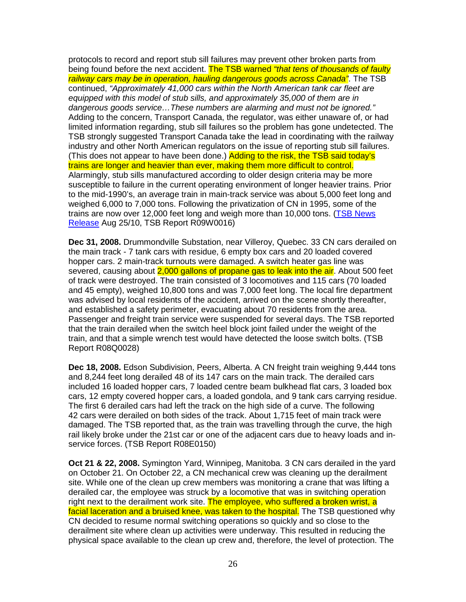protocols to record and report stub sill failures may prevent other broken parts from being found before the next accident. The TSB warned "that tens of thousands of faulty railway cars may be in operation, hauling dangerous goods across Canada". The TSB continued, "Approximately 41,000 cars within the North American tank car fleet are equipped with this model of stub sills, and approximately 35,000 of them are in dangerous goods service…These numbers are alarming and must not be ignored." Adding to the concern, Transport Canada, the regulator, was either unaware of, or had limited information regarding, stub sill failures so the problem has gone undetected. The TSB strongly suggested Transport Canada take the lead in coordinating with the railway industry and other North American regulators on the issue of reporting stub sill failures. (This does not appear to have been done.) Adding to the risk, the TSB said today's trains are longer and heavier than ever, making them more difficult to control. Alarmingly, stub sills manufactured according to older design criteria may be more susceptible to failure in the current operating environment of longer heavier trains. Prior to the mid-1990's, an average train in main-track service was about 5,000 feet long and weighed 6,000 to 7,000 tons. Following the privatization of CN in 1995, some of the trains are now over 12,000 feet long and weigh more than 10,000 tons. (TSB News Release Aug 25/10, TSB Report R09W0016)

**Dec 31, 2008.** Drummondville Substation, near Villeroy, Quebec. 33 CN cars derailed on the main track - 7 tank cars with residue, 6 empty box cars and 20 loaded covered hopper cars. 2 main-track turnouts were damaged. A switch heater gas line was severed, causing about 2,000 gallons of propane gas to leak into the air. About 500 feet of track were destroyed. The train consisted of 3 locomotives and 115 cars (70 loaded and 45 empty), weighed 10,800 tons and was 7,000 feet long. The local fire department was advised by local residents of the accident, arrived on the scene shortly thereafter, and established a safety perimeter, evacuating about 70 residents from the area. Passenger and freight train service were suspended for several days. The TSB reported that the train derailed when the switch heel block joint failed under the weight of the train, and that a simple wrench test would have detected the loose switch bolts. (TSB Report R08Q0028)

**Dec 18, 2008.** Edson Subdivision, Peers, Alberta. A CN freight train weighing 9,444 tons and 8,244 feet long derailed 48 of its 147 cars on the main track. The derailed cars included 16 loaded hopper cars, 7 loaded centre beam bulkhead flat cars, 3 loaded box cars, 12 empty covered hopper cars, a loaded gondola, and 9 tank cars carrying residue. The first 6 derailed cars had left the track on the high side of a curve. The following 42 cars were derailed on both sides of the track. About 1,715 feet of main track were damaged. The TSB reported that, as the train was travelling through the curve, the high rail likely broke under the 21st car or one of the adjacent cars due to heavy loads and inservice forces. (TSB Report R08E0150)

**Oct 21 & 22, 2008.** Symington Yard, Winnipeg, Manitoba. 3 CN cars derailed in the yard on October 21. On October 22, a CN mechanical crew was cleaning up the derailment site. While one of the clean up crew members was monitoring a crane that was lifting a derailed car, the employee was struck by a locomotive that was in switching operation right next to the derailment work site. The employee, who suffered a broken wrist, a facial laceration and a bruised knee, was taken to the hospital. The TSB questioned why CN decided to resume normal switching operations so quickly and so close to the derailment site where clean up activities were underway. This resulted in reducing the physical space available to the clean up crew and, therefore, the level of protection. The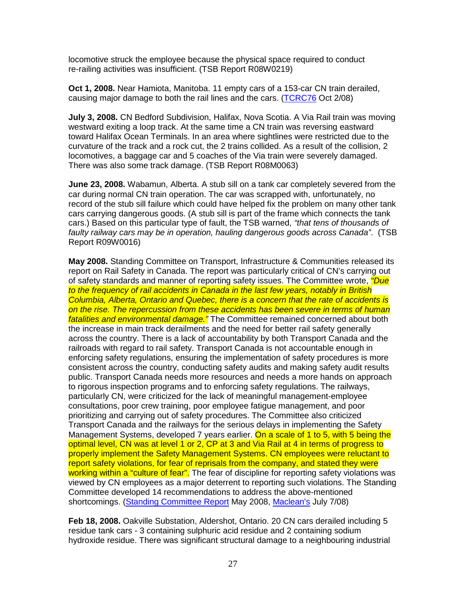locomotive struck the employee because the physical space required to conduct re-railing activities was insufficient. (TSB Report R08W0219)

**Oct 1, 2008.** Near Hamiota, Manitoba. 11 empty cars of a 153-car CN train derailed, causing major damage to both the rail lines and the cars. (TCRC76 Oct 2/08)

**July 3, 2008.** CN Bedford Subdivision, Halifax, Nova Scotia. A Via Rail train was moving westward exiting a loop track. At the same time a CN train was reversing eastward toward Halifax Ocean Terminals. In an area where sightlines were restricted due to the curvature of the track and a rock cut, the 2 trains collided. As a result of the collision, 2 locomotives, a baggage car and 5 coaches of the Via train were severely damaged. There was also some track damage. (TSB Report R08M0063)

**June 23, 2008.** Wabamun, Alberta. A stub sill on a tank car completely severed from the car during normal CN train operation. The car was scrapped with, unfortunately, no record of the stub sill failure which could have helped fix the problem on many other tank cars carrying dangerous goods. (A stub sill is part of the frame which connects the tank cars.) Based on this particular type of fault, the TSB warned, "that tens of thousands of faulty railway cars may be in operation, hauling dangerous goods across Canada". (TSB Report R09W0016)

**May 2008.** Standing Committee on Transport, Infrastructure & Communities released its report on Rail Safety in Canada. The report was particularly critical of CN's carrying out of safety standards and manner of reporting safety issues. The Committee wrote, *"Due* to the frequency of rail accidents in Canada in the last few years, notably in British Columbia, Alberta, Ontario and Quebec, there is a concern that the rate of accidents is on the rise. The repercussion from these accidents has been severe in terms of human fatalities and environmental damage." The Committee remained concerned about both the increase in main track derailments and the need for better rail safety generally across the country. There is a lack of accountability by both Transport Canada and the railroads with regard to rail safety. Transport Canada is not accountable enough in enforcing safety regulations, ensuring the implementation of safety procedures is more consistent across the country, conducting safety audits and making safety audit results public. Transport Canada needs more resources and needs a more hands on approach to rigorous inspection programs and to enforcing safety regulations. The railways, particularly CN, were criticized for the lack of meaningful management-employee consultations, poor crew training, poor employee fatigue management, and poor prioritizing and carrying out of safety procedures. The Committee also criticized Transport Canada and the railways for the serious delays in implementing the Safety Management Systems, developed 7 years earlier. On a scale of 1 to 5, with 5 being the optimal level, CN was at level 1 or 2, CP at 3 and Via Rail at 4 in terms of progress to properly implement the Safety Management Systems. CN employees were reluctant to report safety violations, for fear of reprisals from the company, and stated they were working within a "culture of fear". The fear of discipline for reporting safety violations was viewed by CN employees as a major deterrent to reporting such violations. The Standing Committee developed 14 recommendations to address the above-mentioned shortcomings. (Standing Committee Report May 2008, Maclean's July 7/08)

**Feb 18, 2008.** Oakville Substation, Aldershot, Ontario. 20 CN cars derailed including 5 residue tank cars - 3 containing sulphuric acid residue and 2 containing sodium hydroxide residue. There was significant structural damage to a neighbouring industrial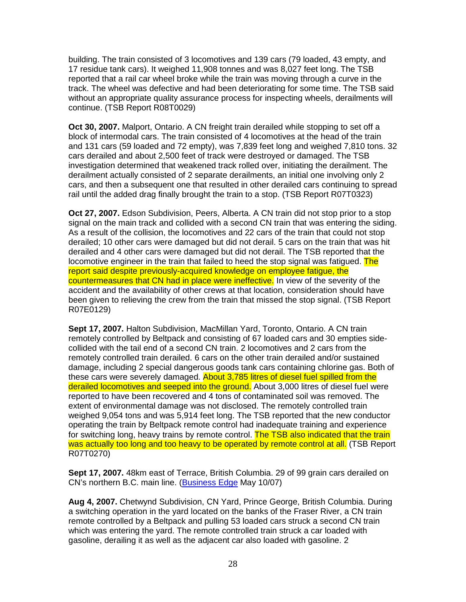building. The train consisted of 3 locomotives and 139 cars (79 loaded, 43 empty, and 17 residue tank cars). It weighed 11,908 tonnes and was 8,027 feet long. The TSB reported that a rail car wheel broke while the train was moving through a curve in the track. The wheel was defective and had been deteriorating for some time. The TSB said without an appropriate quality assurance process for inspecting wheels, derailments will continue. (TSB Report R08T0029)

**Oct 30, 2007.** Malport, Ontario. A CN freight train derailed while stopping to set off a block of intermodal cars. The train consisted of 4 locomotives at the head of the train and 131 cars (59 loaded and 72 empty), was 7,839 feet long and weighed 7,810 tons. 32 cars derailed and about 2,500 feet of track were destroyed or damaged. The TSB investigation determined that weakened track rolled over, initiating the derailment. The derailment actually consisted of 2 separate derailments, an initial one involving only 2 cars, and then a subsequent one that resulted in other derailed cars continuing to spread rail until the added drag finally brought the train to a stop. (TSB Report R07T0323)

**Oct 27, 2007.** Edson Subdivision, Peers, Alberta. A CN train did not stop prior to a stop signal on the main track and collided with a second CN train that was entering the siding. As a result of the collision, the locomotives and 22 cars of the train that could not stop derailed; 10 other cars were damaged but did not derail. 5 cars on the train that was hit derailed and 4 other cars were damaged but did not derail. The TSB reported that the locomotive engineer in the train that failed to heed the stop signal was fatigued. The report said despite previously-acquired knowledge on employee fatigue, the countermeasures that CN had in place were ineffective. In view of the severity of the accident and the availability of other crews at that location, consideration should have been given to relieving the crew from the train that missed the stop signal. (TSB Report R07E0129)

**Sept 17, 2007.** Halton Subdivision, MacMillan Yard, Toronto, Ontario. A CN train remotely controlled by Beltpack and consisting of 67 loaded cars and 30 empties sidecollided with the tail end of a second CN train. 2 locomotives and 2 cars from the remotely controlled train derailed. 6 cars on the other train derailed and/or sustained damage, including 2 special dangerous goods tank cars containing chlorine gas. Both of these cars were severely damaged. About 3,785 litres of diesel fuel spilled from the derailed locomotives and seeped into the ground. About 3,000 litres of diesel fuel were reported to have been recovered and 4 tons of contaminated soil was removed. The extent of environmental damage was not disclosed. The remotely controlled train weighed 9,054 tons and was 5,914 feet long. The TSB reported that the new conductor operating the train by Beltpack remote control had inadequate training and experience for switching long, heavy trains by remote control. The TSB also indicated that the train was actually too long and too heavy to be operated by remote control at all. (TSB Report R07T0270)

**Sept 17, 2007.** 48km east of Terrace, British Columbia. 29 of 99 grain cars derailed on CN's northern B.C. main line. (Business Edge May 10/07)

**Aug 4, 2007.** Chetwynd Subdivision, CN Yard, Prince George, British Columbia. During a switching operation in the yard located on the banks of the Fraser River, a CN train remote controlled by a Beltpack and pulling 53 loaded cars struck a second CN train which was entering the yard. The remote controlled train struck a car loaded with gasoline, derailing it as well as the adjacent car also loaded with gasoline. 2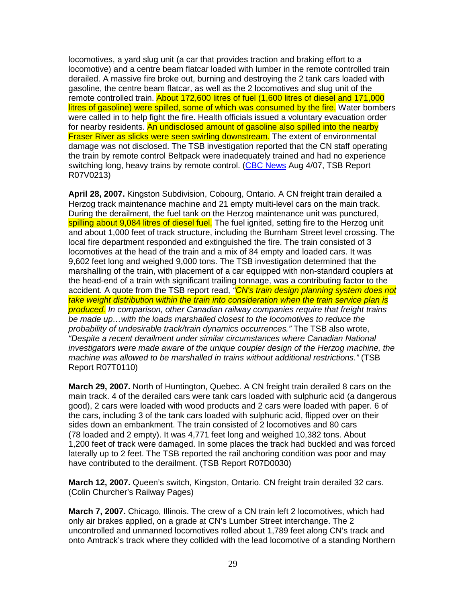locomotives, a yard slug unit (a car that provides traction and braking effort to a locomotive) and a centre beam flatcar loaded with lumber in the remote controlled train derailed. A massive fire broke out, burning and destroying the 2 tank cars loaded with gasoline, the centre beam flatcar, as well as the 2 locomotives and slug unit of the remote controlled train. About 172,600 litres of fuel (1,600 litres of diesel and 171,000 litres of gasoline) were spilled, some of which was consumed by the fire. Water bombers were called in to help fight the fire. Health officials issued a voluntary evacuation order for nearby residents. An undisclosed amount of gasoline also spilled into the nearby Fraser River as slicks were seen swirling downstream. The extent of environmental damage was not disclosed. The TSB investigation reported that the CN staff operating the train by remote control Beltpack were inadequately trained and had no experience switching long, heavy trains by remote control. (CBC News Aug 4/07, TSB Report R07V0213)

**April 28, 2007.** Kingston Subdivision, Cobourg, Ontario. A CN freight train derailed a Herzog track maintenance machine and 21 empty multi-level cars on the main track. During the derailment, the fuel tank on the Herzog maintenance unit was punctured, spilling about 9,084 litres of diesel fuel. The fuel ignited, setting fire to the Herzog unit and about 1,000 feet of track structure, including the Burnham Street level crossing. The local fire department responded and extinguished the fire. The train consisted of 3 locomotives at the head of the train and a mix of 84 empty and loaded cars. It was 9,602 feet long and weighed 9,000 tons. The TSB investigation determined that the marshalling of the train, with placement of a car equipped with non-standard couplers at the head-end of a train with significant trailing tonnage, was a contributing factor to the accident. A quote from the TSB report read, "CN's train design planning system does not take weight distribution within the train into consideration when the train service plan is produced. In comparison, other Canadian railway companies require that freight trains be made up…with the loads marshalled closest to the locomotives to reduce the probability of undesirable track/train dynamics occurrences." The TSB also wrote, "Despite a recent derailment under similar circumstances where Canadian National investigators were made aware of the unique coupler design of the Herzog machine, the machine was allowed to be marshalled in trains without additional restrictions." (TSB Report R07T0110)

**March 29, 2007.** North of Huntington, Quebec. A CN freight train derailed 8 cars on the main track. 4 of the derailed cars were tank cars loaded with sulphuric acid (a dangerous good), 2 cars were loaded with wood products and 2 cars were loaded with paper. 6 of the cars, including 3 of the tank cars loaded with sulphuric acid, flipped over on their sides down an embankment. The train consisted of 2 locomotives and 80 cars (78 loaded and 2 empty). It was 4,771 feet long and weighed 10,382 tons. About 1,200 feet of track were damaged. In some places the track had buckled and was forced laterally up to 2 feet. The TSB reported the rail anchoring condition was poor and may have contributed to the derailment. (TSB Report R07D0030)

**March 12, 2007.** Queen's switch, Kingston, Ontario. CN freight train derailed 32 cars. (Colin Churcher's Railway Pages)

**March 7, 2007.** Chicago, Illinois. The crew of a CN train left 2 locomotives, which had only air brakes applied, on a grade at CN's Lumber Street interchange. The 2 uncontrolled and unmanned locomotives rolled about 1,789 feet along CN's track and onto Amtrack's track where they collided with the lead locomotive of a standing Northern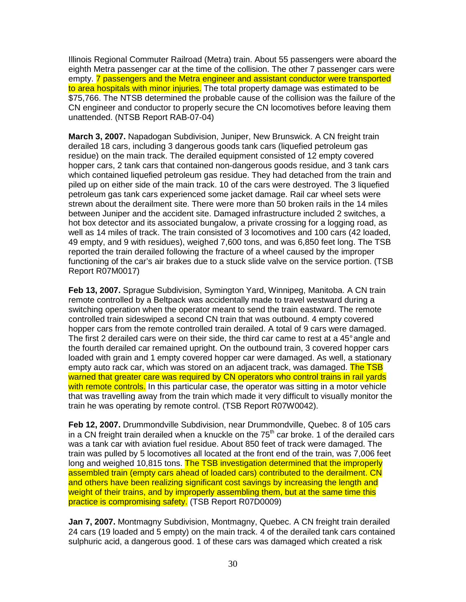Illinois Regional Commuter Railroad (Metra) train. About 55 passengers were aboard the eighth Metra passenger car at the time of the collision. The other 7 passenger cars were empty. 7 passengers and the Metra engineer and assistant conductor were transported to area hospitals with minor injuries. The total property damage was estimated to be \$75,766. The NTSB determined the probable cause of the collision was the failure of the CN engineer and conductor to properly secure the CN locomotives before leaving them unattended. (NTSB Report RAB-07-04)

**March 3, 2007.** Napadogan Subdivision, Juniper, New Brunswick. A CN freight train derailed 18 cars, including 3 dangerous goods tank cars (liquefied petroleum gas residue) on the main track. The derailed equipment consisted of 12 empty covered hopper cars, 2 tank cars that contained non-dangerous goods residue, and 3 tank cars which contained liquefied petroleum gas residue. They had detached from the train and piled up on either side of the main track. 10 of the cars were destroyed. The 3 liquefied petroleum gas tank cars experienced some jacket damage. Rail car wheel sets were strewn about the derailment site. There were more than 50 broken rails in the 14 miles between Juniper and the accident site. Damaged infrastructure included 2 switches, a hot box detector and its associated bungalow, a private crossing for a logging road, as well as 14 miles of track. The train consisted of 3 locomotives and 100 cars (42 loaded, 49 empty, and 9 with residues), weighed 7,600 tons, and was 6,850 feet long. The TSB reported the train derailed following the fracture of a wheel caused by the improper functioning of the car's air brakes due to a stuck slide valve on the service portion. (TSB Report R07M0017)

**Feb 13, 2007.** Sprague Subdivision, Symington Yard, Winnipeg, Manitoba. A CN train remote controlled by a Beltpack was accidentally made to travel westward during a switching operation when the operator meant to send the train eastward. The remote controlled train sideswiped a second CN train that was outbound. 4 empty covered hopper cars from the remote controlled train derailed. A total of 9 cars were damaged. The first 2 derailed cars were on their side, the third car came to rest at a 45° angle and the fourth derailed car remained upright. On the outbound train, 3 covered hopper cars loaded with grain and 1 empty covered hopper car were damaged. As well, a stationary empty auto rack car, which was stored on an adjacent track, was damaged. The TSB warned that greater care was required by CN operators who control trains in rail yards with remote controls. In this particular case, the operator was sitting in a motor vehicle that was travelling away from the train which made it very difficult to visually monitor the train he was operating by remote control. (TSB Report R07W0042).

**Feb 12, 2007.** Drummondville Subdivision, near Drummondville, Quebec. 8 of 105 cars in a CN freight train derailed when a knuckle on the  $75<sup>th</sup>$  car broke. 1 of the derailed cars was a tank car with aviation fuel residue. About 850 feet of track were damaged. The train was pulled by 5 locomotives all located at the front end of the train, was 7,006 feet long and weighed 10,815 tons. The TSB investigation determined that the improperly assembled train (empty cars ahead of loaded cars) contributed to the derailment. CN and others have been realizing significant cost savings by increasing the length and weight of their trains, and by improperly assembling them, but at the same time this practice is compromising safety. (TSB Report R07D0009)

**Jan 7, 2007.** Montmagny Subdivision, Montmagny, Quebec. A CN freight train derailed 24 cars (19 loaded and 5 empty) on the main track. 4 of the derailed tank cars contained sulphuric acid, a dangerous good. 1 of these cars was damaged which created a risk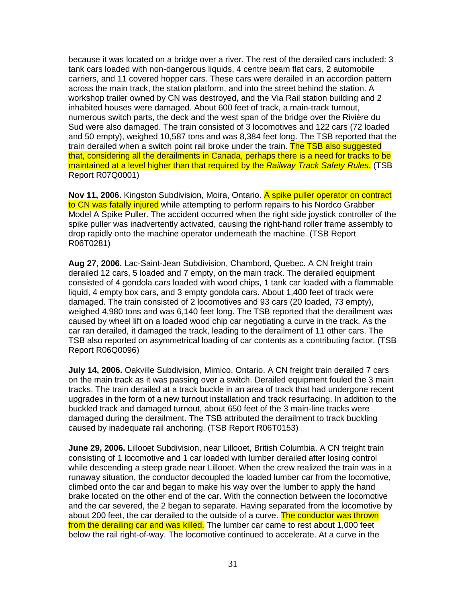because it was located on a bridge over a river. The rest of the derailed cars included: 3 tank cars loaded with non-dangerous liquids, 4 centre beam flat cars, 2 automobile carriers, and 11 covered hopper cars. These cars were derailed in an accordion pattern across the main track, the station platform, and into the street behind the station. A workshop trailer owned by CN was destroyed, and the Via Rail station building and 2 inhabited houses were damaged. About 600 feet of track, a main-track turnout, numerous switch parts, the deck and the west span of the bridge over the Rivière du Sud were also damaged. The train consisted of 3 locomotives and 122 cars (72 loaded and 50 empty), weighed 10,587 tons and was 8,384 feet long. The TSB reported that the train derailed when a switch point rail broke under the train. The TSB also suggested that, considering all the derailments in Canada, perhaps there is a need for tracks to be maintained at a level higher than that required by the Railway Track Safety Rules. (TSB Report R07Q0001)

**Nov 11, 2006.** Kingston Subdivision, Moira, Ontario. A spike puller operator on contract to CN was fatally injured while attempting to perform repairs to his Nordco Grabber Model A Spike Puller. The accident occurred when the right side joystick controller of the spike puller was inadvertently activated, causing the right-hand roller frame assembly to drop rapidly onto the machine operator underneath the machine. (TSB Report R06T0281)

**Aug 27, 2006.** Lac-Saint-Jean Subdivision, Chambord, Quebec. A CN freight train derailed 12 cars, 5 loaded and 7 empty, on the main track. The derailed equipment consisted of 4 gondola cars loaded with wood chips, 1 tank car loaded with a flammable liquid, 4 empty box cars, and 3 empty gondola cars. About 1,400 feet of track were damaged. The train consisted of 2 locomotives and 93 cars (20 loaded, 73 empty), weighed 4,980 tons and was 6,140 feet long. The TSB reported that the derailment was caused by wheel lift on a loaded wood chip car negotiating a curve in the track. As the car ran derailed, it damaged the track, leading to the derailment of 11 other cars. The TSB also reported on asymmetrical loading of car contents as a contributing factor. (TSB Report R06Q0096)

**July 14, 2006.** Oakville Subdivision, Mimico, Ontario. A CN freight train derailed 7 cars on the main track as it was passing over a switch. Derailed equipment fouled the 3 main tracks. The train derailed at a track buckle in an area of track that had undergone recent upgrades in the form of a new turnout installation and track resurfacing. In addition to the buckled track and damaged turnout, about 650 feet of the 3 main-line tracks were damaged during the derailment. The TSB attributed the derailment to track buckling caused by inadequate rail anchoring. (TSB Report R06T0153)

**June 29, 2006.** Lillooet Subdivision, near Lillooet, British Columbia. A CN freight train consisting of 1 locomotive and 1 car loaded with lumber derailed after losing control while descending a steep grade near Lillooet. When the crew realized the train was in a runaway situation, the conductor decoupled the loaded lumber car from the locomotive, climbed onto the car and began to make his way over the lumber to apply the hand brake located on the other end of the car. With the connection between the locomotive and the car severed, the 2 began to separate. Having separated from the locomotive by about 200 feet, the car derailed to the outside of a curve. The conductor was thrown from the derailing car and was killed. The lumber car came to rest about 1,000 feet below the rail right-of-way. The locomotive continued to accelerate. At a curve in the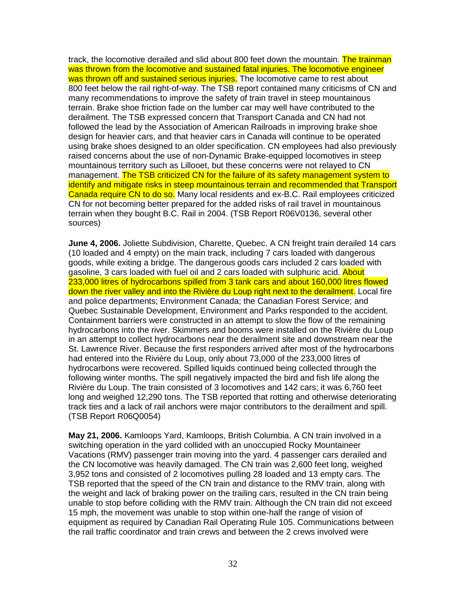track, the locomotive derailed and slid about 800 feet down the mountain. The trainman was thrown from the locomotive and sustained fatal injuries. The locomotive engineer was thrown off and sustained serious injuries. The locomotive came to rest about 800 feet below the rail right-of-way. The TSB report contained many criticisms of CN and many recommendations to improve the safety of train travel in steep mountainous terrain. Brake shoe friction fade on the lumber car may well have contributed to the derailment. The TSB expressed concern that Transport Canada and CN had not followed the lead by the Association of American Railroads in improving brake shoe design for heavier cars, and that heavier cars in Canada will continue to be operated using brake shoes designed to an older specification. CN employees had also previously raised concerns about the use of non-Dynamic Brake-equipped locomotives in steep mountainous territory such as Lillooet, but these concerns were not relayed to CN management. The TSB criticized CN for the failure of its safety management system to identify and mitigate risks in steep mountainous terrain and recommended that Transport Canada require CN to do so. Many local residents and ex-B.C. Rail employees criticized CN for not becoming better prepared for the added risks of rail travel in mountainous terrain when they bought B.C. Rail in 2004. (TSB Report R06V0136, several other sources)

**June 4, 2006.** Joliette Subdivision, Charette, Quebec. A CN freight train derailed 14 cars (10 loaded and 4 empty) on the main track, including 7 cars loaded with dangerous goods, while exiting a bridge. The dangerous goods cars included 2 cars loaded with gasoline, 3 cars loaded with fuel oil and 2 cars loaded with sulphuric acid. About 233,000 litres of hydrocarbons spilled from 3 tank cars and about 160,000 litres flowed down the river valley and into the Rivière du Loup right next to the derailment. Local fire and police departments; Environment Canada; the Canadian Forest Service; and Quebec Sustainable Development, Environment and Parks responded to the accident. Containment barriers were constructed in an attempt to slow the flow of the remaining hydrocarbons into the river. Skimmers and booms were installed on the Rivière du Loup in an attempt to collect hydrocarbons near the derailment site and downstream near the St. Lawrence River. Because the first responders arrived after most of the hydrocarbons had entered into the Rivière du Loup, only about 73,000 of the 233,000 litres of hydrocarbons were recovered. Spilled liquids continued being collected through the following winter months. The spill negatively impacted the bird and fish life along the Rivière du Loup. The train consisted of 3 locomotives and 142 cars; it was 6,760 feet long and weighed 12,290 tons. The TSB reported that rotting and otherwise deteriorating track ties and a lack of rail anchors were major contributors to the derailment and spill. (TSB Report R06Q0054)

**May 21, 2006.** Kamloops Yard, Kamloops, British Columbia. A CN train involved in a switching operation in the yard collided with an unoccupied Rocky Mountaineer Vacations (RMV) passenger train moving into the yard. 4 passenger cars derailed and the CN locomotive was heavily damaged. The CN train was 2,600 feet long, weighed 3,952 tons and consisted of 2 locomotives pulling 28 loaded and 13 empty cars. The TSB reported that the speed of the CN train and distance to the RMV train, along with the weight and lack of braking power on the trailing cars, resulted in the CN train being unable to stop before colliding with the RMV train. Although the CN train did not exceed 15 mph, the movement was unable to stop within one-half the range of vision of equipment as required by Canadian Rail Operating Rule 105. Communications between the rail traffic coordinator and train crews and between the 2 crews involved were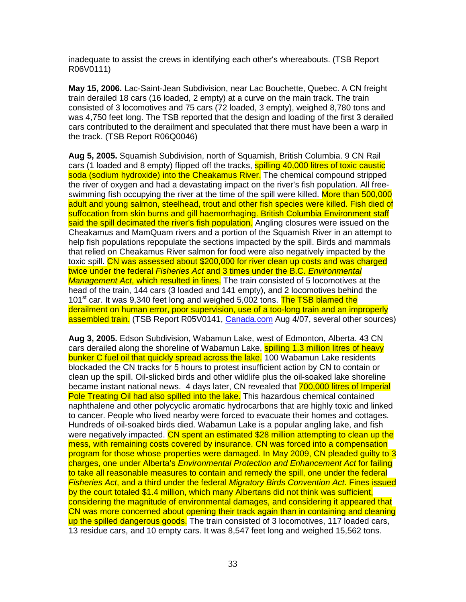inadequate to assist the crews in identifying each other's whereabouts. (TSB Report R06V0111)

**May 15, 2006.** Lac-Saint-Jean Subdivision, near Lac Bouchette, Quebec. A CN freight train derailed 18 cars (16 loaded, 2 empty) at a curve on the main track. The train consisted of 3 locomotives and 75 cars (72 loaded, 3 empty), weighed 8,780 tons and was 4,750 feet long. The TSB reported that the design and loading of the first 3 derailed cars contributed to the derailment and speculated that there must have been a warp in the track. (TSB Report R06Q0046)

**Aug 5, 2005.** Squamish Subdivision, north of Squamish, British Columbia. 9 CN Rail cars (1 loaded and 8 empty) flipped off the tracks, **spilling 40,000 litres of toxic caustic** soda (sodium hydroxide) into the Cheakamus River. The chemical compound stripped the river of oxygen and had a devastating impact on the river's fish population. All freeswimming fish occupying the river at the time of the spill were killed. More than 500,000 adult and young salmon, steelhead, trout and other fish species were killed. Fish died of suffocation from skin burns and gill haemorrhaging. British Columbia Environment staff said the spill decimated the river's fish population. Angling closures were issued on the Cheakamus and MamQuam rivers and a portion of the Squamish River in an attempt to help fish populations repopulate the sections impacted by the spill. Birds and mammals that relied on Cheakamus River salmon for food were also negatively impacted by the toxic spill. CN was assessed about \$200,000 for river clean up costs and was charged twice under the federal Fisheries Act and 3 times under the B.C. Environmental Management Act, which resulted in fines. The train consisted of 5 locomotives at the head of the train, 144 cars (3 loaded and 141 empty), and 2 locomotives behind the 101<sup>st</sup> car. It was 9,340 feet long and weighed 5,002 tons. The TSB blamed the derailment on human error, poor supervision, use of a too-long train and an improperly assembled train. (TSB Report R05V0141, Canada.com Aug 4/07, several other sources)

**Aug 3, 2005.** Edson Subdivision, Wabamun Lake, west of Edmonton, Alberta. 43 CN cars derailed along the shoreline of Wabamun Lake, spilling 1.3 million litres of heavy bunker C fuel oil that quickly spread across the lake. 100 Wabamun Lake residents blockaded the CN tracks for 5 hours to protest insufficient action by CN to contain or clean up the spill. Oil-slicked birds and other wildlife plus the oil-soaked lake shoreline became instant national news. 4 days later, CN revealed that 700,000 litres of Imperial Pole Treating Oil had also spilled into the lake. This hazardous chemical contained naphthalene and other polycyclic aromatic hydrocarbons that are highly toxic and linked to cancer. People who lived nearby were forced to evacuate their homes and cottages. Hundreds of oil-soaked birds died. Wabamun Lake is a popular angling lake, and fish were negatively impacted. CN spent an estimated \$28 million attempting to clean up the mess, with remaining costs covered by insurance. CN was forced into a compensation program for those whose properties were damaged. In May 2009, CN pleaded guilty to 3 charges, one under Alberta's Environmental Protection and Enhancement Act for failing to take all reasonable measures to contain and remedy the spill, one under the federal Fisheries Act, and a third under the federal Migratory Birds Convention Act. Fines issued by the court totaled \$1.4 million, which many Albertans did not think was sufficient, considering the magnitude of environmental damages, and considering it appeared that CN was more concerned about opening their track again than in containing and cleaning up the spilled dangerous goods. The train consisted of 3 locomotives, 117 loaded cars, 13 residue cars, and 10 empty cars. It was 8,547 feet long and weighed 15,562 tons.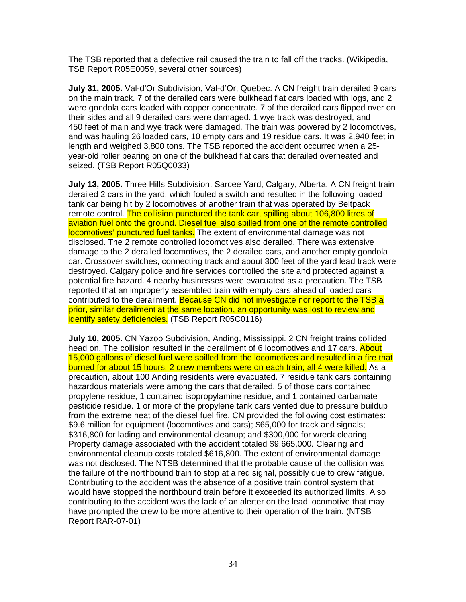The TSB reported that a defective rail caused the train to fall off the tracks. (Wikipedia, TSB Report R05E0059, several other sources)

**July 31, 2005.** Val-d'Or Subdivision, Val-d'Or, Quebec. A CN freight train derailed 9 cars on the main track. 7 of the derailed cars were bulkhead flat cars loaded with logs, and 2 were gondola cars loaded with copper concentrate. 7 of the derailed cars flipped over on their sides and all 9 derailed cars were damaged. 1 wye track was destroyed, and 450 feet of main and wye track were damaged. The train was powered by 2 locomotives, and was hauling 26 loaded cars, 10 empty cars and 19 residue cars. It was 2,940 feet in length and weighed 3,800 tons. The TSB reported the accident occurred when a 25 year-old roller bearing on one of the bulkhead flat cars that derailed overheated and seized. (TSB Report R05Q0033)

**July 13, 2005.** Three Hills Subdivision, Sarcee Yard, Calgary, Alberta. A CN freight train derailed 2 cars in the yard, which fouled a switch and resulted in the following loaded tank car being hit by 2 locomotives of another train that was operated by Beltpack remote control. The collision punctured the tank car, spilling about 106,800 litres of aviation fuel onto the ground. Diesel fuel also spilled from one of the remote controlled locomotives' punctured fuel tanks. The extent of environmental damage was not disclosed. The 2 remote controlled locomotives also derailed. There was extensive damage to the 2 derailed locomotives, the 2 derailed cars, and another empty gondola car. Crossover switches, connecting track and about 300 feet of the yard lead track were destroyed. Calgary police and fire services controlled the site and protected against a potential fire hazard. 4 nearby businesses were evacuated as a precaution. The TSB reported that an improperly assembled train with empty cars ahead of loaded cars contributed to the derailment. Because CN did not investigate nor report to the TSB a prior, similar derailment at the same location, an opportunity was lost to review and identify safety deficiencies. (TSB Report R05C0116)

**July 10, 2005.** CN Yazoo Subdivision, Anding, Mississippi. 2 CN freight trains collided head on. The collision resulted in the derailment of 6 locomotives and 17 cars. About 15,000 gallons of diesel fuel were spilled from the locomotives and resulted in a fire that burned for about 15 hours. 2 crew members were on each train; all 4 were killed. As a precaution, about 100 Anding residents were evacuated. 7 residue tank cars containing hazardous materials were among the cars that derailed. 5 of those cars contained propylene residue, 1 contained isopropylamine residue, and 1 contained carbamate pesticide residue. 1 or more of the propylene tank cars vented due to pressure buildup from the extreme heat of the diesel fuel fire. CN provided the following cost estimates: \$9.6 million for equipment (locomotives and cars); \$65,000 for track and signals; \$316,800 for lading and environmental cleanup; and \$300,000 for wreck clearing. Property damage associated with the accident totaled \$9,665,000. Clearing and environmental cleanup costs totaled \$616,800. The extent of environmental damage was not disclosed. The NTSB determined that the probable cause of the collision was the failure of the northbound train to stop at a red signal, possibly due to crew fatigue. Contributing to the accident was the absence of a positive train control system that would have stopped the northbound train before it exceeded its authorized limits. Also contributing to the accident was the lack of an alerter on the lead locomotive that may have prompted the crew to be more attentive to their operation of the train. (NTSB Report RAR-07-01)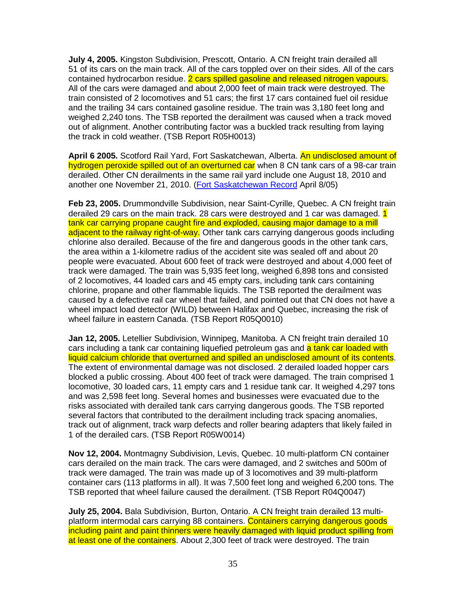**July 4, 2005.** Kingston Subdivision, Prescott, Ontario. A CN freight train derailed all 51 of its cars on the main track. All of the cars toppled over on their sides. All of the cars contained hydrocarbon residue. 2 cars spilled gasoline and released nitrogen vapours. All of the cars were damaged and about 2,000 feet of main track were destroyed. The train consisted of 2 locomotives and 51 cars; the first 17 cars contained fuel oil residue and the trailing 34 cars contained gasoline residue. The train was 3,180 feet long and weighed 2,240 tons. The TSB reported the derailment was caused when a track moved out of alignment. Another contributing factor was a buckled track resulting from laying the track in cold weather. (TSB Report R05H0013)

**April 6 2005.** Scotford Rail Yard, Fort Saskatchewan, Alberta. An undisclosed amount of hydrogen peroxide spilled out of an overturned car when 8 CN tank cars of a 98-car train derailed. Other CN derailments in the same rail yard include one August 18, 2010 and another one November 21, 2010. (Fort Saskatchewan Record April 8/05)

**Feb 23, 2005.** Drummondville Subdivision, near Saint-Cyrille, Quebec. A CN freight train derailed 29 cars on the main track. 28 cars were destroyed and 1 car was damaged. 1 tank car carrying propane caught fire and exploded, causing major damage to a mill adjacent to the railway right-of-way. Other tank cars carrying dangerous goods including chlorine also derailed. Because of the fire and dangerous goods in the other tank cars, the area within a 1-kilometre radius of the accident site was sealed off and about 20 people were evacuated. About 600 feet of track were destroyed and about 4,000 feet of track were damaged. The train was 5,935 feet long, weighed 6,898 tons and consisted of 2 locomotives, 44 loaded cars and 45 empty cars, including tank cars containing chlorine, propane and other flammable liquids. The TSB reported the derailment was caused by a defective rail car wheel that failed, and pointed out that CN does not have a wheel impact load detector (WILD) between Halifax and Quebec, increasing the risk of wheel failure in eastern Canada. (TSB Report R05Q0010)

**Jan 12, 2005.** Letellier Subdivision, Winnipeg, Manitoba. A CN freight train derailed 10 cars including a tank car containing liquefied petroleum gas and a tank car loaded with liquid calcium chloride that overturned and spilled an undisclosed amount of its contents. The extent of environmental damage was not disclosed. 2 derailed loaded hopper cars blocked a public crossing. About 400 feet of track were damaged. The train comprised 1 locomotive, 30 loaded cars, 11 empty cars and 1 residue tank car. It weighed 4,297 tons and was 2,598 feet long. Several homes and businesses were evacuated due to the risks associated with derailed tank cars carrying dangerous goods. The TSB reported several factors that contributed to the derailment including track spacing anomalies, track out of alignment, track warp defects and roller bearing adapters that likely failed in 1 of the derailed cars. (TSB Report R05W0014)

**Nov 12, 2004.** Montmagny Subdivision, Levis, Quebec. 10 multi-platform CN container cars derailed on the main track. The cars were damaged, and 2 switches and 500m of track were damaged. The train was made up of 3 locomotives and 39 multi-platform container cars (113 platforms in all). It was 7,500 feet long and weighed 6,200 tons. The TSB reported that wheel failure caused the derailment. (TSB Report R04Q0047)

**July 25, 2004.** Bala Subdivision, Burton, Ontario. A CN freight train derailed 13 multiplatform intermodal cars carrying 88 containers. Containers carrying dangerous goods including paint and paint thinners were heavily damaged with liquid product spilling from at least one of the containers. About 2,300 feet of track were destroyed. The train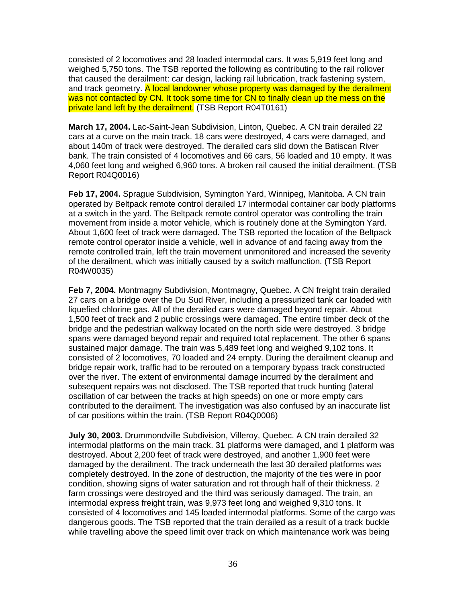consisted of 2 locomotives and 28 loaded intermodal cars. It was 5,919 feet long and weighed 5,750 tons. The TSB reported the following as contributing to the rail rollover that caused the derailment: car design, lacking rail lubrication, track fastening system, and track geometry. A local landowner whose property was damaged by the derailment was not contacted by CN. It took some time for CN to finally clean up the mess on the private land left by the derailment. (TSB Report R04T0161)

**March 17, 2004.** Lac-Saint-Jean Subdivision, Linton, Quebec. A CN train derailed 22 cars at a curve on the main track. 18 cars were destroyed, 4 cars were damaged, and about 140m of track were destroyed. The derailed cars slid down the Batiscan River bank. The train consisted of 4 locomotives and 66 cars, 56 loaded and 10 empty. It was 4,060 feet long and weighed 6,960 tons. A broken rail caused the initial derailment. (TSB Report R04Q0016)

**Feb 17, 2004.** Sprague Subdivision, Symington Yard, Winnipeg, Manitoba. A CN train operated by Beltpack remote control derailed 17 intermodal container car body platforms at a switch in the yard. The Beltpack remote control operator was controlling the train movement from inside a motor vehicle, which is routinely done at the Symington Yard. About 1,600 feet of track were damaged. The TSB reported the location of the Beltpack remote control operator inside a vehicle, well in advance of and facing away from the remote controlled train, left the train movement unmonitored and increased the severity of the derailment, which was initially caused by a switch malfunction. (TSB Report R04W0035)

**Feb 7, 2004.** Montmagny Subdivision, Montmagny, Quebec. A CN freight train derailed 27 cars on a bridge over the Du Sud River, including a pressurized tank car loaded with liquefied chlorine gas. All of the derailed cars were damaged beyond repair. About 1,500 feet of track and 2 public crossings were damaged. The entire timber deck of the bridge and the pedestrian walkway located on the north side were destroyed. 3 bridge spans were damaged beyond repair and required total replacement. The other 6 spans sustained major damage. The train was 5,489 feet long and weighed 9,102 tons. It consisted of 2 locomotives, 70 loaded and 24 empty. During the derailment cleanup and bridge repair work, traffic had to be rerouted on a temporary bypass track constructed over the river. The extent of environmental damage incurred by the derailment and subsequent repairs was not disclosed. The TSB reported that truck hunting (lateral oscillation of car between the tracks at high speeds) on one or more empty cars contributed to the derailment. The investigation was also confused by an inaccurate list of car positions within the train. (TSB Report R04Q0006)

**July 30, 2003.** Drummondville Subdivision, Villeroy, Quebec. A CN train derailed 32 intermodal platforms on the main track. 31 platforms were damaged, and 1 platform was destroyed. About 2,200 feet of track were destroyed, and another 1,900 feet were damaged by the derailment. The track underneath the last 30 derailed platforms was completely destroyed. In the zone of destruction, the majority of the ties were in poor condition, showing signs of water saturation and rot through half of their thickness. 2 farm crossings were destroyed and the third was seriously damaged. The train, an intermodal express freight train, was 9,973 feet long and weighed 9,310 tons. It consisted of 4 locomotives and 145 loaded intermodal platforms. Some of the cargo was dangerous goods. The TSB reported that the train derailed as a result of a track buckle while travelling above the speed limit over track on which maintenance work was being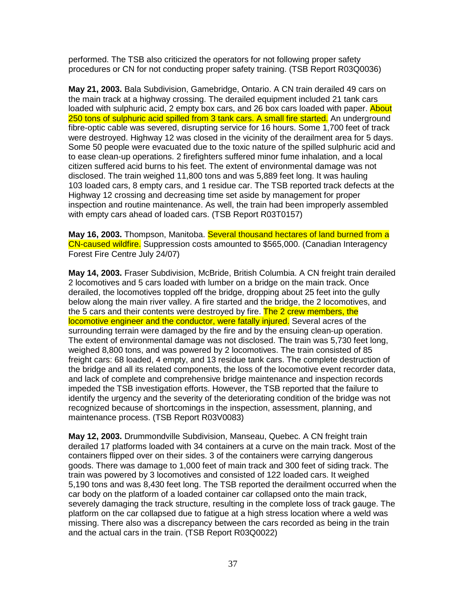performed. The TSB also criticized the operators for not following proper safety procedures or CN for not conducting proper safety training. (TSB Report R03Q0036)

**May 21, 2003.** Bala Subdivision, Gamebridge, Ontario. A CN train derailed 49 cars on the main track at a highway crossing. The derailed equipment included 21 tank cars loaded with sulphuric acid, 2 empty box cars, and 26 box cars loaded with paper. About 250 tons of sulphuric acid spilled from 3 tank cars. A small fire started. An underground fibre-optic cable was severed, disrupting service for 16 hours. Some 1,700 feet of track were destroyed. Highway 12 was closed in the vicinity of the derailment area for 5 days. Some 50 people were evacuated due to the toxic nature of the spilled sulphuric acid and to ease clean-up operations. 2 firefighters suffered minor fume inhalation, and a local citizen suffered acid burns to his feet. The extent of environmental damage was not disclosed. The train weighed 11,800 tons and was 5,889 feet long. It was hauling 103 loaded cars, 8 empty cars, and 1 residue car. The TSB reported track defects at the Highway 12 crossing and decreasing time set aside by management for proper inspection and routine maintenance. As well, the train had been improperly assembled with empty cars ahead of loaded cars. (TSB Report R03T0157)

**May 16, 2003.** Thompson, Manitoba. Several thousand hectares of land burned from a CN-caused wildfire. Suppression costs amounted to \$565,000. (Canadian Interagency Forest Fire Centre July 24/07)

**May 14, 2003.** Fraser Subdivision, McBride, British Columbia. A CN freight train derailed 2 locomotives and 5 cars loaded with lumber on a bridge on the main track. Once derailed, the locomotives toppled off the bridge, dropping about 25 feet into the gully below along the main river valley. A fire started and the bridge, the 2 locomotives, and the 5 cars and their contents were destroyed by fire. The 2 crew members, the locomotive engineer and the conductor, were fatally injured. Several acres of the surrounding terrain were damaged by the fire and by the ensuing clean-up operation. The extent of environmental damage was not disclosed. The train was 5,730 feet long, weighed 8,800 tons, and was powered by 2 locomotives. The train consisted of 85 freight cars: 68 loaded, 4 empty, and 13 residue tank cars. The complete destruction of the bridge and all its related components, the loss of the locomotive event recorder data, and lack of complete and comprehensive bridge maintenance and inspection records impeded the TSB investigation efforts. However, the TSB reported that the failure to identify the urgency and the severity of the deteriorating condition of the bridge was not recognized because of shortcomings in the inspection, assessment, planning, and maintenance process. (TSB Report R03V0083)

**May 12, 2003.** Drummondville Subdivision, Manseau, Quebec. A CN freight train derailed 17 platforms loaded with 34 containers at a curve on the main track. Most of the containers flipped over on their sides. 3 of the containers were carrying dangerous goods. There was damage to 1,000 feet of main track and 300 feet of siding track. The train was powered by 3 locomotives and consisted of 122 loaded cars. It weighed 5,190 tons and was 8,430 feet long. The TSB reported the derailment occurred when the car body on the platform of a loaded container car collapsed onto the main track, severely damaging the track structure, resulting in the complete loss of track gauge. The platform on the car collapsed due to fatigue at a high stress location where a weld was missing. There also was a discrepancy between the cars recorded as being in the train and the actual cars in the train. (TSB Report R03Q0022)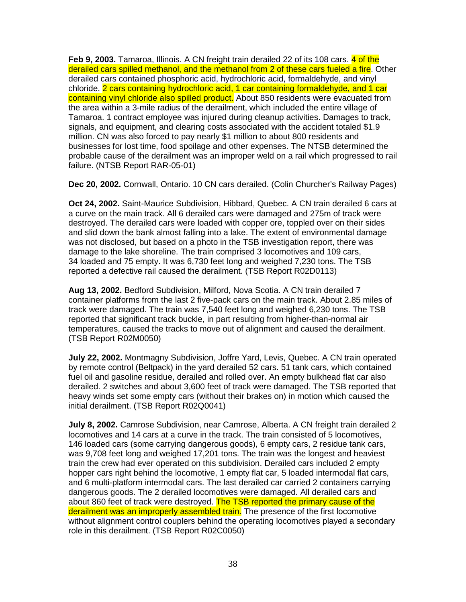**Feb 9, 2003.** Tamaroa, Illinois. A CN freight train derailed 22 of its 108 cars. 4 of the derailed cars spilled methanol, and the methanol from 2 of these cars fueled a fire. Other derailed cars contained phosphoric acid, hydrochloric acid, formaldehyde, and vinyl chloride. 2 cars containing hydrochloric acid, 1 car containing formaldehyde, and 1 car containing vinyl chloride also spilled product. About 850 residents were evacuated from the area within a 3-mile radius of the derailment, which included the entire village of Tamaroa. 1 contract employee was injured during cleanup activities. Damages to track, signals, and equipment, and clearing costs associated with the accident totaled \$1.9 million. CN was also forced to pay nearly \$1 million to about 800 residents and businesses for lost time, food spoilage and other expenses. The NTSB determined the probable cause of the derailment was an improper weld on a rail which progressed to rail failure. (NTSB Report RAR-05-01)

**Dec 20, 2002.** Cornwall, Ontario. 10 CN cars derailed. (Colin Churcher's Railway Pages)

**Oct 24, 2002.** Saint-Maurice Subdivision, Hibbard, Quebec. A CN train derailed 6 cars at a curve on the main track. All 6 derailed cars were damaged and 275m of track were destroyed. The derailed cars were loaded with copper ore, toppled over on their sides and slid down the bank almost falling into a lake. The extent of environmental damage was not disclosed, but based on a photo in the TSB investigation report, there was damage to the lake shoreline. The train comprised 3 locomotives and 109 cars, 34 loaded and 75 empty. It was 6,730 feet long and weighed 7,230 tons. The TSB reported a defective rail caused the derailment. (TSB Report R02D0113)

**Aug 13, 2002.** Bedford Subdivision, Milford, Nova Scotia. A CN train derailed 7 container platforms from the last 2 five-pack cars on the main track. About 2.85 miles of track were damaged. The train was 7,540 feet long and weighed 6,230 tons. The TSB reported that significant track buckle, in part resulting from higher-than-normal air temperatures, caused the tracks to move out of alignment and caused the derailment. (TSB Report R02M0050)

**July 22, 2002.** Montmagny Subdivision, Joffre Yard, Levis, Quebec. A CN train operated by remote control (Beltpack) in the yard derailed 52 cars. 51 tank cars, which contained fuel oil and gasoline residue, derailed and rolled over. An empty bulkhead flat car also derailed. 2 switches and about 3,600 feet of track were damaged. The TSB reported that heavy winds set some empty cars (without their brakes on) in motion which caused the initial derailment. (TSB Report R02Q0041)

**July 8, 2002.** Camrose Subdivision, near Camrose, Alberta. A CN freight train derailed 2 locomotives and 14 cars at a curve in the track. The train consisted of 5 locomotives, 146 loaded cars (some carrying dangerous goods), 6 empty cars, 2 residue tank cars, was 9,708 feet long and weighed 17,201 tons. The train was the longest and heaviest train the crew had ever operated on this subdivision. Derailed cars included 2 empty hopper cars right behind the locomotive, 1 empty flat car, 5 loaded intermodal flat cars, and 6 multi-platform intermodal cars. The last derailed car carried 2 containers carrying dangerous goods. The 2 derailed locomotives were damaged. All derailed cars and about 860 feet of track were destroyed. The TSB reported the primary cause of the derailment was an improperly assembled train. The presence of the first locomotive without alignment control couplers behind the operating locomotives played a secondary role in this derailment. (TSB Report R02C0050)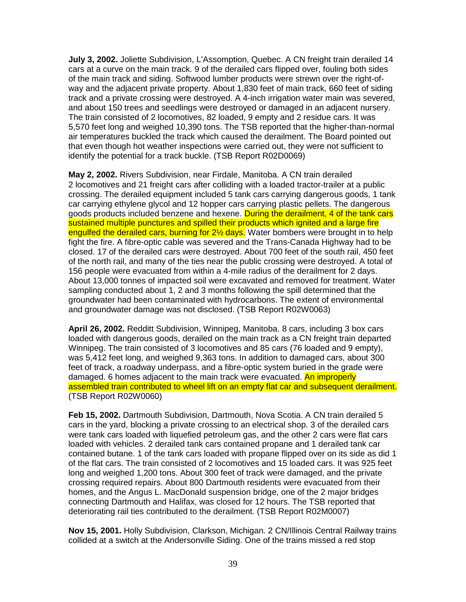**July 3, 2002.** Joliette Subdivision, L'Assomption, Quebec. A CN freight train derailed 14 cars at a curve on the main track. 9 of the derailed cars flipped over, fouling both sides of the main track and siding. Softwood lumber products were strewn over the right-ofway and the adjacent private property. About 1,830 feet of main track, 660 feet of siding track and a private crossing were destroyed. A 4-inch irrigation water main was severed, and about 150 trees and seedlings were destroyed or damaged in an adjacent nursery. The train consisted of 2 locomotives, 82 loaded, 9 empty and 2 residue cars. It was 5,570 feet long and weighed 10,390 tons. The TSB reported that the higher-than-normal air temperatures buckled the track which caused the derailment. The Board pointed out that even though hot weather inspections were carried out, they were not sufficient to identify the potential for a track buckle. (TSB Report R02D0069)

**May 2, 2002.** Rivers Subdivision, near Firdale, Manitoba. A CN train derailed 2 locomotives and 21 freight cars after colliding with a loaded tractor-trailer at a public crossing. The derailed equipment included 5 tank cars carrying dangerous goods, 1 tank car carrying ethylene glycol and 12 hopper cars carrying plastic pellets. The dangerous goods products included benzene and hexene. During the derailment, 4 of the tank cars sustained multiple punctures and spilled their products which ignited and a large fire engulfed the derailed cars, burning for 2<sup>1/2</sup> days. Water bombers were brought in to help fight the fire. A fibre-optic cable was severed and the Trans-Canada Highway had to be closed. 17 of the derailed cars were destroyed. About 700 feet of the south rail, 450 feet of the north rail, and many of the ties near the public crossing were destroyed. A total of 156 people were evacuated from within a 4-mile radius of the derailment for 2 days. About 13,000 tonnes of impacted soil were excavated and removed for treatment. Water sampling conducted about 1, 2 and 3 months following the spill determined that the groundwater had been contaminated with hydrocarbons. The extent of environmental and groundwater damage was not disclosed. (TSB Report R02W0063)

**April 26, 2002.** Redditt Subdivision, Winnipeg, Manitoba. 8 cars, including 3 box cars loaded with dangerous goods, derailed on the main track as a CN freight train departed Winnipeg. The train consisted of 3 locomotives and 85 cars (76 loaded and 9 empty), was 5,412 feet long, and weighed 9,363 tons. In addition to damaged cars, about 300 feet of track, a roadway underpass, and a fibre-optic system buried in the grade were damaged. 6 homes adjacent to the main track were evacuated. An improperly assembled train contributed to wheel lift on an empty flat car and subsequent derailment. (TSB Report R02W0060)

**Feb 15, 2002.** Dartmouth Subdivision, Dartmouth, Nova Scotia. A CN train derailed 5 cars in the yard, blocking a private crossing to an electrical shop. 3 of the derailed cars were tank cars loaded with liquefied petroleum gas, and the other 2 cars were flat cars loaded with vehicles. 2 derailed tank cars contained propane and 1 derailed tank car contained butane. 1 of the tank cars loaded with propane flipped over on its side as did 1 of the flat cars. The train consisted of 2 locomotives and 15 loaded cars. It was 925 feet long and weighed 1,200 tons. About 300 feet of track were damaged, and the private crossing required repairs. About 800 Dartmouth residents were evacuated from their homes, and the Angus L. MacDonald suspension bridge, one of the 2 major bridges connecting Dartmouth and Halifax, was closed for 12 hours. The TSB reported that deteriorating rail ties contributed to the derailment. (TSB Report R02M0007)

**Nov 15, 2001.** Holly Subdivision, Clarkson, Michigan. 2 CN/Illinois Central Railway trains collided at a switch at the Andersonville Siding. One of the trains missed a red stop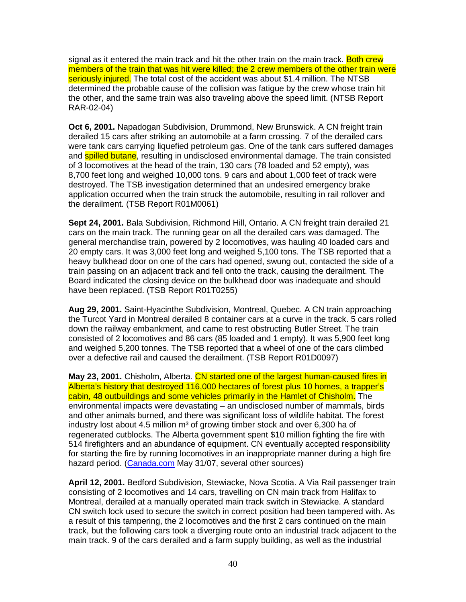signal as it entered the main track and hit the other train on the main track. Both crew members of the train that was hit were killed; the 2 crew members of the other train were seriously injured. The total cost of the accident was about \$1.4 million. The NTSB determined the probable cause of the collision was fatigue by the crew whose train hit the other, and the same train was also traveling above the speed limit. (NTSB Report RAR-02-04)

**Oct 6, 2001.** Napadogan Subdivision, Drummond, New Brunswick. A CN freight train derailed 15 cars after striking an automobile at a farm crossing. 7 of the derailed cars were tank cars carrying liquefied petroleum gas. One of the tank cars suffered damages and **spilled butane**, resulting in undisclosed environmental damage. The train consisted of 3 locomotives at the head of the train, 130 cars (78 loaded and 52 empty), was 8,700 feet long and weighed 10,000 tons. 9 cars and about 1,000 feet of track were destroyed. The TSB investigation determined that an undesired emergency brake application occurred when the train struck the automobile, resulting in rail rollover and the derailment. (TSB Report R01M0061)

**Sept 24, 2001.** Bala Subdivision, Richmond Hill, Ontario. A CN freight train derailed 21 cars on the main track. The running gear on all the derailed cars was damaged. The general merchandise train, powered by 2 locomotives, was hauling 40 loaded cars and 20 empty cars. It was 3,000 feet long and weighed 5,100 tons. The TSB reported that a heavy bulkhead door on one of the cars had opened, swung out, contacted the side of a train passing on an adjacent track and fell onto the track, causing the derailment. The Board indicated the closing device on the bulkhead door was inadequate and should have been replaced. (TSB Report R01T0255)

**Aug 29, 2001.** Saint-Hyacinthe Subdivision, Montreal, Quebec. A CN train approaching the Turcot Yard in Montreal derailed 8 container cars at a curve in the track. 5 cars rolled down the railway embankment, and came to rest obstructing Butler Street. The train consisted of 2 locomotives and 86 cars (85 loaded and 1 empty). It was 5,900 feet long and weighed 5,200 tonnes. The TSB reported that a wheel of one of the cars climbed over a defective rail and caused the derailment. (TSB Report R01D0097)

**May 23, 2001.** Chisholm, Alberta. CN started one of the largest human-caused fires in Alberta's history that destroyed 116,000 hectares of forest plus 10 homes, a trapper's cabin, 48 outbuildings and some vehicles primarily in the Hamlet of Chisholm. The environmental impacts were devastating – an undisclosed number of mammals, birds and other animals burned, and there was significant loss of wildlife habitat. The forest industry lost about 4.5 million  $m<sup>3</sup>$  of growing timber stock and over 6,300 ha of regenerated cutblocks. The Alberta government spent \$10 million fighting the fire with 514 firefighters and an abundance of equipment. CN eventually accepted responsibility for starting the fire by running locomotives in an inappropriate manner during a high fire hazard period. (Canada.com May 31/07, several other sources)

**April 12, 2001.** Bedford Subdivision, Stewiacke, Nova Scotia. A Via Rail passenger train consisting of 2 locomotives and 14 cars, travelling on CN main track from Halifax to Montreal, derailed at a manually operated main track switch in Stewiacke. A standard CN switch lock used to secure the switch in correct position had been tampered with. As a result of this tampering, the 2 locomotives and the first 2 cars continued on the main track, but the following cars took a diverging route onto an industrial track adjacent to the main track. 9 of the cars derailed and a farm supply building, as well as the industrial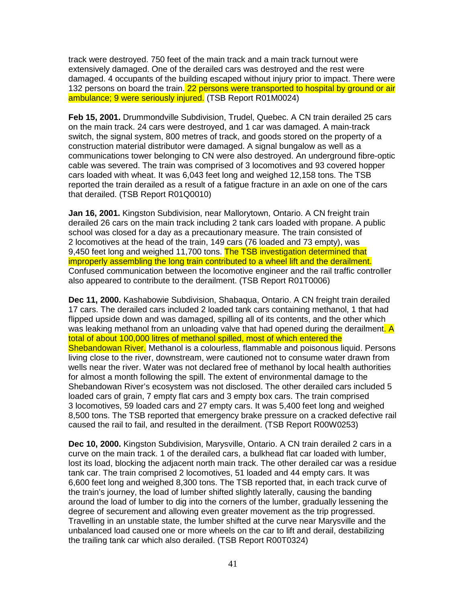track were destroyed. 750 feet of the main track and a main track turnout were extensively damaged. One of the derailed cars was destroyed and the rest were damaged. 4 occupants of the building escaped without injury prior to impact. There were 132 persons on board the train. 22 persons were transported to hospital by ground or air ambulance; 9 were seriously injured. (TSB Report R01M0024)

**Feb 15, 2001.** Drummondville Subdivision, Trudel, Quebec. A CN train derailed 25 cars on the main track. 24 cars were destroyed, and 1 car was damaged. A main-track switch, the signal system, 800 metres of track, and goods stored on the property of a construction material distributor were damaged. A signal bungalow as well as a communications tower belonging to CN were also destroyed. An underground fibre-optic cable was severed. The train was comprised of 3 locomotives and 93 covered hopper cars loaded with wheat. It was 6,043 feet long and weighed 12,158 tons. The TSB reported the train derailed as a result of a fatigue fracture in an axle on one of the cars that derailed. (TSB Report R01Q0010)

**Jan 16, 2001.** Kingston Subdivision, near Mallorytown, Ontario. A CN freight train derailed 26 cars on the main track including 2 tank cars loaded with propane. A public school was closed for a day as a precautionary measure. The train consisted of 2 locomotives at the head of the train, 149 cars (76 loaded and 73 empty), was 9.450 feet long and weighed 11,700 tons. The TSB investigation determined that improperly assembling the long train contributed to a wheel lift and the derailment. Confused communication between the locomotive engineer and the rail traffic controller also appeared to contribute to the derailment. (TSB Report R01T0006)

**Dec 11, 2000.** Kashabowie Subdivision, Shabaqua, Ontario. A CN freight train derailed 17 cars. The derailed cars included 2 loaded tank cars containing methanol, 1 that had flipped upside down and was damaged, spilling all of its contents, and the other which was leaking methanol from an unloading valve that had opened during the derailment. A total of about 100,000 litres of methanol spilled, most of which entered the Shebandowan River. Methanol is a colourless, flammable and poisonous liquid. Persons living close to the river, downstream, were cautioned not to consume water drawn from wells near the river. Water was not declared free of methanol by local health authorities for almost a month following the spill. The extent of environmental damage to the Shebandowan River's ecosystem was not disclosed. The other derailed cars included 5 loaded cars of grain, 7 empty flat cars and 3 empty box cars. The train comprised 3 locomotives, 59 loaded cars and 27 empty cars. It was 5,400 feet long and weighed 8,500 tons. The TSB reported that emergency brake pressure on a cracked defective rail caused the rail to fail, and resulted in the derailment. (TSB Report R00W0253)

**Dec 10, 2000.** Kingston Subdivision, Marysville, Ontario. A CN train derailed 2 cars in a curve on the main track. 1 of the derailed cars, a bulkhead flat car loaded with lumber, lost its load, blocking the adjacent north main track. The other derailed car was a residue tank car. The train comprised 2 locomotives, 51 loaded and 44 empty cars. It was 6,600 feet long and weighed 8,300 tons. The TSB reported that, in each track curve of the train's journey, the load of lumber shifted slightly laterally, causing the banding around the load of lumber to dig into the corners of the lumber, gradually lessening the degree of securement and allowing even greater movement as the trip progressed. Travelling in an unstable state, the lumber shifted at the curve near Marysville and the unbalanced load caused one or more wheels on the car to lift and derail, destabilizing the trailing tank car which also derailed. (TSB Report R00T0324)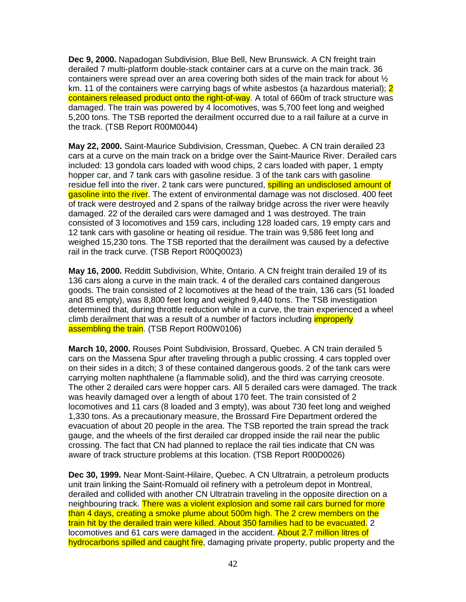**Dec 9, 2000.** Napadogan Subdivision, Blue Bell, New Brunswick. A CN freight train derailed 7 multi-platform double-stack container cars at a curve on the main track. 36 containers were spread over an area covering both sides of the main track for about  $\frac{1}{2}$ km. 11 of the containers were carrying bags of white asbestos (a hazardous material); 2 containers released product onto the right-of-way. A total of 660m of track structure was damaged. The train was powered by 4 locomotives, was 5,700 feet long and weighed 5,200 tons. The TSB reported the derailment occurred due to a rail failure at a curve in the track. (TSB Report R00M0044)

**May 22, 2000.** Saint-Maurice Subdivision, Cressman, Quebec. A CN train derailed 23 cars at a curve on the main track on a bridge over the Saint-Maurice River. Derailed cars included: 13 gondola cars loaded with wood chips, 2 cars loaded with paper, 1 empty hopper car, and 7 tank cars with gasoline residue. 3 of the tank cars with gasoline residue fell into the river. 2 tank cars were punctured, **spilling an undisclosed amount of** gasoline into the river. The extent of environmental damage was not disclosed. 400 feet of track were destroyed and 2 spans of the railway bridge across the river were heavily damaged. 22 of the derailed cars were damaged and 1 was destroyed. The train consisted of 3 locomotives and 159 cars, including 128 loaded cars, 19 empty cars and 12 tank cars with gasoline or heating oil residue. The train was 9,586 feet long and weighed 15,230 tons. The TSB reported that the derailment was caused by a defective rail in the track curve. (TSB Report R00Q0023)

**May 16, 2000.** Redditt Subdivision, White, Ontario. A CN freight train derailed 19 of its 136 cars along a curve in the main track. 4 of the derailed cars contained dangerous goods. The train consisted of 2 locomotives at the head of the train, 136 cars (51 loaded and 85 empty), was 8,800 feet long and weighed 9,440 tons. The TSB investigation determined that, during throttle reduction while in a curve, the train experienced a wheel climb derailment that was a result of a number of factors including *improperly* assembling the train. (TSB Report R00W0106)

**March 10, 2000.** Rouses Point Subdivision, Brossard, Quebec. A CN train derailed 5 cars on the Massena Spur after traveling through a public crossing. 4 cars toppled over on their sides in a ditch; 3 of these contained dangerous goods. 2 of the tank cars were carrying molten naphthalene (a flammable solid), and the third was carrying creosote. The other 2 derailed cars were hopper cars. All 5 derailed cars were damaged. The track was heavily damaged over a length of about 170 feet. The train consisted of 2 locomotives and 11 cars (8 loaded and 3 empty), was about 730 feet long and weighed 1,330 tons. As a precautionary measure, the Brossard Fire Department ordered the evacuation of about 20 people in the area. The TSB reported the train spread the track gauge, and the wheels of the first derailed car dropped inside the rail near the public crossing. The fact that CN had planned to replace the rail ties indicate that CN was aware of track structure problems at this location. (TSB Report R00D0026)

**Dec 30, 1999.** Near Mont-Saint-Hilaire, Quebec. A CN Ultratrain, a petroleum products unit train linking the Saint-Romuald oil refinery with a petroleum depot in Montreal, derailed and collided with another CN Ultratrain traveling in the opposite direction on a neighbouring track. There was a violent explosion and some rail cars burned for more than 4 days, creating a smoke plume about 500m high. The 2 crew members on the train hit by the derailed train were killed. About 350 families had to be evacuated. 2 locomotives and 61 cars were damaged in the accident. About 2.7 million litres of hydrocarbons spilled and caught fire, damaging private property, public property and the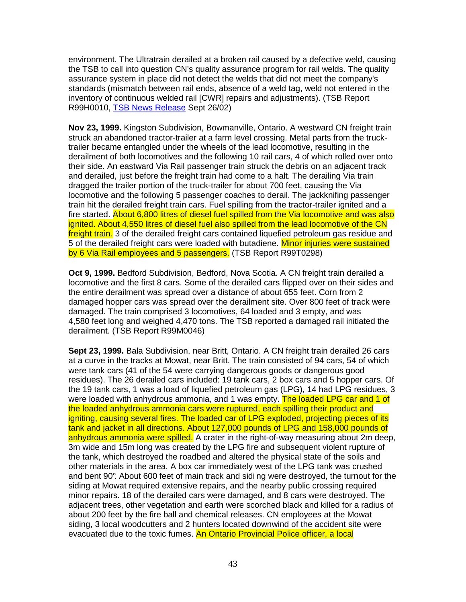environment. The Ultratrain derailed at a broken rail caused by a defective weld, causing the TSB to call into question CN's quality assurance program for rail welds. The quality assurance system in place did not detect the welds that did not meet the company's standards (mismatch between rail ends, absence of a weld tag, weld not entered in the inventory of continuous welded rail [CWR] repairs and adjustments). (TSB Report R99H0010, TSB News Release Sept 26/02)

**Nov 23, 1999.** Kingston Subdivision, Bowmanville, Ontario. A westward CN freight train struck an abandoned tractor-trailer at a farm level crossing. Metal parts from the trucktrailer became entangled under the wheels of the lead locomotive, resulting in the derailment of both locomotives and the following 10 rail cars, 4 of which rolled over onto their side. An eastward Via Rail passenger train struck the debris on an adjacent track and derailed, just before the freight train had come to a halt. The derailing Via train dragged the trailer portion of the truck-trailer for about 700 feet, causing the Via locomotive and the following 5 passenger coaches to derail. The jackknifing passenger train hit the derailed freight train cars. Fuel spilling from the tractor-trailer ignited and a fire started. About 6,800 litres of diesel fuel spilled from the Via locomotive and was also ignited. About 4,550 litres of diesel fuel also spilled from the lead locomotive of the CN freight train. 3 of the derailed freight cars contained liquefied petroleum gas residue and 5 of the derailed freight cars were loaded with butadiene. Minor injuries were sustained by 6 Via Rail employees and 5 passengers. (TSB Report R99T0298)

**Oct 9, 1999.** Bedford Subdivision, Bedford, Nova Scotia. A CN freight train derailed a locomotive and the first 8 cars. Some of the derailed cars flipped over on their sides and the entire derailment was spread over a distance of about 655 feet. Corn from 2 damaged hopper cars was spread over the derailment site. Over 800 feet of track were damaged. The train comprised 3 locomotives, 64 loaded and 3 empty, and was 4,580 feet long and weighed 4,470 tons. The TSB reported a damaged rail initiated the derailment. (TSB Report R99M0046)

**Sept 23, 1999.** Bala Subdivision, near Britt, Ontario. A CN freight train derailed 26 cars at a curve in the tracks at Mowat, near Britt. The train consisted of 94 cars, 54 of which were tank cars (41 of the 54 were carrying dangerous goods or dangerous good residues). The 26 derailed cars included: 19 tank cars, 2 box cars and 5 hopper cars. Of the 19 tank cars, 1 was a load of liquefied petroleum gas (LPG), 14 had LPG residues, 3 were loaded with anhydrous ammonia, and 1 was empty. The loaded LPG car and 1 of the loaded anhydrous ammonia cars were ruptured, each spilling their product and igniting, causing several fires. The loaded car of LPG exploded, projecting pieces of its tank and jacket in all directions. About 127,000 pounds of LPG and 158,000 pounds of anhydrous ammonia were spilled. A crater in the right-of-way measuring about 2m deep. 3m wide and 15m long was created by the LPG fire and subsequent violent rupture of the tank, which destroyed the roadbed and altered the physical state of the soils and other materials in the area. A box car immediately west of the LPG tank was crushed and bent 90°. About 600 feet of main track and sidi ng were destroyed, the turnout for the siding at Mowat required extensive repairs, and the nearby public crossing required minor repairs. 18 of the derailed cars were damaged, and 8 cars were destroyed. The adjacent trees, other vegetation and earth were scorched black and killed for a radius of about 200 feet by the fire ball and chemical releases. CN employees at the Mowat siding, 3 local woodcutters and 2 hunters located downwind of the accident site were evacuated due to the toxic fumes. An Ontario Provincial Police officer, a local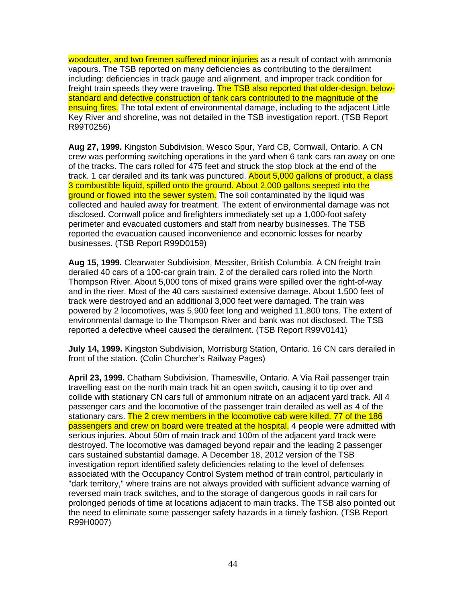woodcutter, and two firemen suffered minor injuries as a result of contact with ammonia vapours. The TSB reported on many deficiencies as contributing to the derailment including: deficiencies in track gauge and alignment, and improper track condition for freight train speeds they were traveling. The TSB also reported that older-design, belowstandard and defective construction of tank cars contributed to the magnitude of the ensuing fires. The total extent of environmental damage, including to the adjacent Little Key River and shoreline, was not detailed in the TSB investigation report. (TSB Report R99T0256)

**Aug 27, 1999.** Kingston Subdivision, Wesco Spur, Yard CB, Cornwall, Ontario. A CN crew was performing switching operations in the yard when 6 tank cars ran away on one of the tracks. The cars rolled for 475 feet and struck the stop block at the end of the track. 1 car derailed and its tank was punctured. About 5,000 gallons of product, a class 3 combustible liquid, spilled onto the ground. About 2,000 gallons seeped into the ground or flowed into the sewer system. The soil contaminated by the liquid was collected and hauled away for treatment. The extent of environmental damage was not disclosed. Cornwall police and firefighters immediately set up a 1,000-foot safety perimeter and evacuated customers and staff from nearby businesses. The TSB reported the evacuation caused inconvenience and economic losses for nearby businesses. (TSB Report R99D0159)

**Aug 15, 1999.** Clearwater Subdivision, Messiter, British Columbia. A CN freight train derailed 40 cars of a 100-car grain train. 2 of the derailed cars rolled into the North Thompson River. About 5,000 tons of mixed grains were spilled over the right-of-way and in the river. Most of the 40 cars sustained extensive damage. About 1,500 feet of track were destroyed and an additional 3,000 feet were damaged. The train was powered by 2 locomotives, was 5,900 feet long and weighed 11,800 tons. The extent of environmental damage to the Thompson River and bank was not disclosed. The TSB reported a defective wheel caused the derailment. (TSB Report R99V0141)

**July 14, 1999.** Kingston Subdivision, Morrisburg Station, Ontario. 16 CN cars derailed in front of the station. (Colin Churcher's Railway Pages)

**April 23, 1999.** Chatham Subdivision, Thamesville, Ontario. A Via Rail passenger train travelling east on the north main track hit an open switch, causing it to tip over and collide with stationary CN cars full of ammonium nitrate on an adjacent yard track. All 4 passenger cars and the locomotive of the passenger train derailed as well as 4 of the stationary cars. The 2 crew members in the locomotive cab were killed. 77 of the 186 passengers and crew on board were treated at the hospital. 4 people were admitted with serious injuries. About 50m of main track and 100m of the adjacent yard track were destroyed. The locomotive was damaged beyond repair and the leading 2 passenger cars sustained substantial damage. A December 18, 2012 version of the TSB investigation report identified safety deficiencies relating to the level of defenses associated with the Occupancy Control System method of train control, particularly in "dark territory," where trains are not always provided with sufficient advance warning of reversed main track switches, and to the storage of dangerous goods in rail cars for prolonged periods of time at locations adjacent to main tracks. The TSB also pointed out the need to eliminate some passenger safety hazards in a timely fashion. (TSB Report R99H0007)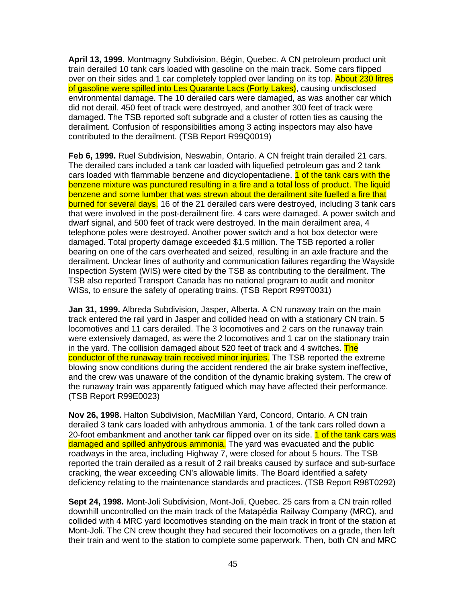**April 13, 1999.** Montmagny Subdivision, Bégin, Quebec. A CN petroleum product unit train derailed 10 tank cars loaded with gasoline on the main track. Some cars flipped over on their sides and 1 car completely toppled over landing on its top. About 230 litres of gasoline were spilled into Les Quarante Lacs (Forty Lakes), causing undisclosed environmental damage. The 10 derailed cars were damaged, as was another car which did not derail. 450 feet of track were destroyed, and another 300 feet of track were damaged. The TSB reported soft subgrade and a cluster of rotten ties as causing the derailment. Confusion of responsibilities among 3 acting inspectors may also have contributed to the derailment. (TSB Report R99Q0019)

**Feb 6, 1999.** Ruel Subdivision, Neswabin, Ontario. A CN freight train derailed 21 cars. The derailed cars included a tank car loaded with liquefied petroleum gas and 2 tank cars loaded with flammable benzene and dicyclopentadiene. **1 of the tank cars with the** benzene mixture was punctured resulting in a fire and a total loss of product. The liquid benzene and some lumber that was strewn about the derailment site fuelled a fire that burned for several days. 16 of the 21 derailed cars were destroyed, including 3 tank cars that were involved in the post-derailment fire. 4 cars were damaged. A power switch and dwarf signal, and 500 feet of track were destroyed. In the main derailment area, 4 telephone poles were destroyed. Another power switch and a hot box detector were damaged. Total property damage exceeded \$1.5 million. The TSB reported a roller bearing on one of the cars overheated and seized, resulting in an axle fracture and the derailment. Unclear lines of authority and communication failures regarding the Wayside Inspection System (WIS) were cited by the TSB as contributing to the derailment. The TSB also reported Transport Canada has no national program to audit and monitor WISs, to ensure the safety of operating trains. (TSB Report R99T0031)

**Jan 31, 1999.** Albreda Subdivision, Jasper, Alberta. A CN runaway train on the main track entered the rail yard in Jasper and collided head on with a stationary CN train. 5 locomotives and 11 cars derailed. The 3 locomotives and 2 cars on the runaway train were extensively damaged, as were the 2 locomotives and 1 car on the stationary train in the yard. The collision damaged about 520 feet of track and 4 switches. The conductor of the runaway train received minor injuries. The TSB reported the extreme blowing snow conditions during the accident rendered the air brake system ineffective, and the crew was unaware of the condition of the dynamic braking system. The crew of the runaway train was apparently fatigued which may have affected their performance. (TSB Report R99E0023)

**Nov 26, 1998.** Halton Subdivision, MacMillan Yard, Concord, Ontario. A CN train derailed 3 tank cars loaded with anhydrous ammonia. 1 of the tank cars rolled down a 20-foot embankment and another tank car flipped over on its side. 1 of the tank cars was damaged and spilled anhydrous ammonia. The yard was evacuated and the public roadways in the area, including Highway 7, were closed for about 5 hours. The TSB reported the train derailed as a result of 2 rail breaks caused by surface and sub-surface cracking, the wear exceeding CN's allowable limits. The Board identified a safety deficiency relating to the maintenance standards and practices. (TSB Report R98T0292)

**Sept 24, 1998.** Mont-Joli Subdivision, Mont-Joli, Quebec. 25 cars from a CN train rolled downhill uncontrolled on the main track of the Matapédia Railway Company (MRC), and collided with 4 MRC yard locomotives standing on the main track in front of the station at Mont-Joli. The CN crew thought they had secured their locomotives on a grade, then left their train and went to the station to complete some paperwork. Then, both CN and MRC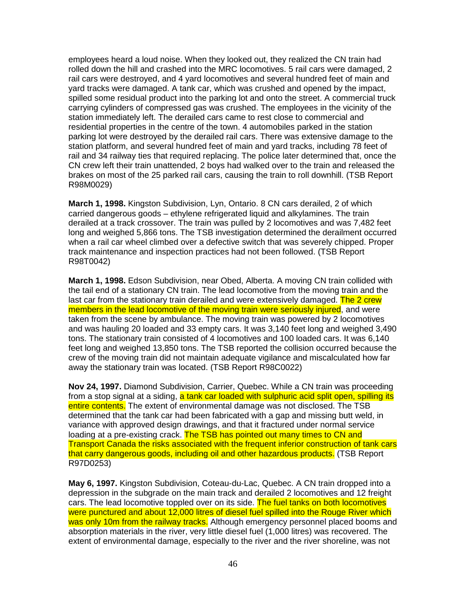employees heard a loud noise. When they looked out, they realized the CN train had rolled down the hill and crashed into the MRC locomotives. 5 rail cars were damaged, 2 rail cars were destroyed, and 4 yard locomotives and several hundred feet of main and yard tracks were damaged. A tank car, which was crushed and opened by the impact, spilled some residual product into the parking lot and onto the street. A commercial truck carrying cylinders of compressed gas was crushed. The employees in the vicinity of the station immediately left. The derailed cars came to rest close to commercial and residential properties in the centre of the town. 4 automobiles parked in the station parking lot were destroyed by the derailed rail cars. There was extensive damage to the station platform, and several hundred feet of main and yard tracks, including 78 feet of rail and 34 railway ties that required replacing. The police later determined that, once the CN crew left their train unattended, 2 boys had walked over to the train and released the brakes on most of the 25 parked rail cars, causing the train to roll downhill. (TSB Report R98M0029)

**March 1, 1998.** Kingston Subdivision, Lyn, Ontario. 8 CN cars derailed, 2 of which carried dangerous goods – ethylene refrigerated liquid and alkylamines. The train derailed at a track crossover. The train was pulled by 2 locomotives and was 7,482 feet long and weighed 5,866 tons. The TSB investigation determined the derailment occurred when a rail car wheel climbed over a defective switch that was severely chipped. Proper track maintenance and inspection practices had not been followed. (TSB Report R98T0042)

**March 1, 1998.** Edson Subdivision, near Obed, Alberta. A moving CN train collided with the tail end of a stationary CN train. The lead locomotive from the moving train and the last car from the stationary train derailed and were extensively damaged. The 2 crew members in the lead locomotive of the moving train were seriously injured, and were taken from the scene by ambulance. The moving train was powered by 2 locomotives and was hauling 20 loaded and 33 empty cars. It was 3,140 feet long and weighed 3,490 tons. The stationary train consisted of 4 locomotives and 100 loaded cars. It was 6,140 feet long and weighed 13,850 tons. The TSB reported the collision occurred because the crew of the moving train did not maintain adequate vigilance and miscalculated how far away the stationary train was located. (TSB Report R98C0022)

**Nov 24, 1997.** Diamond Subdivision, Carrier, Quebec. While a CN train was proceeding from a stop signal at a siding, a tank car loaded with sulphuric acid split open, spilling its entire contents. The extent of environmental damage was not disclosed. The TSB determined that the tank car had been fabricated with a gap and missing butt weld, in variance with approved design drawings, and that it fractured under normal service loading at a pre-existing crack. The TSB has pointed out many times to CN and Transport Canada the risks associated with the frequent inferior construction of tank cars that carry dangerous goods, including oil and other hazardous products. (TSB Report R97D0253)

**May 6, 1997.** Kingston Subdivision, Coteau-du-Lac, Quebec. A CN train dropped into a depression in the subgrade on the main track and derailed 2 locomotives and 12 freight cars. The lead locomotive toppled over on its side. The fuel tanks on both locomotives were punctured and about 12,000 litres of diesel fuel spilled into the Rouge River which was only 10m from the railway tracks. Although emergency personnel placed booms and absorption materials in the river, very little diesel fuel (1,000 litres) was recovered. The extent of environmental damage, especially to the river and the river shoreline, was not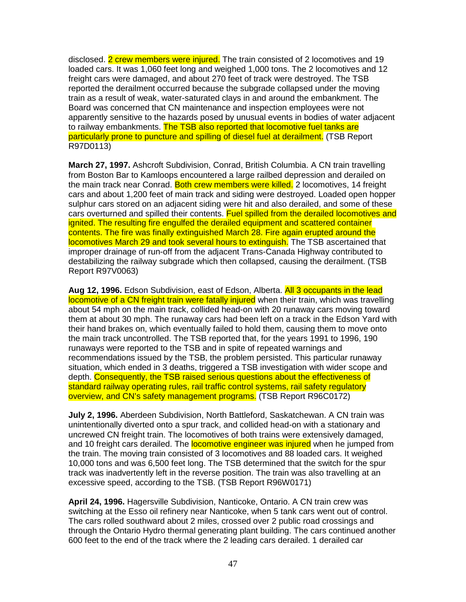disclosed. 2 crew members were injured. The train consisted of 2 locomotives and 19 loaded cars. It was 1,060 feet long and weighed 1,000 tons. The 2 locomotives and 12 freight cars were damaged, and about 270 feet of track were destroyed. The TSB reported the derailment occurred because the subgrade collapsed under the moving train as a result of weak, water-saturated clays in and around the embankment. The Board was concerned that CN maintenance and inspection employees were not apparently sensitive to the hazards posed by unusual events in bodies of water adjacent to railway embankments. The TSB also reported that locomotive fuel tanks are particularly prone to puncture and spilling of diesel fuel at derailment. (TSB Report R97D0113)

**March 27, 1997.** Ashcroft Subdivision, Conrad, British Columbia. A CN train travelling from Boston Bar to Kamloops encountered a large railbed depression and derailed on the main track near Conrad. Both crew members were killed. 2 locomotives, 14 freight cars and about 1,200 feet of main track and siding were destroyed. Loaded open hopper sulphur cars stored on an adjacent siding were hit and also derailed, and some of these cars overturned and spilled their contents. Fuel spilled from the derailed locomotives and ignited. The resulting fire engulfed the derailed equipment and scattered container contents. The fire was finally extinguished March 28. Fire again erupted around the locomotives March 29 and took several hours to extinguish. The TSB ascertained that improper drainage of run-off from the adjacent Trans-Canada Highway contributed to destabilizing the railway subgrade which then collapsed, causing the derailment. (TSB Report R97V0063)

**Aug 12, 1996.** Edson Subdivision, east of Edson, Alberta. All 3 occupants in the lead locomotive of a CN freight train were fatally injured when their train, which was travelling about 54 mph on the main track, collided head-on with 20 runaway cars moving toward them at about 30 mph. The runaway cars had been left on a track in the Edson Yard with their hand brakes on, which eventually failed to hold them, causing them to move onto the main track uncontrolled. The TSB reported that, for the years 1991 to 1996, 190 runaways were reported to the TSB and in spite of repeated warnings and recommendations issued by the TSB, the problem persisted. This particular runaway situation, which ended in 3 deaths, triggered a TSB investigation with wider scope and depth. Consequently, the TSB raised serious questions about the effectiveness of standard railway operating rules, rail traffic control systems, rail safety regulatory overview, and CN's safety management programs. (TSB Report R96C0172)

**July 2, 1996.** Aberdeen Subdivision, North Battleford, Saskatchewan. A CN train was unintentionally diverted onto a spur track, and collided head-on with a stationary and uncrewed CN freight train. The locomotives of both trains were extensively damaged, and 10 freight cars derailed. The **locomotive engineer was injured** when he jumped from the train. The moving train consisted of 3 locomotives and 88 loaded cars. It weighed 10,000 tons and was 6,500 feet long. The TSB determined that the switch for the spur track was inadvertently left in the reverse position. The train was also travelling at an excessive speed, according to the TSB. (TSB Report R96W0171)

**April 24, 1996.** Hagersville Subdivision, Nanticoke, Ontario. A CN train crew was switching at the Esso oil refinery near Nanticoke, when 5 tank cars went out of control. The cars rolled southward about 2 miles, crossed over 2 public road crossings and through the Ontario Hydro thermal generating plant building. The cars continued another 600 feet to the end of the track where the 2 leading cars derailed. 1 derailed car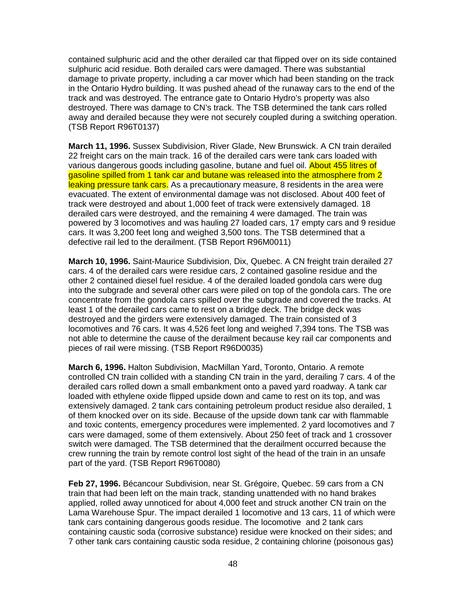contained sulphuric acid and the other derailed car that flipped over on its side contained sulphuric acid residue. Both derailed cars were damaged. There was substantial damage to private property, including a car mover which had been standing on the track in the Ontario Hydro building. It was pushed ahead of the runaway cars to the end of the track and was destroyed. The entrance gate to Ontario Hydro's property was also destroyed. There was damage to CN's track. The TSB determined the tank cars rolled away and derailed because they were not securely coupled during a switching operation. (TSB Report R96T0137)

**March 11, 1996.** Sussex Subdivision, River Glade, New Brunswick. A CN train derailed 22 freight cars on the main track. 16 of the derailed cars were tank cars loaded with various dangerous goods including gasoline, butane and fuel oil. About 455 litres of gasoline spilled from 1 tank car and butane was released into the atmosphere from 2 leaking pressure tank cars. As a precautionary measure, 8 residents in the area were evacuated. The extent of environmental damage was not disclosed. About 400 feet of track were destroyed and about 1,000 feet of track were extensively damaged. 18 derailed cars were destroyed, and the remaining 4 were damaged. The train was powered by 3 locomotives and was hauling 27 loaded cars, 17 empty cars and 9 residue cars. It was 3,200 feet long and weighed 3,500 tons. The TSB determined that a defective rail led to the derailment. (TSB Report R96M0011)

**March 10, 1996.** Saint-Maurice Subdivision, Dix, Quebec. A CN freight train derailed 27 cars. 4 of the derailed cars were residue cars, 2 contained gasoline residue and the other 2 contained diesel fuel residue. 4 of the derailed loaded gondola cars were dug into the subgrade and several other cars were piled on top of the gondola cars. The ore concentrate from the gondola cars spilled over the subgrade and covered the tracks. At least 1 of the derailed cars came to rest on a bridge deck. The bridge deck was destroyed and the girders were extensively damaged. The train consisted of 3 locomotives and 76 cars. It was 4,526 feet long and weighed 7,394 tons. The TSB was not able to determine the cause of the derailment because key rail car components and pieces of rail were missing. (TSB Report R96D0035)

**March 6, 1996.** Halton Subdivision, MacMillan Yard, Toronto, Ontario. A remote controlled CN train collided with a standing CN train in the yard, derailing 7 cars. 4 of the derailed cars rolled down a small embankment onto a paved yard roadway. A tank car loaded with ethylene oxide flipped upside down and came to rest on its top, and was extensively damaged. 2 tank cars containing petroleum product residue also derailed, 1 of them knocked over on its side. Because of the upside down tank car with flammable and toxic contents, emergency procedures were implemented. 2 yard locomotives and 7 cars were damaged, some of them extensively. About 250 feet of track and 1 crossover switch were damaged. The TSB determined that the derailment occurred because the crew running the train by remote control lost sight of the head of the train in an unsafe part of the yard. (TSB Report R96T0080)

**Feb 27, 1996.** Bécancour Subdivision, near St. Grégoire, Quebec. 59 cars from a CN train that had been left on the main track, standing unattended with no hand brakes applied, rolled away unnoticed for about 4,000 feet and struck another CN train on the Lama Warehouse Spur. The impact derailed 1 locomotive and 13 cars, 11 of which were tank cars containing dangerous goods residue. The locomotive and 2 tank cars containing caustic soda (corrosive substance) residue were knocked on their sides; and 7 other tank cars containing caustic soda residue, 2 containing chlorine (poisonous gas)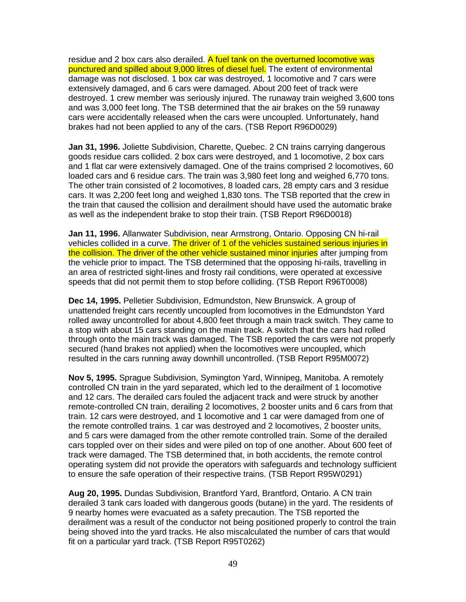residue and 2 box cars also derailed. A fuel tank on the overturned locomotive was punctured and spilled about 9,000 litres of diesel fuel. The extent of environmental damage was not disclosed. 1 box car was destroyed, 1 locomotive and 7 cars were extensively damaged, and 6 cars were damaged. About 200 feet of track were destroyed. 1 crew member was seriously injured. The runaway train weighed 3,600 tons and was 3,000 feet long. The TSB determined that the air brakes on the 59 runaway cars were accidentally released when the cars were uncoupled. Unfortunately, hand brakes had not been applied to any of the cars. (TSB Report R96D0029)

**Jan 31, 1996.** Joliette Subdivision, Charette, Quebec. 2 CN trains carrying dangerous goods residue cars collided. 2 box cars were destroyed, and 1 locomotive, 2 box cars and 1 flat car were extensively damaged. One of the trains comprised 2 locomotives, 60 loaded cars and 6 residue cars. The train was 3,980 feet long and weighed 6,770 tons. The other train consisted of 2 locomotives, 8 loaded cars, 28 empty cars and 3 residue cars. It was 2,200 feet long and weighed 1,830 tons. The TSB reported that the crew in the train that caused the collision and derailment should have used the automatic brake as well as the independent brake to stop their train. (TSB Report R96D0018)

**Jan 11, 1996.** Allanwater Subdivision, near Armstrong, Ontario. Opposing CN hi-rail vehicles collided in a curve. The driver of 1 of the vehicles sustained serious injuries in the collision. The driver of the other vehicle sustained minor injuries after jumping from the vehicle prior to impact. The TSB determined that the opposing hi-rails, travelling in an area of restricted sight-lines and frosty rail conditions, were operated at excessive speeds that did not permit them to stop before colliding. (TSB Report R96T0008)

**Dec 14, 1995.** Pelletier Subdivision, Edmundston, New Brunswick. A group of unattended freight cars recently uncoupled from locomotives in the Edmundston Yard rolled away uncontrolled for about 4,800 feet through a main track switch. They came to a stop with about 15 cars standing on the main track. A switch that the cars had rolled through onto the main track was damaged. The TSB reported the cars were not properly secured (hand brakes not applied) when the locomotives were uncoupled, which resulted in the cars running away downhill uncontrolled. (TSB Report R95M0072)

**Nov 5, 1995.** Sprague Subdivision, Symington Yard, Winnipeg, Manitoba. A remotely controlled CN train in the yard separated, which led to the derailment of 1 locomotive and 12 cars. The derailed cars fouled the adjacent track and were struck by another remote-controlled CN train, derailing 2 locomotives, 2 booster units and 6 cars from that train. 12 cars were destroyed, and 1 locomotive and 1 car were damaged from one of the remote controlled trains. 1 car was destroyed and 2 locomotives, 2 booster units, and 5 cars were damaged from the other remote controlled train. Some of the derailed cars toppled over on their sides and were piled on top of one another. About 600 feet of track were damaged. The TSB determined that, in both accidents, the remote control operating system did not provide the operators with safeguards and technology sufficient to ensure the safe operation of their respective trains. (TSB Report R95W0291)

**Aug 20, 1995.** Dundas Subdivision, Brantford Yard, Brantford, Ontario. A CN train derailed 3 tank cars loaded with dangerous goods (butane) in the yard. The residents of 9 nearby homes were evacuated as a safety precaution. The TSB reported the derailment was a result of the conductor not being positioned properly to control the train being shoved into the yard tracks. He also miscalculated the number of cars that would fit on a particular yard track. (TSB Report R95T0262)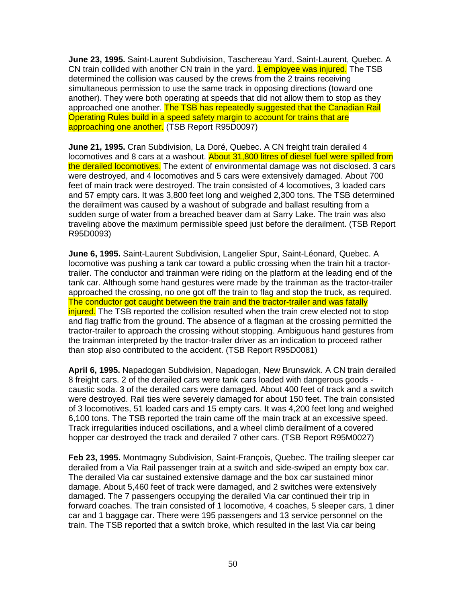**June 23, 1995.** Saint-Laurent Subdivision, Taschereau Yard, Saint-Laurent, Quebec. A CN train collided with another CN train in the yard. **1 employee was injured.** The TSB determined the collision was caused by the crews from the 2 trains receiving simultaneous permission to use the same track in opposing directions (toward one another). They were both operating at speeds that did not allow them to stop as they approached one another. The TSB has repeatedly suggested that the Canadian Rail Operating Rules build in a speed safety margin to account for trains that are approaching one another. (TSB Report R95D0097)

**June 21, 1995.** Cran Subdivision, La Doré, Quebec. A CN freight train derailed 4 locomotives and 8 cars at a washout. About 31,800 litres of diesel fuel were spilled from the derailed locomotives. The extent of environmental damage was not disclosed. 3 cars were destroyed, and 4 locomotives and 5 cars were extensively damaged. About 700 feet of main track were destroyed. The train consisted of 4 locomotives, 3 loaded cars and 57 empty cars. It was 3,800 feet long and weighed 2,300 tons. The TSB determined the derailment was caused by a washout of subgrade and ballast resulting from a sudden surge of water from a breached beaver dam at Sarry Lake. The train was also traveling above the maximum permissible speed just before the derailment. (TSB Report R95D0093)

**June 6, 1995.** Saint-Laurent Subdivision, Langelier Spur, Saint-Léonard, Quebec. A locomotive was pushing a tank car toward a public crossing when the train hit a tractortrailer. The conductor and trainman were riding on the platform at the leading end of the tank car. Although some hand gestures were made by the trainman as the tractor-trailer approached the crossing, no one got off the train to flag and stop the truck, as required. The conductor got caught between the train and the tractor-trailer and was fatally injured. The TSB reported the collision resulted when the train crew elected not to stop and flag traffic from the ground. The absence of a flagman at the crossing permitted the tractor-trailer to approach the crossing without stopping. Ambiguous hand gestures from the trainman interpreted by the tractor-trailer driver as an indication to proceed rather than stop also contributed to the accident. (TSB Report R95D0081)

**April 6, 1995.** Napadogan Subdivision, Napadogan, New Brunswick. A CN train derailed 8 freight cars. 2 of the derailed cars were tank cars loaded with dangerous goods caustic soda. 3 of the derailed cars were damaged. About 400 feet of track and a switch were destroyed. Rail ties were severely damaged for about 150 feet. The train consisted of 3 locomotives, 51 loaded cars and 15 empty cars. It was 4,200 feet long and weighed 6,100 tons. The TSB reported the train came off the main track at an excessive speed. Track irregularities induced oscillations, and a wheel climb derailment of a covered hopper car destroyed the track and derailed 7 other cars. (TSB Report R95M0027)

**Feb 23, 1995.** Montmagny Subdivision, Saint-François, Quebec. The trailing sleeper car derailed from a Via Rail passenger train at a switch and side-swiped an empty box car. The derailed Via car sustained extensive damage and the box car sustained minor damage. About 5,460 feet of track were damaged, and 2 switches were extensively damaged. The 7 passengers occupying the derailed Via car continued their trip in forward coaches. The train consisted of 1 locomotive, 4 coaches, 5 sleeper cars, 1 diner car and 1 baggage car. There were 195 passengers and 13 service personnel on the train. The TSB reported that a switch broke, which resulted in the last Via car being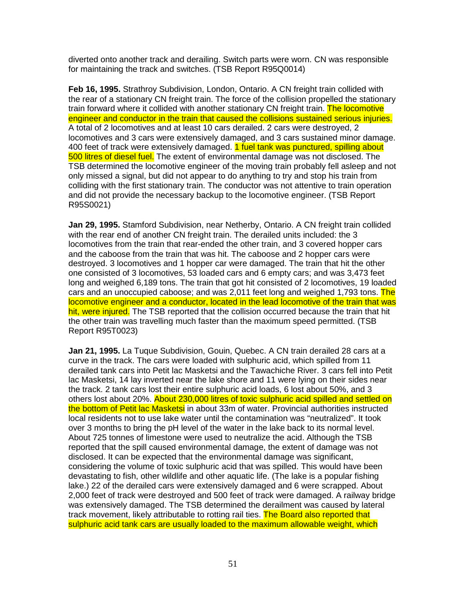diverted onto another track and derailing. Switch parts were worn. CN was responsible for maintaining the track and switches. (TSB Report R95Q0014)

**Feb 16, 1995.** Strathroy Subdivision, London, Ontario. A CN freight train collided with the rear of a stationary CN freight train. The force of the collision propelled the stationary train forward where it collided with another stationary CN freight train. The locomotive engineer and conductor in the train that caused the collisions sustained serious injuries. A total of 2 locomotives and at least 10 cars derailed. 2 cars were destroyed, 2 locomotives and 3 cars were extensively damaged, and 3 cars sustained minor damage. 400 feet of track were extensively damaged. 1 fuel tank was punctured, spilling about 500 litres of diesel fuel. The extent of environmental damage was not disclosed. The TSB determined the locomotive engineer of the moving train probably fell asleep and not only missed a signal, but did not appear to do anything to try and stop his train from colliding with the first stationary train. The conductor was not attentive to train operation and did not provide the necessary backup to the locomotive engineer. (TSB Report R95S0021)

**Jan 29, 1995.** Stamford Subdivision, near Netherby, Ontario. A CN freight train collided with the rear end of another CN freight train. The derailed units included: the 3 locomotives from the train that rear-ended the other train, and 3 covered hopper cars and the caboose from the train that was hit. The caboose and 2 hopper cars were destroyed. 3 locomotives and 1 hopper car were damaged. The train that hit the other one consisted of 3 locomotives, 53 loaded cars and 6 empty cars; and was 3,473 feet long and weighed 6,189 tons. The train that got hit consisted of 2 locomotives, 19 loaded cars and an unoccupied caboose; and was 2,011 feet long and weighed 1,793 tons. The locomotive engineer and a conductor, located in the lead locomotive of the train that was hit, were injured. The TSB reported that the collision occurred because the train that hit the other train was travelling much faster than the maximum speed permitted. (TSB Report R95T0023)

**Jan 21, 1995.** La Tuque Subdivision, Gouin, Quebec. A CN train derailed 28 cars at a curve in the track. The cars were loaded with sulphuric acid, which spilled from 11 derailed tank cars into Petit lac Masketsi and the Tawachiche River. 3 cars fell into Petit lac Masketsi, 14 lay inverted near the lake shore and 11 were lying on their sides near the track. 2 tank cars lost their entire sulphuric acid loads, 6 lost about 50%, and 3 others lost about 20%. About 230,000 litres of toxic sulphuric acid spilled and settled on the bottom of Petit lac Masketsi in about 33m of water. Provincial authorities instructed local residents not to use lake water until the contamination was "neutralized". It took over 3 months to bring the pH level of the water in the lake back to its normal level. About 725 tonnes of limestone were used to neutralize the acid. Although the TSB reported that the spill caused environmental damage, the extent of damage was not disclosed. It can be expected that the environmental damage was significant, considering the volume of toxic sulphuric acid that was spilled. This would have been devastating to fish, other wildlife and other aquatic life. (The lake is a popular fishing lake.) 22 of the derailed cars were extensively damaged and 6 were scrapped. About 2,000 feet of track were destroyed and 500 feet of track were damaged. A railway bridge was extensively damaged. The TSB determined the derailment was caused by lateral track movement, likely attributable to rotting rail ties. The Board also reported that sulphuric acid tank cars are usually loaded to the maximum allowable weight, which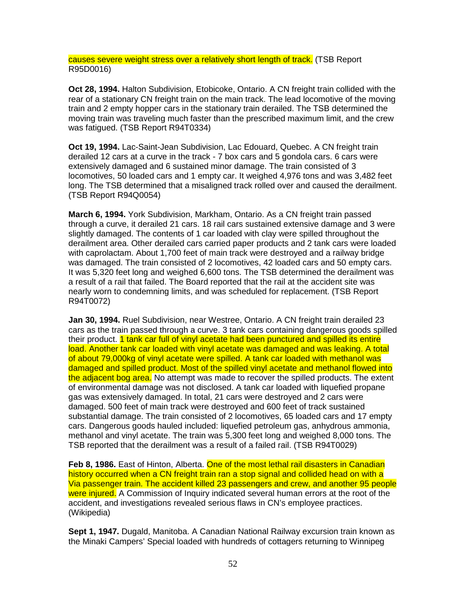causes severe weight stress over a relatively short length of track. (TSB Report R95D0016)

**Oct 28, 1994.** Halton Subdivision, Etobicoke, Ontario. A CN freight train collided with the rear of a stationary CN freight train on the main track. The lead locomotive of the moving train and 2 empty hopper cars in the stationary train derailed. The TSB determined the moving train was traveling much faster than the prescribed maximum limit, and the crew was fatigued. (TSB Report R94T0334)

**Oct 19, 1994.** Lac-Saint-Jean Subdivision, Lac Edouard, Quebec. A CN freight train derailed 12 cars at a curve in the track - 7 box cars and 5 gondola cars. 6 cars were extensively damaged and 6 sustained minor damage. The train consisted of 3 locomotives, 50 loaded cars and 1 empty car. It weighed 4,976 tons and was 3,482 feet long. The TSB determined that a misaligned track rolled over and caused the derailment. (TSB Report R94Q0054)

**March 6, 1994.** York Subdivision, Markham, Ontario. As a CN freight train passed through a curve, it derailed 21 cars. 18 rail cars sustained extensive damage and 3 were slightly damaged. The contents of 1 car loaded with clay were spilled throughout the derailment area. Other derailed cars carried paper products and 2 tank cars were loaded with caprolactam. About 1,700 feet of main track were destroyed and a railway bridge was damaged. The train consisted of 2 locomotives, 42 loaded cars and 50 empty cars. It was 5,320 feet long and weighed 6,600 tons. The TSB determined the derailment was a result of a rail that failed. The Board reported that the rail at the accident site was nearly worn to condemning limits, and was scheduled for replacement. (TSB Report R94T0072)

**Jan 30, 1994.** Ruel Subdivision, near Westree, Ontario. A CN freight train derailed 23 cars as the train passed through a curve. 3 tank cars containing dangerous goods spilled their product. 1 tank car full of vinyl acetate had been punctured and spilled its entire load. Another tank car loaded with vinyl acetate was damaged and was leaking. A total of about 79,000kg of vinyl acetate were spilled. A tank car loaded with methanol was damaged and spilled product. Most of the spilled vinyl acetate and methanol flowed into the adjacent bog area. No attempt was made to recover the spilled products. The extent of environmental damage was not disclosed. A tank car loaded with liquefied propane gas was extensively damaged. In total, 21 cars were destroyed and 2 cars were damaged. 500 feet of main track were destroyed and 600 feet of track sustained substantial damage. The train consisted of 2 locomotives, 65 loaded cars and 17 empty cars. Dangerous goods hauled included: liquefied petroleum gas, anhydrous ammonia, methanol and vinyl acetate. The train was 5,300 feet long and weighed 8,000 tons. The TSB reported that the derailment was a result of a failed rail. (TSB R94T0029)

Feb 8, 1986. East of Hinton, Alberta. One of the most lethal rail disasters in Canadian history occurred when a CN freight train ran a stop signal and collided head on with a Via passenger train. The accident killed 23 passengers and crew, and another 95 people were injured. A Commission of Inquiry indicated several human errors at the root of the accident, and investigations revealed serious flaws in CN's employee practices. (Wikipedia)

**Sept 1, 1947.** Dugald, Manitoba. A Canadian National Railway excursion train known as the Minaki Campers' Special loaded with hundreds of cottagers returning to Winnipeg